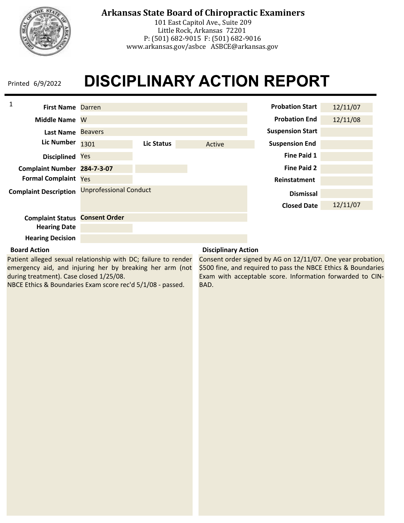

101 East Capitol Ave., Suite 209 Little Rock, Arkansas 72201 P: (501) 682-9015 F: (501) 682-9016 www.arkansas.gov/asbce ASBCE@arkansas.gov

### **DISCIPLINARY ACTION REPORT** Printed 6/9/2022

| $\mathbf{1}$<br><b>First Name Darren</b> |                               |            |        | <b>Probation Start</b>  | 12/11/07 |
|------------------------------------------|-------------------------------|------------|--------|-------------------------|----------|
| <b>Middle Name</b>                       | W                             |            |        | <b>Probation End</b>    | 12/11/08 |
| Last Name                                | <b>Beavers</b>                |            |        | <b>Suspension Start</b> |          |
| <b>Lic Number</b>                        | 1301                          | Lic Status | Active | <b>Suspension End</b>   |          |
| <b>Disciplined</b>                       | Yes                           |            |        | <b>Fine Paid 1</b>      |          |
| Complaint Number 284-7-3-07              |                               |            |        | <b>Fine Paid 2</b>      |          |
| <b>Formal Complaint Yes</b>              |                               |            |        | Reinstatment            |          |
| <b>Complaint Description</b>             | <b>Unprofessional Conduct</b> |            |        | <b>Dismissal</b>        |          |
|                                          |                               |            |        | <b>Closed Date</b>      | 12/11/07 |
| <b>Complaint Status</b>                  | <b>Consent Order</b>          |            |        |                         |          |
| <b>Hearing Date</b>                      |                               |            |        |                         |          |
| <b>Hearing Decision</b>                  |                               |            |        |                         |          |

#### **Board Action**

Patient alleged sexual relationship with DC; failure to render emergency aid, and injuring her by breaking her arm (not during treatment). Case closed 1/25/08.

NBCE Ethics & Boundaries Exam score rec'd 5/1/08 - passed.

#### **Disciplinary Action**

Consent order signed by AG on 12/11/07. One year probation, \$500 fine, and required to pass the NBCE Ethics & Boundaries Exam with acceptable score. Information forwarded to CIN-BAD.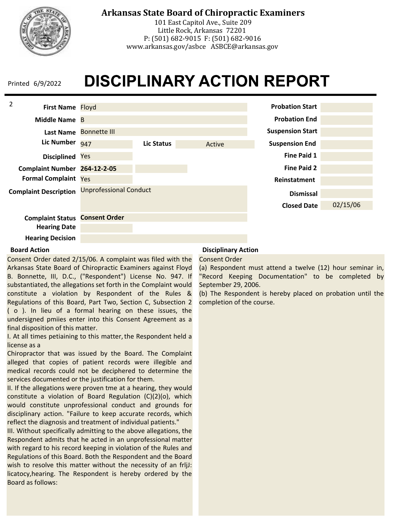

101 East Capitol Ave., Suite 209 Little Rock, Arkansas 72201 P: (501) 682-9015 F: (501) 682-9016 www.arkansas.gov/asbce ASBCE@arkansas.gov

### **DISCIPLINARY ACTION REPORT** Printed 6/9/2022



#### **Board Action**

Consent Order dated 2/15/06. A complaint was filed with the Arkansas State Board of Chiropractic Examiners against Floyd B. Bonnette, III, D.C., ("Respondent") License No. 947. If substantiated, the allegations set forth in the Complaint would constitute a violation by Respondent of the Rules & Regulations of this Board, Part Two, Section C, Subsection 2 ( o ). In lieu of a formal hearing on these issues, the undersigned pmiies enter into this Consent Agreement as a final disposition of this matter.

I. At all times petiaining to this matter, the Respondent held a license as a

Chiropractor that was issued by the Board. The Complaint alleged that copies of patient records were illegible and medical records could not be deciphered to determine the services documented or the justification for them.

II. If the allegations were proven tme at a hearing, they would constitute a violation of Board Regulation (C)(2)(o), which would constitute unprofessional conduct and grounds for disciplinary action. "Failure to keep accurate records, which reflect the diagnosis and treatment of individual patients."

III. Without specifically admitting to the above allegations, the Respondent admits that he acted in an unprofessional matter with regard to his record keeping in violation of the Rules and Regulations of this Board. Both the Respondent and the Board wish to resolve this matter without the necessity of an frljJ: licatocy,hearing. The Respondent is hereby ordered by the Board as follows:

### **Disciplinary Action**

Consent Order

(a) Respondent must attend a twelve (12) hour seminar in, "Record Keeping Documentation" to be completed by September 29, 2006.

(b) The Respondent is hereby placed on probation until the completion of the course.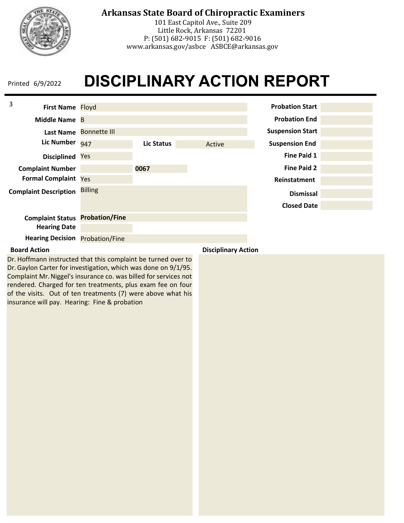

101 East Capitol Ave., Suite 209 Little Rock, Arkansas 72201 P: (501) 682-9015 F: (501) 682-9016 www.arkansas.gov/asbce ASBCE@arkansas.gov

### **DISCIPLINARY ACTION REPORT** Printed 6/9/2022

| 3<br>First Name Floyd                  |                        |            |        | <b>Probation Start</b>  |  |
|----------------------------------------|------------------------|------------|--------|-------------------------|--|
| Middle Name B                          |                        |            |        | <b>Probation End</b>    |  |
|                                        | Last Name Bonnette III |            |        | <b>Suspension Start</b> |  |
| <b>Lic Number</b>                      | 947                    | Lic Status | Active | <b>Suspension End</b>   |  |
| <b>Disciplined</b>                     | Yes                    |            |        | <b>Fine Paid 1</b>      |  |
| <b>Complaint Number</b>                |                        | 0067       |        | <b>Fine Paid 2</b>      |  |
| <b>Formal Complaint Yes</b>            |                        |            |        | Reinstatment            |  |
| <b>Complaint Description</b>           | <b>Billing</b>         |            |        | <b>Dismissal</b>        |  |
|                                        |                        |            |        | <b>Closed Date</b>      |  |
| <b>Complaint Status</b>                | <b>Probation/Fine</b>  |            |        |                         |  |
| <b>Hearing Date</b>                    |                        |            |        |                         |  |
| <b>Hearing Decision Probation/Fine</b> |                        |            |        |                         |  |

#### **Board Action Disciplinary Action**

Dr. Hoffmann instructed that this complaint be turned over to Dr. Gaylon Carter for investigation, which was done on 9/1/95. Complaint Mr. Niggel's insurance co. was billed for services not rendered. Charged for ten treatments, plus exam fee on four of the visits. Out of ten treatments (7) were above what his insurance will pay. Hearing: Fine & probation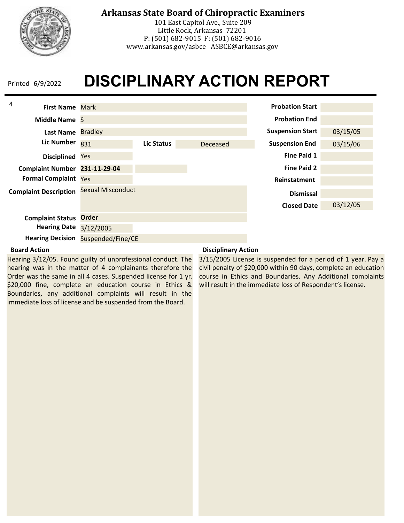

101 East Capitol Ave., Suite 209 Little Rock, Arkansas 72201 P: (501) 682-9015 F: (501) 682-9016 www.arkansas.gov/asbce ASBCE@arkansas.gov

### **DISCIPLINARY ACTION REPORT** Printed 6/9/2022



#### **Board Action**

Hearing 3/12/05. Found guilty of unprofessional conduct. The hearing was in the matter of 4 complainants therefore the Order was the same in all 4 cases. Suspended license for 1 yr. \$20,000 fine, complete an education course in Ethics & Boundaries, any additional complaints will result in the immediate loss of license and be suspended from the Board.

#### **Disciplinary Action**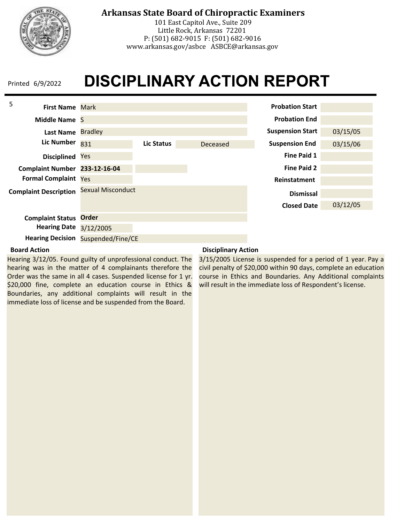

101 East Capitol Ave., Suite 209 Little Rock, Arkansas 72201 P: (501) 682-9015 F: (501) 682-9016 www.arkansas.gov/asbce ASBCE@arkansas.gov

### **DISCIPLINARY ACTION REPORT** Printed 6/9/2022



#### **Board Action**

Hearing 3/12/05. Found guilty of unprofessional conduct. The hearing was in the matter of 4 complainants therefore the Order was the same in all 4 cases. Suspended license for 1 yr. \$20,000 fine, complete an education course in Ethics & Boundaries, any additional complaints will result in the immediate loss of license and be suspended from the Board.

#### **Disciplinary Action**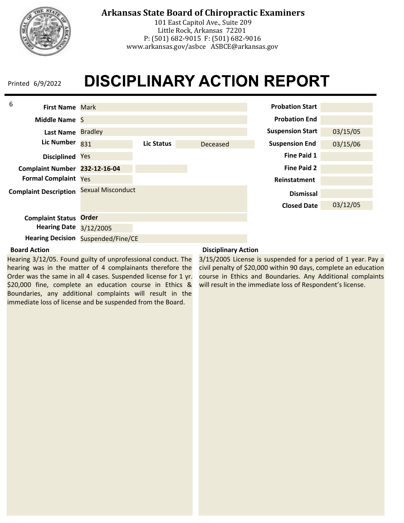

101 East Capitol Ave., Suite 209 Little Rock, Arkansas 72201 P: (501) 682-9015 F: (501) 682-9016 www.arkansas.gov/asbce ASBCE@arkansas.gov

### **DISCIPLINARY ACTION REPORT** Printed 6/9/2022



#### **Board Action**

Hearing 3/12/05. Found guilty of unprofessional conduct. The hearing was in the matter of 4 complainants therefore the Order was the same in all 4 cases. Suspended license for 1 yr. \$20,000 fine, complete an education course in Ethics & Boundaries, any additional complaints will result in the immediate loss of license and be suspended from the Board.

#### **Disciplinary Action**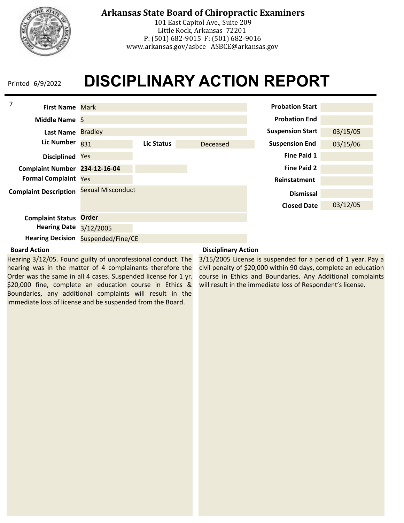

101 East Capitol Ave., Suite 209 Little Rock, Arkansas 72201 P: (501) 682-9015 F: (501) 682-9016 www.arkansas.gov/asbce ASBCE@arkansas.gov

### **DISCIPLINARY ACTION REPORT** Printed 6/9/2022



#### **Board Action**

Hearing 3/12/05. Found guilty of unprofessional conduct. The hearing was in the matter of 4 complainants therefore the Order was the same in all 4 cases. Suspended license for 1 yr. \$20,000 fine, complete an education course in Ethics & Boundaries, any additional complaints will result in the immediate loss of license and be suspended from the Board.

#### **Disciplinary Action**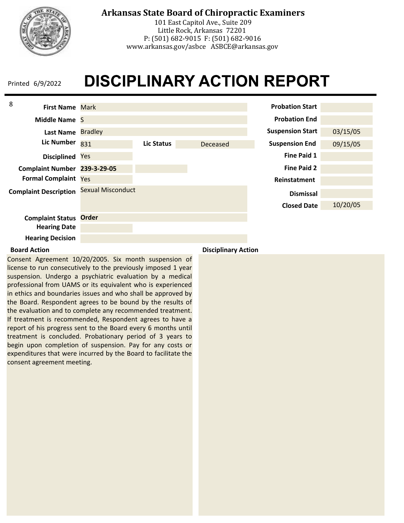

101 East Capitol Ave., Suite 209 Little Rock, Arkansas 72201 P: (501) 682-9015 F: (501) 682-9016 www.arkansas.gov/asbce ASBCE@arkansas.gov

### **DISCIPLINARY ACTION REPORT** Printed 6/9/2022



Consent Agreement 10/20/2005. Six month suspension of license to run consecutively to the previously imposed 1 year suspension. Undergo a psychiatric evaluation by a medical professional from UAMS or its equivalent who is experienced in ethics and boundaries issues and who shall be approved by the Board. Respondent agrees to be bound by the results of the evaluation and to complete any recommended treatment. If treatment is recommended, Respondent agrees to have a report of his progress sent to the Board every 6 months until treatment is concluded. Probationary period of 3 years to begin upon completion of suspension. Pay for any costs or expenditures that were incurred by the Board to facilitate the consent agreement meeting.

**Board Action Disciplinary Action**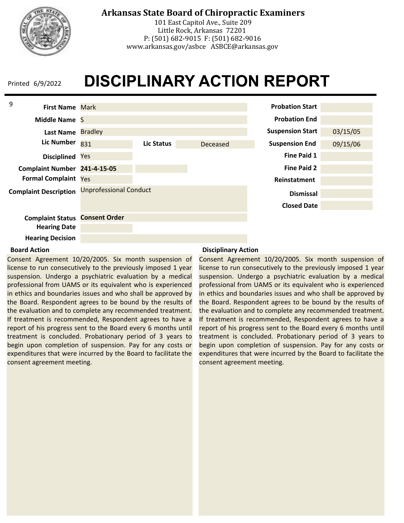

## **Arkansas State Board of Chiropractic Examiners**

101 East Capitol Ave., Suite 209 Little Rock, Arkansas 72201 P: (501) 682-9015 F: (501) 682-9016 www.arkansas.gov/asbce ASBCE@arkansas.gov

## **DISCIPLINARY ACTION REPORT**



#### **Board Action**

Consent Agreement 10/20/2005. Six month suspension of license to run consecutively to the previously imposed 1 year suspension. Undergo a psychiatric evaluation by a medical professional from UAMS or its equivalent who is experienced in ethics and boundaries issues and who shall be approved by the Board. Respondent agrees to be bound by the results of the evaluation and to complete any recommended treatment. If treatment is recommended, Respondent agrees to have a report of his progress sent to the Board every 6 months until treatment is concluded. Probationary period of 3 years to begin upon completion of suspension. Pay for any costs or expenditures that were incurred by the Board to facilitate the consent agreement meeting.

#### **Disciplinary Action**

Consent Agreement 10/20/2005. Six month suspension of license to run consecutively to the previously imposed 1 year suspension. Undergo a psychiatric evaluation by a medical professional from UAMS or its equivalent who is experienced in ethics and boundaries issues and who shall be approved by the Board. Respondent agrees to be bound by the results of the evaluation and to complete any recommended treatment. If treatment is recommended, Respondent agrees to have a report of his progress sent to the Board every 6 months until treatment is concluded. Probationary period of 3 years to begin upon completion of suspension. Pay for any costs or expenditures that were incurred by the Board to facilitate the consent agreement meeting.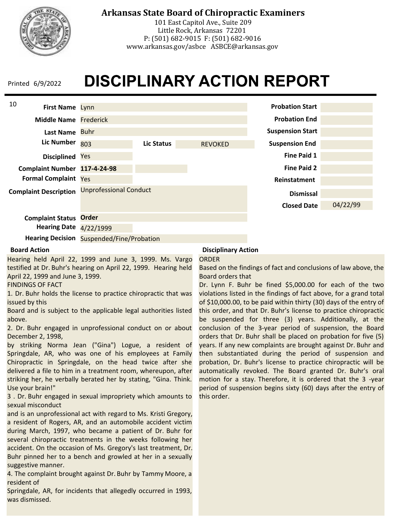

## **Arkansas State Board of Chiropractic Examiners**

101 East Capitol Ave., Suite 209 Little Rock, Arkansas 72201 P: (501) 682-9015 F: (501) 682-9016 www.arkansas.gov/asbce ASBCE@arkansas.gov

## **DISCIPLINARY ACTION REPORT**



**Hearing Decision** Suspended/Fine/Probation

#### **Board Action**

Hearing held April 22, 1999 and June 3, 1999. Ms. Vargo testified at Dr. Buhr's hearing on April 22, 1999. Hearing held April 22, 1999 and June 3, 1999.

FINDINGS OF FACT

1. Dr. Buhr holds the license to practice chiropractic that was issued by this

Board and is subject to the applicable legal authorities listed above.

2. Dr. Buhr engaged in unprofessional conduct on or about December 2, 1998,

by striking Norma Jean ("Gina") Logue, a resident of Springdale, AR, who was one of his employees at Family Chiropractic in Springdale, on the head twice after she delivered a file to him in a treatment room, whereupon, after striking her, he verbally berated her by stating, "Gina. Think. Use your brain!"

3 . Dr. Buhr engaged in sexual impropriety which amounts to sexual misconduct

and is an unprofessional act with regard to Ms. Kristi Gregory, a resident of Rogers, AR, and an automobile accident victim during March, 1997, who became a patient of Dr. Buhr for several chiropractic treatments in the weeks following her accident. On the occasion of Ms. Gregory's last treatment, Dr. Buhr pinned her to a bench and growled at her in a sexually suggestive manner.

4. The complaint brought against Dr. Buhr by Tammy Moore, a resident of

Springdale, AR, for incidents that allegedly occurred in 1993, was dismissed.

#### **Disciplinary Action**

#### ORDER

Based on the findings of fact and conclusions of law above, the Board orders that

Dr. Lynn F. Buhr be fined \$5,000.00 for each of the two violations listed in the findings of fact above, for a grand total of \$10,000.00, to be paid within thirty (30) days of the entry of this order, and that Dr. Buhr's license to practice chiropractic be suspended for three (3) years. Additionally, at the conclusion of the 3-year period of suspension, the Board orders that Dr. Buhr shall be placed on probation for five (5) years. If any new complaints are brought against Dr. Buhr and then substantiated during the period of suspension and probation, Dr. Buhr's license to practice chiropractic will be automatically revoked. The Board granted Dr. Buhr's oral motion for a stay. Therefore, it is ordered that the 3 -year period of suspension begins sixty (60) days after the entry of this order.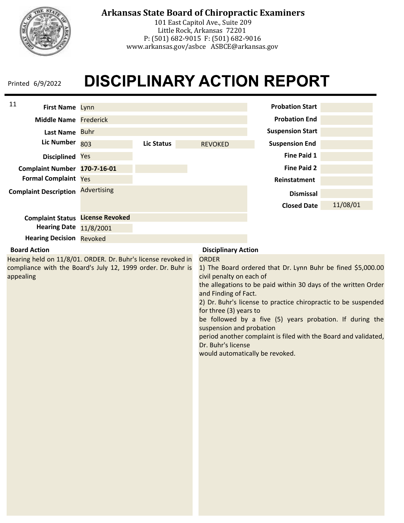

101 East Capitol Ave., Suite 209 Little Rock, Arkansas 72201 P: (501) 682-9015 F: (501) 682-9016 www.arkansas.gov/asbce ASBCE@arkansas.gov

| 11<br>First Name Lynn                                                                                                                      |                    |                   |                                                                                                                                                                                 | <b>Probation Start</b>                                                                                                                                                                                                                                                                                                         |          |
|--------------------------------------------------------------------------------------------------------------------------------------------|--------------------|-------------------|---------------------------------------------------------------------------------------------------------------------------------------------------------------------------------|--------------------------------------------------------------------------------------------------------------------------------------------------------------------------------------------------------------------------------------------------------------------------------------------------------------------------------|----------|
| <b>Middle Name Frederick</b>                                                                                                               |                    |                   |                                                                                                                                                                                 | <b>Probation End</b>                                                                                                                                                                                                                                                                                                           |          |
| Last Name Buhr                                                                                                                             |                    |                   |                                                                                                                                                                                 | <b>Suspension Start</b>                                                                                                                                                                                                                                                                                                        |          |
| <b>Lic Number</b>                                                                                                                          | 803                | <b>Lic Status</b> | <b>REVOKED</b>                                                                                                                                                                  | <b>Suspension End</b>                                                                                                                                                                                                                                                                                                          |          |
| Disciplined Yes                                                                                                                            |                    |                   |                                                                                                                                                                                 | <b>Fine Paid 1</b>                                                                                                                                                                                                                                                                                                             |          |
| Complaint Number 170-7-16-01                                                                                                               |                    |                   |                                                                                                                                                                                 | <b>Fine Paid 2</b>                                                                                                                                                                                                                                                                                                             |          |
| <b>Formal Complaint Yes</b>                                                                                                                |                    |                   |                                                                                                                                                                                 | Reinstatment                                                                                                                                                                                                                                                                                                                   |          |
| <b>Complaint Description</b>                                                                                                               | <b>Advertising</b> |                   |                                                                                                                                                                                 | <b>Dismissal</b>                                                                                                                                                                                                                                                                                                               |          |
|                                                                                                                                            |                    |                   |                                                                                                                                                                                 | <b>Closed Date</b>                                                                                                                                                                                                                                                                                                             | 11/08/01 |
| <b>Complaint Status License Revoked</b>                                                                                                    |                    |                   |                                                                                                                                                                                 |                                                                                                                                                                                                                                                                                                                                |          |
| <b>Hearing Date</b>                                                                                                                        | 11/8/2001          |                   |                                                                                                                                                                                 |                                                                                                                                                                                                                                                                                                                                |          |
| <b>Hearing Decision Revoked</b>                                                                                                            |                    |                   |                                                                                                                                                                                 |                                                                                                                                                                                                                                                                                                                                |          |
| <b>Board Action</b>                                                                                                                        |                    |                   | <b>Disciplinary Action</b>                                                                                                                                                      |                                                                                                                                                                                                                                                                                                                                |          |
| Hearing held on 11/8/01. ORDER. Dr. Buhr's license revoked in<br>compliance with the Board's July 12, 1999 order. Dr. Buhr is<br>appealing |                    |                   | <b>ORDER</b><br>civil penalty on each of<br>and Finding of Fact.<br>for three (3) years to<br>suspension and probation<br>Dr. Buhr's license<br>would automatically be revoked. | 1) The Board ordered that Dr. Lynn Buhr be fined \$5,000.00<br>the allegations to be paid within 30 days of the written Order<br>2) Dr. Buhr's license to practice chiropractic to be suspended<br>be followed by a five (5) years probation. If during the<br>period another complaint is filed with the Board and validated, |          |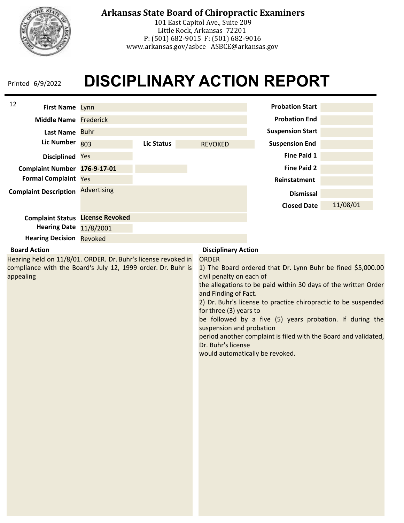

101 East Capitol Ave., Suite 209 Little Rock, Arkansas 72201 P: (501) 682-9015 F: (501) 682-9016 www.arkansas.gov/asbce ASBCE@arkansas.gov

| 12<br>First Name Lynn                                         |                    |            |                                                                                                                                                                 | <b>Probation Start</b>                                                                                                                                                                                                                                          |          |
|---------------------------------------------------------------|--------------------|------------|-----------------------------------------------------------------------------------------------------------------------------------------------------------------|-----------------------------------------------------------------------------------------------------------------------------------------------------------------------------------------------------------------------------------------------------------------|----------|
| <b>Middle Name Frederick</b>                                  |                    |            |                                                                                                                                                                 | <b>Probation End</b>                                                                                                                                                                                                                                            |          |
| Last Name Buhr                                                |                    |            |                                                                                                                                                                 | <b>Suspension Start</b>                                                                                                                                                                                                                                         |          |
| <b>Lic Number</b>                                             |                    |            |                                                                                                                                                                 |                                                                                                                                                                                                                                                                 |          |
|                                                               | 803                | Lic Status | <b>REVOKED</b>                                                                                                                                                  | <b>Suspension End</b>                                                                                                                                                                                                                                           |          |
| Disciplined Yes                                               |                    |            |                                                                                                                                                                 | <b>Fine Paid 1</b>                                                                                                                                                                                                                                              |          |
| Complaint Number 176-9-17-01                                  |                    |            |                                                                                                                                                                 | <b>Fine Paid 2</b>                                                                                                                                                                                                                                              |          |
| <b>Formal Complaint Yes</b>                                   |                    |            |                                                                                                                                                                 | Reinstatment                                                                                                                                                                                                                                                    |          |
| <b>Complaint Description</b>                                  | <b>Advertising</b> |            |                                                                                                                                                                 | <b>Dismissal</b>                                                                                                                                                                                                                                                |          |
|                                                               |                    |            |                                                                                                                                                                 | <b>Closed Date</b>                                                                                                                                                                                                                                              | 11/08/01 |
| <b>Complaint Status License Revoked</b>                       |                    |            |                                                                                                                                                                 |                                                                                                                                                                                                                                                                 |          |
| <b>Hearing Date</b>                                           | 11/8/2001          |            |                                                                                                                                                                 |                                                                                                                                                                                                                                                                 |          |
| <b>Hearing Decision Revoked</b>                               |                    |            |                                                                                                                                                                 |                                                                                                                                                                                                                                                                 |          |
| <b>Board Action</b>                                           |                    |            | <b>Disciplinary Action</b>                                                                                                                                      |                                                                                                                                                                                                                                                                 |          |
| Hearing held on 11/8/01. ORDER. Dr. Buhr's license revoked in |                    |            | <b>ORDER</b>                                                                                                                                                    |                                                                                                                                                                                                                                                                 |          |
| appealing                                                     |                    |            | civil penalty on each of<br>and Finding of Fact.<br>for three (3) years to<br>suspension and probation<br>Dr. Buhr's license<br>would automatically be revoked. | the allegations to be paid within 30 days of the written Order<br>2) Dr. Buhr's license to practice chiropractic to be suspended<br>be followed by a five (5) years probation. If during the<br>period another complaint is filed with the Board and validated, |          |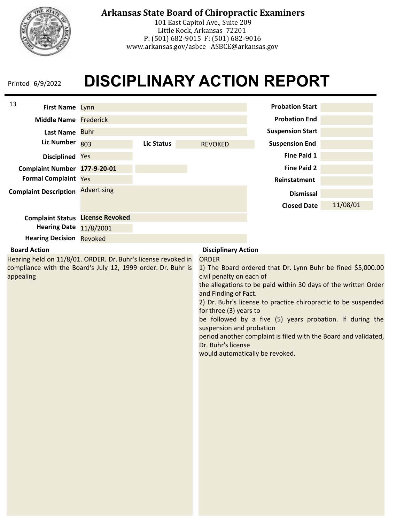

101 East Capitol Ave., Suite 209 Little Rock, Arkansas 72201 P: (501) 682-9015 F: (501) 682-9016 www.arkansas.gov/asbce ASBCE@arkansas.gov

| 13<br>First Name Lynn                                                                                                                      |                    |                   |                                                                                                                                                                                 | <b>Probation Start</b>                                                                                                                                                                                                                                                                                                         |          |
|--------------------------------------------------------------------------------------------------------------------------------------------|--------------------|-------------------|---------------------------------------------------------------------------------------------------------------------------------------------------------------------------------|--------------------------------------------------------------------------------------------------------------------------------------------------------------------------------------------------------------------------------------------------------------------------------------------------------------------------------|----------|
| <b>Middle Name Frederick</b>                                                                                                               |                    |                   |                                                                                                                                                                                 | <b>Probation End</b>                                                                                                                                                                                                                                                                                                           |          |
| Last Name Buhr                                                                                                                             |                    |                   |                                                                                                                                                                                 | <b>Suspension Start</b>                                                                                                                                                                                                                                                                                                        |          |
| <b>Lic Number</b>                                                                                                                          | 803                | <b>Lic Status</b> | <b>REVOKED</b>                                                                                                                                                                  | <b>Suspension End</b>                                                                                                                                                                                                                                                                                                          |          |
| Disciplined Yes                                                                                                                            |                    |                   |                                                                                                                                                                                 | <b>Fine Paid 1</b>                                                                                                                                                                                                                                                                                                             |          |
| Complaint Number 177-9-20-01                                                                                                               |                    |                   |                                                                                                                                                                                 | <b>Fine Paid 2</b>                                                                                                                                                                                                                                                                                                             |          |
| <b>Formal Complaint Yes</b>                                                                                                                |                    |                   |                                                                                                                                                                                 | Reinstatment                                                                                                                                                                                                                                                                                                                   |          |
| <b>Complaint Description</b>                                                                                                               | <b>Advertising</b> |                   |                                                                                                                                                                                 | <b>Dismissal</b>                                                                                                                                                                                                                                                                                                               |          |
|                                                                                                                                            |                    |                   |                                                                                                                                                                                 | <b>Closed Date</b>                                                                                                                                                                                                                                                                                                             | 11/08/01 |
| <b>Complaint Status License Revoked</b>                                                                                                    |                    |                   |                                                                                                                                                                                 |                                                                                                                                                                                                                                                                                                                                |          |
| <b>Hearing Date</b>                                                                                                                        | 11/8/2001          |                   |                                                                                                                                                                                 |                                                                                                                                                                                                                                                                                                                                |          |
| <b>Hearing Decision Revoked</b>                                                                                                            |                    |                   |                                                                                                                                                                                 |                                                                                                                                                                                                                                                                                                                                |          |
| <b>Board Action</b>                                                                                                                        |                    |                   | <b>Disciplinary Action</b>                                                                                                                                                      |                                                                                                                                                                                                                                                                                                                                |          |
| Hearing held on 11/8/01. ORDER. Dr. Buhr's license revoked in<br>compliance with the Board's July 12, 1999 order. Dr. Buhr is<br>appealing |                    |                   | <b>ORDER</b><br>civil penalty on each of<br>and Finding of Fact.<br>for three (3) years to<br>suspension and probation<br>Dr. Buhr's license<br>would automatically be revoked. | 1) The Board ordered that Dr. Lynn Buhr be fined \$5,000.00<br>the allegations to be paid within 30 days of the written Order<br>2) Dr. Buhr's license to practice chiropractic to be suspended<br>be followed by a five (5) years probation. If during the<br>period another complaint is filed with the Board and validated, |          |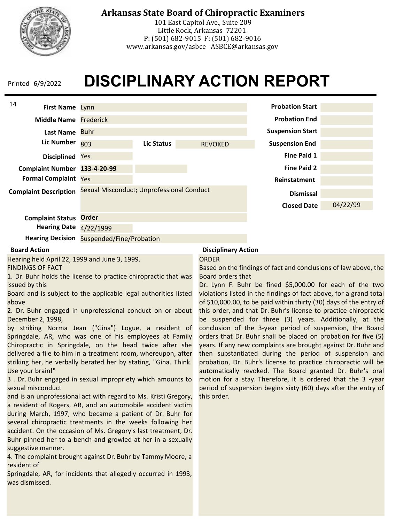

## **Arkansas State Board of Chiropractic Examiners**

101 East Capitol Ave., Suite 209 Little Rock, Arkansas 72201 P: (501) 682-9015 F: (501) 682-9016 www.arkansas.gov/asbce ASBCE@arkansas.gov

## **DISCIPLINARY ACTION REPORT**



**Hearing Decision** Suspended/Fine/Probation

#### **Board Action**

Hearing held April 22, 1999 and June 3, 1999. FINDINGS OF FACT

1. Dr. Buhr holds the license to practice chiropractic that was issued by this

Board and is subject to the applicable legal authorities listed above.

2. Dr. Buhr engaged in unprofessional conduct on or about December 2, 1998,

by striking Norma Jean ("Gina") Logue, a resident of Springdale, AR, who was one of his employees at Family Chiropractic in Springdale, on the head twice after she delivered a file to him in a treatment room, whereupon, after striking her, he verbally berated her by stating, "Gina. Think. Use your brain!"

3 . Dr. Buhr engaged in sexual impropriety which amounts to sexual misconduct

and is an unprofessional act with regard to Ms. Kristi Gregory, a resident of Rogers, AR, and an automobile accident victim during March, 1997, who became a patient of Dr. Buhr for several chiropractic treatments in the weeks following her accident. On the occasion of Ms. Gregory's last treatment, Dr. Buhr pinned her to a bench and growled at her in a sexually suggestive manner.

4. The complaint brought against Dr. Buhr by Tammy Moore, a resident of

Springdale, AR, for incidents that allegedly occurred in 1993, was dismissed.

#### **Disciplinary Action**

#### ORDER

Based on the findings of fact and conclusions of law above, the Board orders that

Dr. Lynn F. Buhr be fined \$5,000.00 for each of the two violations listed in the findings of fact above, for a grand total of \$10,000.00, to be paid within thirty (30) days of the entry of this order, and that Dr. Buhr's license to practice chiropractic be suspended for three (3) years. Additionally, at the conclusion of the 3-year period of suspension, the Board orders that Dr. Buhr shall be placed on probation for five (5) years. If any new complaints are brought against Dr. Buhr and then substantiated during the period of suspension and probation, Dr. Buhr's license to practice chiropractic will be automatically revoked. The Board granted Dr. Buhr's oral motion for a stay. Therefore, it is ordered that the 3 -year period of suspension begins sixty (60) days after the entry of this order.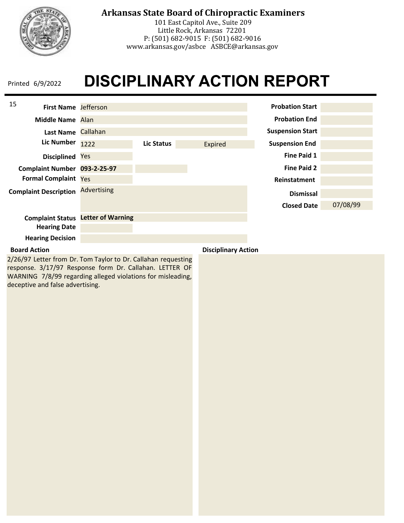

101 East Capitol Ave., Suite 209 Little Rock, Arkansas 72201 P: (501) 682-9015 F: (501) 682-9016 www.arkansas.gov/asbce ASBCE@arkansas.gov

### **DISCIPLINARY ACTION REPORT** Printed 6/9/2022

| 15<br><b>First Name</b> Jefferson |                          |            |                            | <b>Probation Start</b>  |          |
|-----------------------------------|--------------------------|------------|----------------------------|-------------------------|----------|
| Middle Name Alan                  |                          |            |                            | <b>Probation End</b>    |          |
| Last Name Callahan                |                          |            |                            | <b>Suspension Start</b> |          |
| <b>Lic Number</b>                 | 1222                     | Lic Status | Expired                    | <b>Suspension End</b>   |          |
| <b>Disciplined</b>                | Yes                      |            |                            | <b>Fine Paid 1</b>      |          |
| Complaint Number 093-2-25-97      |                          |            |                            | <b>Fine Paid 2</b>      |          |
| <b>Formal Complaint Yes</b>       |                          |            |                            | Reinstatment            |          |
| <b>Complaint Description</b>      | <b>Advertising</b>       |            |                            | <b>Dismissal</b>        |          |
|                                   |                          |            |                            | <b>Closed Date</b>      | 07/08/99 |
| <b>Complaint Status</b>           | <b>Letter of Warning</b> |            |                            |                         |          |
| <b>Hearing Date</b>               |                          |            |                            |                         |          |
| <b>Hearing Decision</b>           |                          |            |                            |                         |          |
| <b>Board Action</b>               |                          |            | <b>Disciplinary Action</b> |                         |          |

2/26/97 Letter from Dr. Tom Taylor to Dr. Callahan requesting response. 3/17/97 Response form Dr. Callahan. LETTER OF WARNING 7/8/99 regarding alleged violations for misleading, deceptive and false advertising.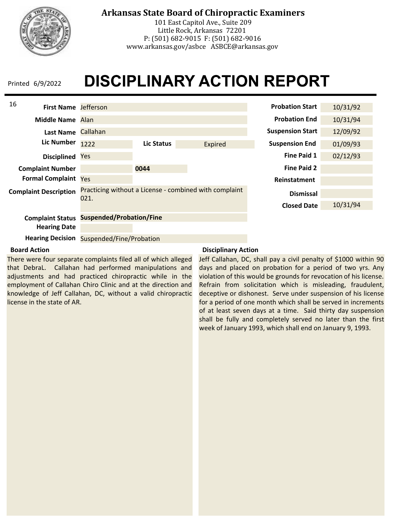

## **Arkansas State Board of Chiropractic Examiners**

101 East Capitol Ave., Suite 209 Little Rock, Arkansas 72201 P: (501) 682-9015 F: (501) 682-9016 www.arkansas.gov/asbce ASBCE@arkansas.gov

## **DISCIPLINARY ACTION REPORT**



**Hearing Decision** Suspended/Fine/Probation

#### **Board Action**

There were four separate complaints filed all of which alleged that DebraL. Callahan had performed manipulations and adjustments and had practiced chiropractic while in the employment of Callahan Chiro Clinic and at the direction and knowledge of Jeff Callahan, DC, without a valid chiropractic license in the state of AR.

#### **Disciplinary Action**

Jeff Callahan, DC, shall pay a civil penalty of \$1000 within 90 days and placed on probation for a period of two yrs. Any violation of this would be grounds for revocation of his license. Refrain from solicitation which is misleading, fraudulent, deceptive or dishonest. Serve under suspension of his license for a period of one month which shall be served in increments of at least seven days at a time. Said thirty day suspension shall be fully and completely served no later than the first week of January 1993, which shall end on January 9, 1993.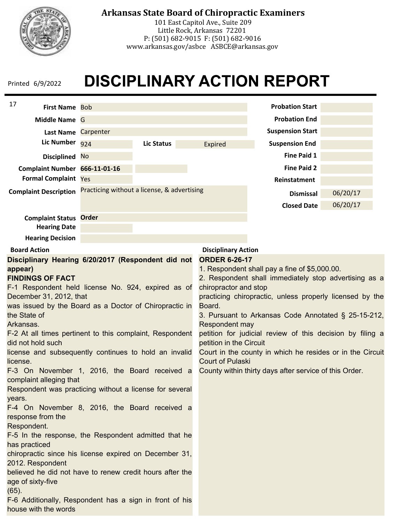

101 East Capitol Ave., Suite 209 Little Rock, Arkansas 72201 P: (501) 682-9015 F: (501) 682-9016 www.arkansas.gov/asbce ASBCE@arkansas.gov

| 17<br><b>First Name Bob</b>                                                       |                                             |                   |                            | <b>Probation Start</b>                                    |          |
|-----------------------------------------------------------------------------------|---------------------------------------------|-------------------|----------------------------|-----------------------------------------------------------|----------|
| Middle Name G                                                                     |                                             |                   |                            | <b>Probation End</b>                                      |          |
| Last Name Carpenter                                                               |                                             |                   |                            | <b>Suspension Start</b>                                   |          |
| Lic Number 924                                                                    |                                             | <b>Lic Status</b> | <b>Expired</b>             | <b>Suspension End</b>                                     |          |
| Disciplined No                                                                    |                                             |                   |                            | <b>Fine Paid 1</b>                                        |          |
| Complaint Number 666-11-01-16                                                     |                                             |                   |                            | <b>Fine Paid 2</b>                                        |          |
| <b>Formal Complaint Yes</b>                                                       |                                             |                   |                            | Reinstatment                                              |          |
| <b>Complaint Description</b>                                                      | Practicing without a license, & advertising |                   |                            | <b>Dismissal</b>                                          | 06/20/17 |
|                                                                                   |                                             |                   |                            | <b>Closed Date</b>                                        | 06/20/17 |
| <b>Complaint Status Order</b>                                                     |                                             |                   |                            |                                                           |          |
| <b>Hearing Date</b>                                                               |                                             |                   |                            |                                                           |          |
| <b>Hearing Decision</b>                                                           |                                             |                   |                            |                                                           |          |
| <b>Board Action</b>                                                               |                                             |                   | <b>Disciplinary Action</b> |                                                           |          |
| Disciplinary Hearing 6/20/2017 (Respondent did not                                |                                             |                   | <b>ORDER 6-26-17</b>       |                                                           |          |
| appear)                                                                           |                                             |                   |                            | 1. Respondent shall pay a fine of \$5,000.00.             |          |
| <b>FINDINGS OF FACT</b>                                                           |                                             |                   |                            | 2. Respondent shall immediately stop advertising as a     |          |
| F-1 Respondent held license No. 924, expired as of                                |                                             |                   | chiropractor and stop      |                                                           |          |
| December 31, 2012, that<br>was issued by the Board as a Doctor of Chiropractic in |                                             |                   | Board.                     | practicing chiropractic, unless properly licensed by the  |          |
| the State of                                                                      |                                             |                   |                            | 3. Pursuant to Arkansas Code Annotated § 25-15-212,       |          |
| Arkansas.                                                                         |                                             |                   | Respondent may             |                                                           |          |
| F-2 At all times pertinent to this complaint, Respondent                          |                                             |                   |                            | petition for judicial review of this decision by filing a |          |
| did not hold such                                                                 |                                             |                   | petition in the Circuit    |                                                           |          |
| license and subsequently continues to hold an invalid                             |                                             |                   | <b>Court of Pulaski</b>    | Court in the county in which he resides or in the Circuit |          |
| license.<br>F-3 On November 1, 2016, the Board received a                         |                                             |                   |                            | County within thirty days after service of this Order.    |          |
| complaint alleging that                                                           |                                             |                   |                            |                                                           |          |
| Respondent was practicing without a license for several                           |                                             |                   |                            |                                                           |          |
| years.                                                                            |                                             |                   |                            |                                                           |          |
| F-4 On November 8, 2016, the Board received a                                     |                                             |                   |                            |                                                           |          |
| response from the<br>Respondent.                                                  |                                             |                   |                            |                                                           |          |
| F-5 In the response, the Respondent admitted that he                              |                                             |                   |                            |                                                           |          |
| has practiced                                                                     |                                             |                   |                            |                                                           |          |
| chiropractic since his license expired on December 31,                            |                                             |                   |                            |                                                           |          |
| 2012. Respondent                                                                  |                                             |                   |                            |                                                           |          |
| believed he did not have to renew credit hours after the                          |                                             |                   |                            |                                                           |          |
| age of sixty-five                                                                 |                                             |                   |                            |                                                           |          |
| $(65)$ .                                                                          |                                             |                   |                            |                                                           |          |
| F-6 Additionally, Respondent has a sign in front of his<br>house with the words   |                                             |                   |                            |                                                           |          |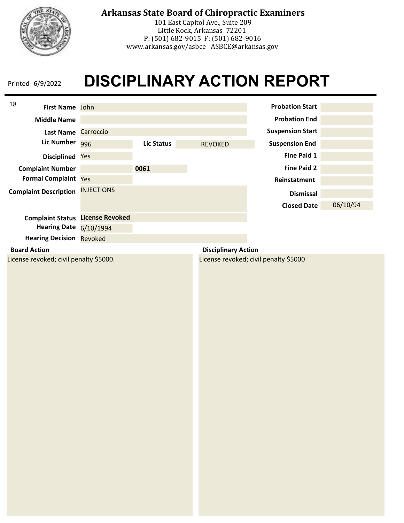

101 East Capitol Ave., Suite 209 Little Rock, Arkansas 72201 P: (501) 682-9015 F: (501) 682-9016 www.arkansas.gov/asbce ASBCE@arkansas.gov

| 18<br><b>First Name</b> John           |                        |            |                            | <b>Probation Start</b>                |          |
|----------------------------------------|------------------------|------------|----------------------------|---------------------------------------|----------|
| <b>Middle Name</b>                     |                        |            |                            | <b>Probation End</b>                  |          |
| <b>Last Name</b>                       | Carroccio              |            |                            | <b>Suspension Start</b>               |          |
| Lic Number                             | 996                    | Lic Status | <b>REVOKED</b>             | <b>Suspension End</b>                 |          |
| <b>Disciplined</b>                     | Yes                    |            |                            | Fine Paid 1                           |          |
| <b>Complaint Number</b>                |                        | 0061       |                            | <b>Fine Paid 2</b>                    |          |
| <b>Formal Complaint Yes</b>            |                        |            |                            | Reinstatment                          |          |
| <b>Complaint Description</b>           | <b>INJECTIONS</b>      |            |                            | <b>Dismissal</b>                      |          |
|                                        |                        |            |                            | <b>Closed Date</b>                    | 06/10/94 |
| <b>Complaint Status</b>                | <b>License Revoked</b> |            |                            |                                       |          |
| <b>Hearing Date</b>                    | 6/10/1994              |            |                            |                                       |          |
| <b>Hearing Decision</b>                | <b>Revoked</b>         |            |                            |                                       |          |
| <b>Board Action</b>                    |                        |            | <b>Disciplinary Action</b> |                                       |          |
| License revoked; civil penalty \$5000. |                        |            |                            | License revoked; civil penalty \$5000 |          |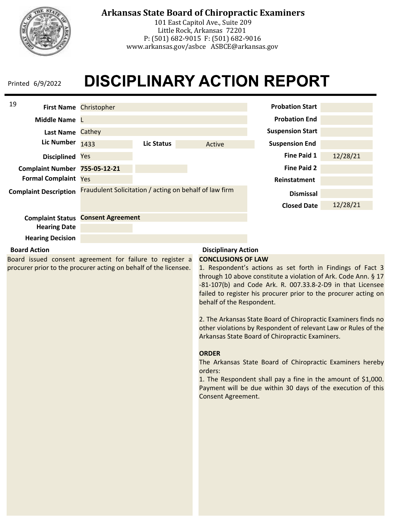

## **Arkansas State Board of Chiropractic Examiners**

101 East Capitol Ave., Suite 209 Little Rock, Arkansas 72201 P: (501) 682-9015 F: (501) 682-9016 www.arkansas.gov/asbce ASBCE@arkansas.gov

## **DISCIPLINARY ACTION REPORT**

| 19                                                                                                                           |                                                        |                   |                                                                                                         |                                                                                                                                                                                                                                                                                                                                                                                                                                                                                                                                                                                                                                                  |          |
|------------------------------------------------------------------------------------------------------------------------------|--------------------------------------------------------|-------------------|---------------------------------------------------------------------------------------------------------|--------------------------------------------------------------------------------------------------------------------------------------------------------------------------------------------------------------------------------------------------------------------------------------------------------------------------------------------------------------------------------------------------------------------------------------------------------------------------------------------------------------------------------------------------------------------------------------------------------------------------------------------------|----------|
|                                                                                                                              | First Name Christopher                                 |                   |                                                                                                         | <b>Probation Start</b>                                                                                                                                                                                                                                                                                                                                                                                                                                                                                                                                                                                                                           |          |
| Middle Name L                                                                                                                |                                                        |                   |                                                                                                         | <b>Probation End</b>                                                                                                                                                                                                                                                                                                                                                                                                                                                                                                                                                                                                                             |          |
| Last Name Cathey                                                                                                             |                                                        |                   |                                                                                                         | <b>Suspension Start</b>                                                                                                                                                                                                                                                                                                                                                                                                                                                                                                                                                                                                                          |          |
| <b>Lic Number</b>                                                                                                            | 1433                                                   | <b>Lic Status</b> | Active                                                                                                  | <b>Suspension End</b>                                                                                                                                                                                                                                                                                                                                                                                                                                                                                                                                                                                                                            |          |
| Disciplined Yes                                                                                                              |                                                        |                   |                                                                                                         | <b>Fine Paid 1</b>                                                                                                                                                                                                                                                                                                                                                                                                                                                                                                                                                                                                                               | 12/28/21 |
| Complaint Number 755-05-12-21                                                                                                |                                                        |                   |                                                                                                         | <b>Fine Paid 2</b>                                                                                                                                                                                                                                                                                                                                                                                                                                                                                                                                                                                                                               |          |
| <b>Formal Complaint Yes</b>                                                                                                  |                                                        |                   |                                                                                                         | Reinstatment                                                                                                                                                                                                                                                                                                                                                                                                                                                                                                                                                                                                                                     |          |
| <b>Complaint Description</b>                                                                                                 | Fraudulent Solicitation / acting on behalf of law firm |                   |                                                                                                         | <b>Dismissal</b><br><b>Closed Date</b>                                                                                                                                                                                                                                                                                                                                                                                                                                                                                                                                                                                                           | 12/28/21 |
|                                                                                                                              | <b>Complaint Status Consent Agreement</b>              |                   |                                                                                                         |                                                                                                                                                                                                                                                                                                                                                                                                                                                                                                                                                                                                                                                  |          |
| <b>Hearing Date</b>                                                                                                          |                                                        |                   |                                                                                                         |                                                                                                                                                                                                                                                                                                                                                                                                                                                                                                                                                                                                                                                  |          |
| <b>Hearing Decision</b>                                                                                                      |                                                        |                   |                                                                                                         |                                                                                                                                                                                                                                                                                                                                                                                                                                                                                                                                                                                                                                                  |          |
| <b>Board Action</b>                                                                                                          |                                                        |                   | <b>Disciplinary Action</b>                                                                              |                                                                                                                                                                                                                                                                                                                                                                                                                                                                                                                                                                                                                                                  |          |
| Board issued consent agreement for failure to register a<br>procurer prior to the procurer acting on behalf of the licensee. |                                                        |                   | <b>CONCLUSIONS OF LAW</b><br>behalf of the Respondent.<br><b>ORDER</b><br>orders:<br>Consent Agreement. | 1. Respondent's actions as set forth in Findings of Fact 3<br>through 10 above constitute a violation of Ark. Code Ann. § 17<br>-81-107(b) and Code Ark. R. 007.33.8-2-D9 in that Licensee<br>failed to register his procurer prior to the procurer acting on<br>2. The Arkansas State Board of Chiropractic Examiners finds no<br>other violations by Respondent of relevant Law or Rules of the<br>Arkansas State Board of Chiropractic Examiners.<br>The Arkansas State Board of Chiropractic Examiners hereby<br>1. The Respondent shall pay a fine in the amount of \$1,000.<br>Payment will be due within 30 days of the execution of this |          |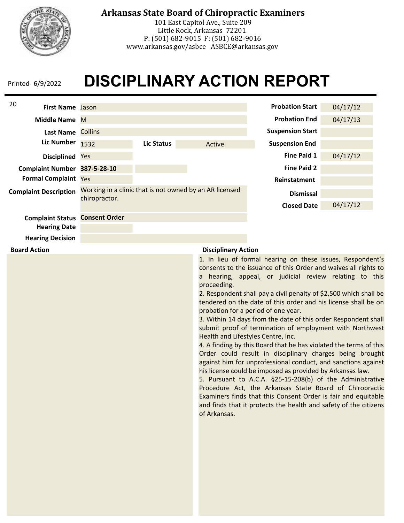

**Board Action**

## **Arkansas State Board of Chiropractic Examiners**

101 East Capitol Ave., Suite 209 Little Rock, Arkansas 72201 P: (501) 682-9015 F: (501) 682-9016 www.arkansas.gov/asbce ASBCE@arkansas.gov

# **DISCIPLINARY ACTION REPORT**

| 20<br><b>First Name</b> Jason |                      |            |                                                         | <b>Probation Start</b>  | 04/17/12 |
|-------------------------------|----------------------|------------|---------------------------------------------------------|-------------------------|----------|
| Middle Name M                 |                      |            |                                                         | <b>Probation End</b>    | 04/17/13 |
| <b>Last Name</b>              | <b>Collins</b>       |            |                                                         | <b>Suspension Start</b> |          |
| <b>Lic Number</b>             | 1532                 | Lic Status | Active                                                  | <b>Suspension End</b>   |          |
| <b>Disciplined</b>            | Yes                  |            |                                                         | Fine Paid 1             | 04/17/12 |
| <b>Complaint Number</b>       | 387-5-28-10          |            |                                                         | <b>Fine Paid 2</b>      |          |
| <b>Formal Complaint</b>       | <b>Yes</b>           |            |                                                         | Reinstatment            |          |
| <b>Complaint Description</b>  | chiropractor.        |            | Working in a clinic that is not owned by an AR licensed | <b>Dismissal</b>        |          |
|                               |                      |            |                                                         | <b>Closed Date</b>      | 04/17/12 |
| <b>Complaint Status</b>       | <b>Consent Order</b> |            |                                                         |                         |          |
| <b>Hearing Date</b>           |                      |            |                                                         |                         |          |
| <b>Hearing Decision</b>       |                      |            |                                                         |                         |          |

#### **Disciplinary Action**

1. In lieu of formal hearing on these issues, Respondent's consents to the issuance of this Order and waives all rights to a hearing, appeal, or judicial review relating to this proceeding.

2. Respondent shall pay a civil penalty of \$2,500 which shall be tendered on the date of this order and his license shall be on probation for a period of one year.

3. Within 14 days from the date of this order Respondent shall submit proof of termination of employment with Northwest Health and Lifestyles Centre, Inc.

4. A finding by this Board that he has violated the terms of this Order could result in disciplinary charges being brought against him for unprofessional conduct, and sanctions against his license could be imposed as provided by Arkansas law.

5. Pursuant to A.C.A. §25-15-208(b) of the Administrative Procedure Act, the Arkansas State Board of Chiropractic Examiners finds that this Consent Order is fair and equitable and finds that it protects the health and safety of the citizens of Arkansas.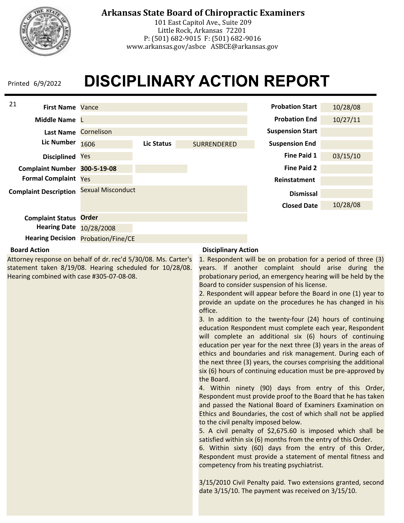

## **Arkansas State Board of Chiropractic Examiners**

101 East Capitol Ave., Suite 209 Little Rock, Arkansas 72201 P: (501) 682-9015 F: (501) 682-9016 www.arkansas.gov/asbce ASBCE@arkansas.gov

## **DISCIPLINARY ACTION REPORT**



#### **Board Action**

Attorney response on behalf of dr. rec'd 5/30/08. Ms. Carter's statement taken 8/19/08. Hearing scheduled for 10/28/08. Hearing combined with case #305-07-08-08.

#### **Disciplinary Action**

1. Respondent will be on probation for a period of three (3) years. If another complaint should arise during the probationary period, an emergency hearing will be held by the Board to consider suspension of his license.

2. Respondent will appear before the Board in one (1) year to provide an update on the procedures he has changed in his office.

3. In addition to the twenty-four (24) hours of continuing education Respondent must complete each year, Respondent will complete an additional six (6) hours of continuing education per year for the next three (3) years in the areas of ethics and boundaries and risk management. During each of the next three (3) years, the courses comprising the additional six (6) hours of continuing education must be pre-approved by the Board.

4. Within ninety (90) days from entry of this Order, Respondent must provide proof to the Board that he has taken and passed the National Board of Examiners Examination on Ethics and Boundaries, the cost of which shall not be applied to the civil penalty imposed below.

5. A civil penalty of \$2,675.60 is imposed which shall be satisfied within six (6) months from the entry of this Order.

6. Within sixty (60) days from the entry of this Order, Respondent must provide a statement of mental fitness and competency from his treating psychiatrist.

3/15/2010 Civil Penalty paid. Two extensions granted, second date 3/15/10. The payment was received on 3/15/10.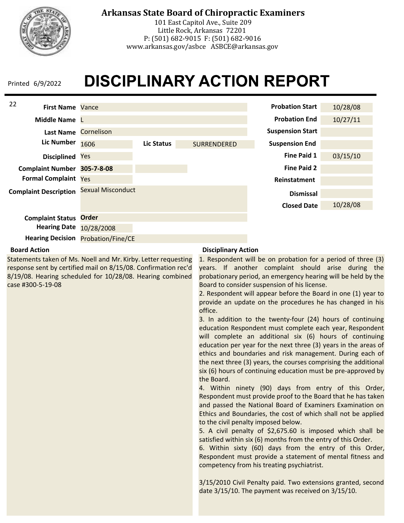

## **Arkansas State Board of Chiropractic Examiners**

101 East Capitol Ave., Suite 209 Little Rock, Arkansas 72201 P: (501) 682-9015 F: (501) 682-9016 www.arkansas.gov/asbce ASBCE@arkansas.gov

# **DISCIPLINARY ACTION REPORT**



#### **Board Action**

Statements taken of Ms. Noell and Mr. Kirby. Letter requesting response sent by certified mail on 8/15/08. Confirmation rec'd 8/19/08. Hearing scheduled for 10/28/08. Hearing combined case #300-5-19-08

#### **Disciplinary Action**

1. Respondent will be on probation for a period of three (3) years. If another complaint should arise during the probationary period, an emergency hearing will be held by the Board to consider suspension of his license.

2. Respondent will appear before the Board in one (1) year to provide an update on the procedures he has changed in his office.

3. In addition to the twenty-four (24) hours of continuing education Respondent must complete each year, Respondent will complete an additional six (6) hours of continuing education per year for the next three (3) years in the areas of ethics and boundaries and risk management. During each of the next three (3) years, the courses comprising the additional six (6) hours of continuing education must be pre-approved by the Board.

4. Within ninety (90) days from entry of this Order, Respondent must provide proof to the Board that he has taken and passed the National Board of Examiners Examination on Ethics and Boundaries, the cost of which shall not be applied to the civil penalty imposed below.

5. A civil penalty of \$2,675.60 is imposed which shall be satisfied within six (6) months from the entry of this Order.

6. Within sixty (60) days from the entry of this Order, Respondent must provide a statement of mental fitness and competency from his treating psychiatrist.

3/15/2010 Civil Penalty paid. Two extensions granted, second date 3/15/10. The payment was received on 3/15/10.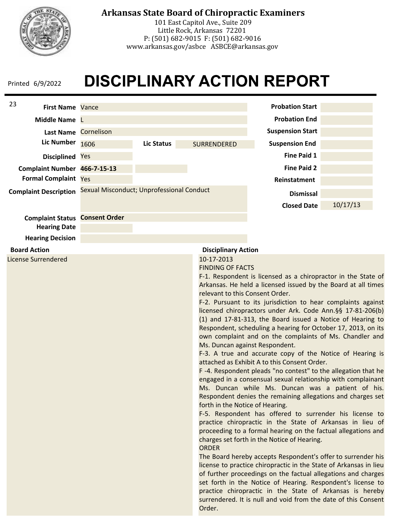

## **Arkansas State Board of Chiropractic Examiners**

101 East Capitol Ave., Suite 209 Little Rock, Arkansas 72201 P: (501) 682-9015 F: (501) 682-9016 www.arkansas.gov/asbce ASBCE@arkansas.gov

## **DISCIPLINARY ACTION REPORT**

| 23<br><b>First Name Vance</b>                                                           |                                           |                   |                                                                                                                             | <b>Probation Start</b>                                                                                                                                                                                                                                                                                                                                                                                                                                                                                                                                                                                                                                                                                                                                                                                                                                                                                                                                                                                                                                                                                                                                                                                                                                                                                                                                                                                                                                                                                 |          |
|-----------------------------------------------------------------------------------------|-------------------------------------------|-------------------|-----------------------------------------------------------------------------------------------------------------------------|--------------------------------------------------------------------------------------------------------------------------------------------------------------------------------------------------------------------------------------------------------------------------------------------------------------------------------------------------------------------------------------------------------------------------------------------------------------------------------------------------------------------------------------------------------------------------------------------------------------------------------------------------------------------------------------------------------------------------------------------------------------------------------------------------------------------------------------------------------------------------------------------------------------------------------------------------------------------------------------------------------------------------------------------------------------------------------------------------------------------------------------------------------------------------------------------------------------------------------------------------------------------------------------------------------------------------------------------------------------------------------------------------------------------------------------------------------------------------------------------------------|----------|
| Middle Name L                                                                           |                                           |                   |                                                                                                                             | <b>Probation End</b>                                                                                                                                                                                                                                                                                                                                                                                                                                                                                                                                                                                                                                                                                                                                                                                                                                                                                                                                                                                                                                                                                                                                                                                                                                                                                                                                                                                                                                                                                   |          |
| <b>Last Name</b>                                                                        | Cornelison                                |                   |                                                                                                                             | <b>Suspension Start</b>                                                                                                                                                                                                                                                                                                                                                                                                                                                                                                                                                                                                                                                                                                                                                                                                                                                                                                                                                                                                                                                                                                                                                                                                                                                                                                                                                                                                                                                                                |          |
| <b>Lic Number</b>                                                                       | 1606                                      | <b>Lic Status</b> | SURRENDERED                                                                                                                 | <b>Suspension End</b>                                                                                                                                                                                                                                                                                                                                                                                                                                                                                                                                                                                                                                                                                                                                                                                                                                                                                                                                                                                                                                                                                                                                                                                                                                                                                                                                                                                                                                                                                  |          |
| Disciplined Yes                                                                         |                                           |                   |                                                                                                                             | <b>Fine Paid 1</b>                                                                                                                                                                                                                                                                                                                                                                                                                                                                                                                                                                                                                                                                                                                                                                                                                                                                                                                                                                                                                                                                                                                                                                                                                                                                                                                                                                                                                                                                                     |          |
| Complaint Number 466-7-15-13                                                            |                                           |                   |                                                                                                                             | <b>Fine Paid 2</b>                                                                                                                                                                                                                                                                                                                                                                                                                                                                                                                                                                                                                                                                                                                                                                                                                                                                                                                                                                                                                                                                                                                                                                                                                                                                                                                                                                                                                                                                                     |          |
| <b>Formal Complaint Yes</b>                                                             |                                           |                   |                                                                                                                             | Reinstatment                                                                                                                                                                                                                                                                                                                                                                                                                                                                                                                                                                                                                                                                                                                                                                                                                                                                                                                                                                                                                                                                                                                                                                                                                                                                                                                                                                                                                                                                                           |          |
| <b>Complaint Description</b>                                                            | Sexual Misconduct; Unprofessional Conduct |                   |                                                                                                                             | <b>Dismissal</b>                                                                                                                                                                                                                                                                                                                                                                                                                                                                                                                                                                                                                                                                                                                                                                                                                                                                                                                                                                                                                                                                                                                                                                                                                                                                                                                                                                                                                                                                                       |          |
|                                                                                         |                                           |                   |                                                                                                                             | <b>Closed Date</b>                                                                                                                                                                                                                                                                                                                                                                                                                                                                                                                                                                                                                                                                                                                                                                                                                                                                                                                                                                                                                                                                                                                                                                                                                                                                                                                                                                                                                                                                                     | 10/17/13 |
| <b>Complaint Status Consent Order</b><br><b>Hearing Date</b><br><b>Hearing Decision</b> |                                           |                   |                                                                                                                             |                                                                                                                                                                                                                                                                                                                                                                                                                                                                                                                                                                                                                                                                                                                                                                                                                                                                                                                                                                                                                                                                                                                                                                                                                                                                                                                                                                                                                                                                                                        |          |
| <b>Board Action</b>                                                                     |                                           |                   | <b>Disciplinary Action</b>                                                                                                  |                                                                                                                                                                                                                                                                                                                                                                                                                                                                                                                                                                                                                                                                                                                                                                                                                                                                                                                                                                                                                                                                                                                                                                                                                                                                                                                                                                                                                                                                                                        |          |
| <b>License Surrendered</b>                                                              |                                           |                   | 10-17-2013<br><b>FINDING OF FACTS</b><br>relevant to this Consent Order.<br>forth in the Notice of Hearing.<br><b>ORDER</b> | F-1. Respondent is licensed as a chiropractor in the State of<br>Arkansas. He held a licensed issued by the Board at all times<br>F-2. Pursuant to its jurisdiction to hear complaints against<br>licensed chiropractors under Ark. Code Ann. §§ 17-81-206(b)<br>(1) and 17-81-313, the Board issued a Notice of Hearing to<br>Respondent, scheduling a hearing for October 17, 2013, on its<br>own complaint and on the complaints of Ms. Chandler and<br>Ms. Duncan against Respondent.<br>F-3. A true and accurate copy of the Notice of Hearing is<br>attached as Exhibit A to this Consent Order.<br>F-4. Respondent pleads "no contest" to the allegation that he<br>engaged in a consensual sexual relationship with complainant<br>Ms. Duncan while Ms. Duncan was a patient of his.<br>Respondent denies the remaining allegations and charges set<br>F-5. Respondent has offered to surrender his license to<br>practice chiropractic in the State of Arkansas in lieu of<br>proceeding to a formal hearing on the factual allegations and<br>charges set forth in the Notice of Hearing.<br>The Board hereby accepts Respondent's offer to surrender his<br>license to practice chiropractic in the State of Arkansas in lieu<br>of further proceedings on the factual allegations and charges<br>set forth in the Notice of Hearing. Respondent's license to<br>practice chiropractic in the State of Arkansas is hereby<br>surrendered. It is null and void from the date of this Consent |          |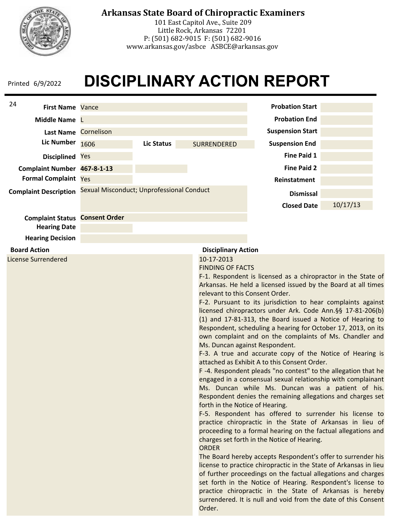

## **Arkansas State Board of Chiropractic Examiners**

101 East Capitol Ave., Suite 209 Little Rock, Arkansas 72201 P: (501) 682-9015 F: (501) 682-9016 www.arkansas.gov/asbce ASBCE@arkansas.gov

## **DISCIPLINARY ACTION REPORT**

| 24<br><b>First Name Vance</b>         |                                           |                   |                                                                                                                                       | <b>Probation Start</b>                                                                                                                                                                                                                                                                                                                                                                                                                                                                                                                                                                                                                                                                                                                                                                                                                                                                                                                                                                                                                                                                                                                                                                                                                                                                                                                                                                                                                                                                                 |          |
|---------------------------------------|-------------------------------------------|-------------------|---------------------------------------------------------------------------------------------------------------------------------------|--------------------------------------------------------------------------------------------------------------------------------------------------------------------------------------------------------------------------------------------------------------------------------------------------------------------------------------------------------------------------------------------------------------------------------------------------------------------------------------------------------------------------------------------------------------------------------------------------------------------------------------------------------------------------------------------------------------------------------------------------------------------------------------------------------------------------------------------------------------------------------------------------------------------------------------------------------------------------------------------------------------------------------------------------------------------------------------------------------------------------------------------------------------------------------------------------------------------------------------------------------------------------------------------------------------------------------------------------------------------------------------------------------------------------------------------------------------------------------------------------------|----------|
| Middle Name L                         |                                           |                   |                                                                                                                                       | <b>Probation End</b>                                                                                                                                                                                                                                                                                                                                                                                                                                                                                                                                                                                                                                                                                                                                                                                                                                                                                                                                                                                                                                                                                                                                                                                                                                                                                                                                                                                                                                                                                   |          |
| Last Name Cornelison                  |                                           |                   |                                                                                                                                       | <b>Suspension Start</b>                                                                                                                                                                                                                                                                                                                                                                                                                                                                                                                                                                                                                                                                                                                                                                                                                                                                                                                                                                                                                                                                                                                                                                                                                                                                                                                                                                                                                                                                                |          |
| <b>Lic Number</b>                     | 1606                                      | <b>Lic Status</b> | SURRENDERED                                                                                                                           | <b>Suspension End</b>                                                                                                                                                                                                                                                                                                                                                                                                                                                                                                                                                                                                                                                                                                                                                                                                                                                                                                                                                                                                                                                                                                                                                                                                                                                                                                                                                                                                                                                                                  |          |
| Disciplined Yes                       |                                           |                   |                                                                                                                                       | <b>Fine Paid 1</b>                                                                                                                                                                                                                                                                                                                                                                                                                                                                                                                                                                                                                                                                                                                                                                                                                                                                                                                                                                                                                                                                                                                                                                                                                                                                                                                                                                                                                                                                                     |          |
| Complaint Number 467-8-1-13           |                                           |                   |                                                                                                                                       | <b>Fine Paid 2</b>                                                                                                                                                                                                                                                                                                                                                                                                                                                                                                                                                                                                                                                                                                                                                                                                                                                                                                                                                                                                                                                                                                                                                                                                                                                                                                                                                                                                                                                                                     |          |
| <b>Formal Complaint Yes</b>           |                                           |                   |                                                                                                                                       | Reinstatment                                                                                                                                                                                                                                                                                                                                                                                                                                                                                                                                                                                                                                                                                                                                                                                                                                                                                                                                                                                                                                                                                                                                                                                                                                                                                                                                                                                                                                                                                           |          |
| <b>Complaint Description</b>          | Sexual Misconduct; Unprofessional Conduct |                   |                                                                                                                                       | <b>Dismissal</b>                                                                                                                                                                                                                                                                                                                                                                                                                                                                                                                                                                                                                                                                                                                                                                                                                                                                                                                                                                                                                                                                                                                                                                                                                                                                                                                                                                                                                                                                                       |          |
|                                       |                                           |                   |                                                                                                                                       | <b>Closed Date</b>                                                                                                                                                                                                                                                                                                                                                                                                                                                                                                                                                                                                                                                                                                                                                                                                                                                                                                                                                                                                                                                                                                                                                                                                                                                                                                                                                                                                                                                                                     | 10/17/13 |
| <b>Complaint Status Consent Order</b> |                                           |                   |                                                                                                                                       |                                                                                                                                                                                                                                                                                                                                                                                                                                                                                                                                                                                                                                                                                                                                                                                                                                                                                                                                                                                                                                                                                                                                                                                                                                                                                                                                                                                                                                                                                                        |          |
| <b>Hearing Date</b>                   |                                           |                   |                                                                                                                                       |                                                                                                                                                                                                                                                                                                                                                                                                                                                                                                                                                                                                                                                                                                                                                                                                                                                                                                                                                                                                                                                                                                                                                                                                                                                                                                                                                                                                                                                                                                        |          |
| <b>Hearing Decision</b>               |                                           |                   |                                                                                                                                       |                                                                                                                                                                                                                                                                                                                                                                                                                                                                                                                                                                                                                                                                                                                                                                                                                                                                                                                                                                                                                                                                                                                                                                                                                                                                                                                                                                                                                                                                                                        |          |
| <b>Board Action</b>                   |                                           |                   | <b>Disciplinary Action</b>                                                                                                            |                                                                                                                                                                                                                                                                                                                                                                                                                                                                                                                                                                                                                                                                                                                                                                                                                                                                                                                                                                                                                                                                                                                                                                                                                                                                                                                                                                                                                                                                                                        |          |
| <b>License Surrendered</b>            |                                           |                   | 10-17-2013<br><b>FINDING OF FACTS</b><br>relevant to this Consent Order.<br>forth in the Notice of Hearing.<br><b>ORDER</b><br>Order. | F-1. Respondent is licensed as a chiropractor in the State of<br>Arkansas. He held a licensed issued by the Board at all times<br>F-2. Pursuant to its jurisdiction to hear complaints against<br>licensed chiropractors under Ark. Code Ann. §§ 17-81-206(b)<br>(1) and 17-81-313, the Board issued a Notice of Hearing to<br>Respondent, scheduling a hearing for October 17, 2013, on its<br>own complaint and on the complaints of Ms. Chandler and<br>Ms. Duncan against Respondent.<br>F-3. A true and accurate copy of the Notice of Hearing is<br>attached as Exhibit A to this Consent Order.<br>F-4. Respondent pleads "no contest" to the allegation that he<br>engaged in a consensual sexual relationship with complainant<br>Ms. Duncan while Ms. Duncan was a patient of his.<br>Respondent denies the remaining allegations and charges set<br>F-5. Respondent has offered to surrender his license to<br>practice chiropractic in the State of Arkansas in lieu of<br>proceeding to a formal hearing on the factual allegations and<br>charges set forth in the Notice of Hearing.<br>The Board hereby accepts Respondent's offer to surrender his<br>license to practice chiropractic in the State of Arkansas in lieu<br>of further proceedings on the factual allegations and charges<br>set forth in the Notice of Hearing. Respondent's license to<br>practice chiropractic in the State of Arkansas is hereby<br>surrendered. It is null and void from the date of this Consent |          |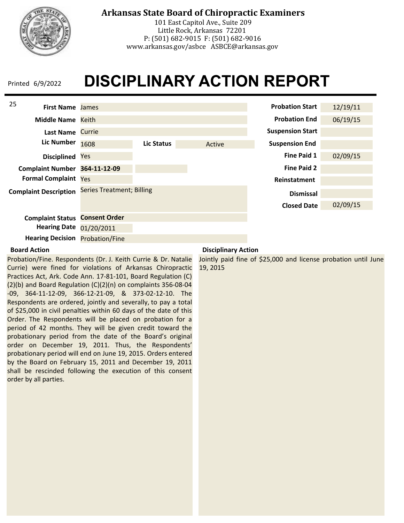

## **Arkansas State Board of Chiropractic Examiners**

101 East Capitol Ave., Suite 209 Little Rock, Arkansas 72201 P: (501) 682-9015 F: (501) 682-9016 www.arkansas.gov/asbce ASBCE@arkansas.gov

# **DISCIPLINARY ACTION REPORT**



#### **Board Action**

Probation/Fine. Respondents (Dr. J. Keith Currie & Dr. Natalie Currie) were fined for violations of Arkansas Chiropractic Practices Act, Ark. Code Ann. 17-81-101, Board Regulation (C) (2)(b) and Board Regulation (C)(2)(n) on complaints 356-08-04 -09, 364-11-12-09, 366-12-21-09, & 373-02-12-10. The Respondents are ordered, jointly and severally, to pay a total of \$25,000 in civil penalties within 60 days of the date of this Order. The Respondents will be placed on probation for a period of 42 months. They will be given credit toward the probationary period from the date of the Board's original order on December 19, 2011. Thus, the Respondents' probationary period will end on June 19, 2015. Orders entered by the Board on February 15, 2011 and December 19, 2011 shall be rescinded following the execution of this consent order by all parties.

#### **Disciplinary Action**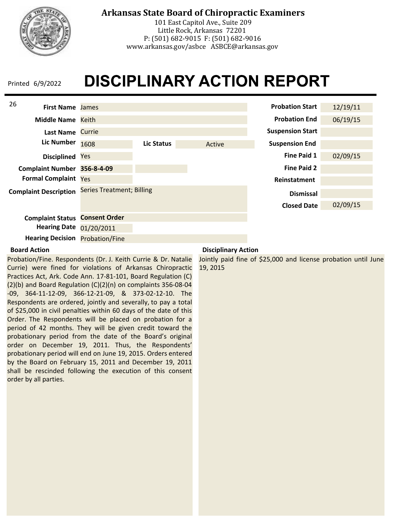

## **Arkansas State Board of Chiropractic Examiners**

101 East Capitol Ave., Suite 209 Little Rock, Arkansas 72201 P: (501) 682-9015 F: (501) 682-9016 www.arkansas.gov/asbce ASBCE@arkansas.gov

# **DISCIPLINARY ACTION REPORT**



#### **Board Action**

Probation/Fine. Respondents (Dr. J. Keith Currie & Dr. Natalie Currie) were fined for violations of Arkansas Chiropractic Practices Act, Ark. Code Ann. 17-81-101, Board Regulation (C) (2)(b) and Board Regulation (C)(2)(n) on complaints 356-08-04 -09, 364-11-12-09, 366-12-21-09, & 373-02-12-10. The Respondents are ordered, jointly and severally, to pay a total of \$25,000 in civil penalties within 60 days of the date of this Order. The Respondents will be placed on probation for a period of 42 months. They will be given credit toward the probationary period from the date of the Board's original order on December 19, 2011. Thus, the Respondents' probationary period will end on June 19, 2015. Orders entered by the Board on February 15, 2011 and December 19, 2011 shall be rescinded following the execution of this consent order by all parties.

#### **Disciplinary Action**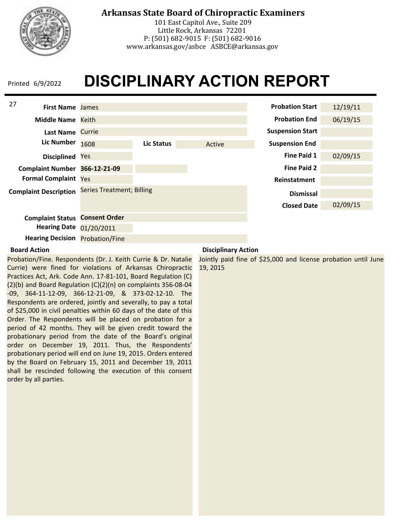

## **Arkansas State Board of Chiropractic Examiners**

101 East Capitol Ave., Suite 209 Little Rock, Arkansas 72201 P: (501) 682-9015 F: (501) 682-9016 www.arkansas.gov/asbce ASBCE@arkansas.gov

# **DISCIPLINARY ACTION REPORT**



#### **Board Action**

Probation/Fine. Respondents (Dr. J. Keith Currie & Dr. Natalie Currie) were fined for violations of Arkansas Chiropractic Practices Act, Ark. Code Ann. 17-81-101, Board Regulation (C) (2)(b) and Board Regulation (C)(2)(n) on complaints 356-08-04 -09, 364-11-12-09, 366-12-21-09, & 373-02-12-10. The Respondents are ordered, jointly and severally, to pay a total of \$25,000 in civil penalties within 60 days of the date of this Order. The Respondents will be placed on probation for a period of 42 months. They will be given credit toward the probationary period from the date of the Board's original order on December 19, 2011. Thus, the Respondents' probationary period will end on June 19, 2015. Orders entered by the Board on February 15, 2011 and December 19, 2011 shall be rescinded following the execution of this consent order by all parties.

#### **Disciplinary Action**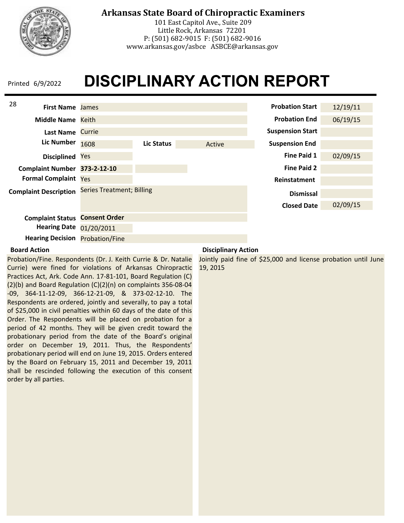

## **Arkansas State Board of Chiropractic Examiners**

101 East Capitol Ave., Suite 209 Little Rock, Arkansas 72201 P: (501) 682-9015 F: (501) 682-9016 www.arkansas.gov/asbce ASBCE@arkansas.gov

# **DISCIPLINARY ACTION REPORT**



#### **Board Action**

Probation/Fine. Respondents (Dr. J. Keith Currie & Dr. Natalie Currie) were fined for violations of Arkansas Chiropractic Practices Act, Ark. Code Ann. 17-81-101, Board Regulation (C) (2)(b) and Board Regulation (C)(2)(n) on complaints 356-08-04 -09, 364-11-12-09, 366-12-21-09, & 373-02-12-10. The Respondents are ordered, jointly and severally, to pay a total of \$25,000 in civil penalties within 60 days of the date of this Order. The Respondents will be placed on probation for a period of 42 months. They will be given credit toward the probationary period from the date of the Board's original order on December 19, 2011. Thus, the Respondents' probationary period will end on June 19, 2015. Orders entered by the Board on February 15, 2011 and December 19, 2011 shall be rescinded following the execution of this consent order by all parties.

#### **Disciplinary Action**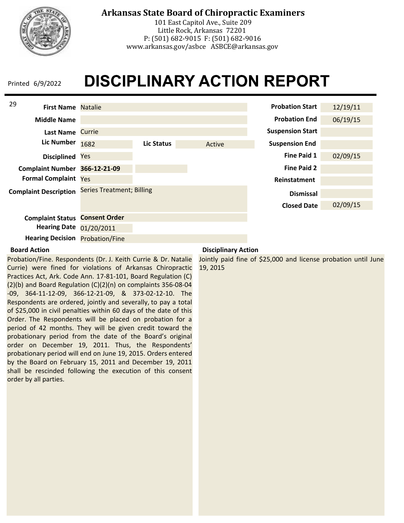

## **Arkansas State Board of Chiropractic Examiners**

101 East Capitol Ave., Suite 209 Little Rock, Arkansas 72201 P: (501) 682-9015 F: (501) 682-9016 www.arkansas.gov/asbce ASBCE@arkansas.gov

# **DISCIPLINARY ACTION REPORT**



#### **Board Action**

Probation/Fine. Respondents (Dr. J. Keith Currie & Dr. Natalie Currie) were fined for violations of Arkansas Chiropractic Practices Act, Ark. Code Ann. 17-81-101, Board Regulation (C) (2)(b) and Board Regulation (C)(2)(n) on complaints 356-08-04 -09, 364-11-12-09, 366-12-21-09, & 373-02-12-10. The Respondents are ordered, jointly and severally, to pay a total of \$25,000 in civil penalties within 60 days of the date of this Order. The Respondents will be placed on probation for a period of 42 months. They will be given credit toward the probationary period from the date of the Board's original order on December 19, 2011. Thus, the Respondents' probationary period will end on June 19, 2015. Orders entered by the Board on February 15, 2011 and December 19, 2011 shall be rescinded following the execution of this consent order by all parties.

#### **Disciplinary Action**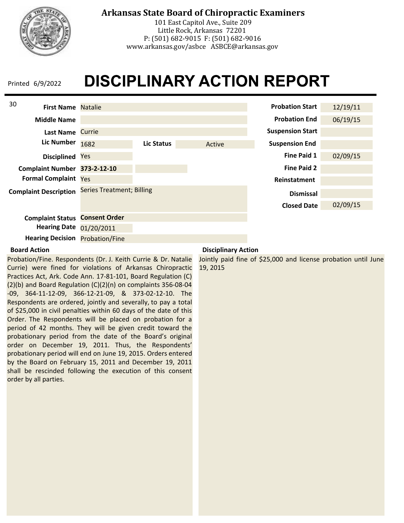

## **Arkansas State Board of Chiropractic Examiners**

101 East Capitol Ave., Suite 209 Little Rock, Arkansas 72201 P: (501) 682-9015 F: (501) 682-9016 www.arkansas.gov/asbce ASBCE@arkansas.gov

# **DISCIPLINARY ACTION REPORT**



#### **Board Action**

Probation/Fine. Respondents (Dr. J. Keith Currie & Dr. Natalie Currie) were fined for violations of Arkansas Chiropractic Practices Act, Ark. Code Ann. 17-81-101, Board Regulation (C) (2)(b) and Board Regulation (C)(2)(n) on complaints 356-08-04 -09, 364-11-12-09, 366-12-21-09, & 373-02-12-10. The Respondents are ordered, jointly and severally, to pay a total of \$25,000 in civil penalties within 60 days of the date of this Order. The Respondents will be placed on probation for a period of 42 months. They will be given credit toward the probationary period from the date of the Board's original order on December 19, 2011. Thus, the Respondents' probationary period will end on June 19, 2015. Orders entered by the Board on February 15, 2011 and December 19, 2011 shall be rescinded following the execution of this consent order by all parties.

#### **Disciplinary Action**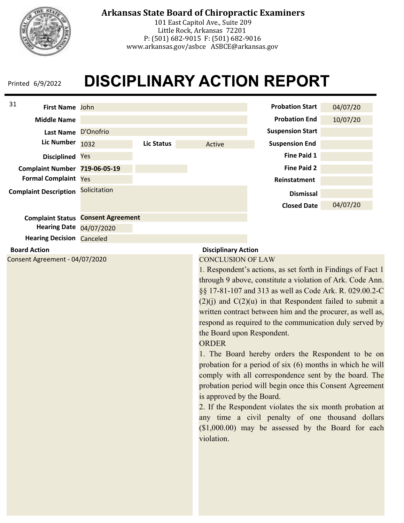

## **Arkansas State Board of Chiropractic Examiners**

101 East Capitol Ave., Suite 209 Little Rock, Arkansas 72201 P: (501) 682-9015 F: (501) 682-9016 www.arkansas.gov/asbce ASBCE@arkansas.gov

# **DISCIPLINARY ACTION REPORT**



**Hearing Date** 04/07/2020

**Hearing Decision Canceled** 

#### **Board Action**

Consent Agreement - 04/07/2020

### **Disciplinary Action**

#### CONCLUSION OF LAW

1. Respondent's actions, as set forth in Findings of Fact 1 through 9 above, constitute a violation of Ark. Code Ann. §§ 17-81-107 and 313 as well as Code Ark. R. 029.00.2-C  $(2)(i)$  and  $C(2)(u)$  in that Respondent failed to submit a written contract between him and the procurer, as well as, respond as required to the communication duly served by the Board upon Respondent.

#### **ORDER**

1. The Board hereby orders the Respondent to be on probation for a period of six (6) months in which he will comply with all correspondence sent by the board. The probation period will begin once this Consent Agreement is approved by the Board.

2. If the Respondent violates the six month probation at any time a civil penalty of one thousand dollars (\$1,000.00) may be assessed by the Board for each violation.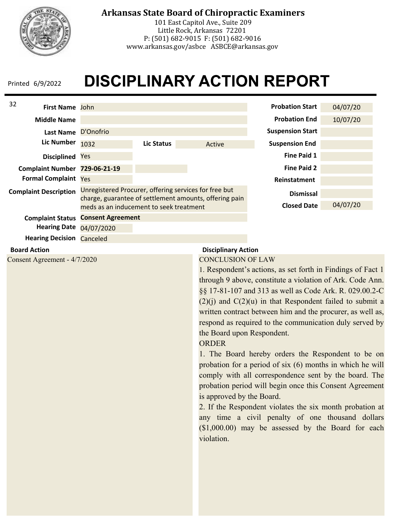

## **Arkansas State Board of Chiropractic Examiners**

101 East Capitol Ave., Suite 209 Little Rock, Arkansas 72201 P: (501) 682-9015 F: (501) 682-9016 www.arkansas.gov/asbce ASBCE@arkansas.gov

## **DISCIPLINARY ACTION REPORT**



#### **Board Action**

Consent Agreement - 4/7/2020

#### **Disciplinary Action**

#### CONCLUSION OF LAW

1. Respondent's actions, as set forth in Findings of Fact 1 through 9 above, constitute a violation of Ark. Code Ann. §§ 17-81-107 and 313 as well as Code Ark. R. 029.00.2-C  $(2)(i)$  and  $C(2)(u)$  in that Respondent failed to submit a written contract between him and the procurer, as well as, respond as required to the communication duly served by the Board upon Respondent.

#### ORDER

1. The Board hereby orders the Respondent to be on probation for a period of six (6) months in which he will comply with all correspondence sent by the board. The probation period will begin once this Consent Agreement is approved by the Board.

2. If the Respondent violates the six month probation at any time a civil penalty of one thousand dollars (\$1,000.00) may be assessed by the Board for each violation.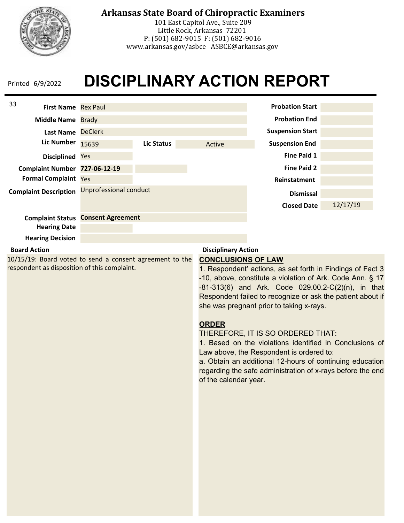

101 East Capitol Ave., Suite 209 Little Rock, Arkansas 72201 P: (501) 682-9015 F: (501) 682-9016 www.arkansas.gov/asbce ASBCE@arkansas.gov

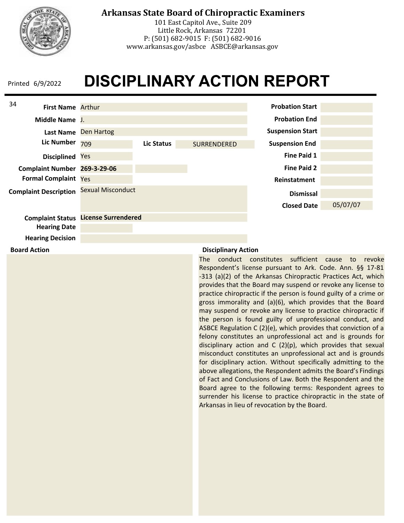

**Board Action**

### **Arkansas State Board of Chiropractic Examiners**

101 East Capitol Ave., Suite 209 Little Rock, Arkansas 72201 P: (501) 682-9015 F: (501) 682-9016 www.arkansas.gov/asbce ASBCE@arkansas.gov

## **DISCIPLINARY ACTION REPORT**



#### **Disciplinary Action**

The conduct constitutes sufficient cause to revoke Respondent's license pursuant to Ark. Code. Ann. §§ 17-81 -313 (a)(2) of the Arkansas Chiropractic Practices Act, which provides that the Board may suspend or revoke any license to practice chiropractic if the person is found guilty of a crime or gross immorality and (a)(6), which provides that the Board may suspend or revoke any license to practice chiropractic if the person is found guilty of unprofessional conduct, and ASBCE Regulation C (2)(e), which provides that conviction of a felony constitutes an unprofessional act and is grounds for disciplinary action and C (2)(p), which provides that sexual misconduct constitutes an unprofessional act and is grounds for disciplinary action. Without specifically admitting to the above allegations, the Respondent admits the Board's Findings of Fact and Conclusions of Law. Both the Respondent and the Board agree to the following terms: Respondent agrees to surrender his license to practice chiropractic in the state of Arkansas in lieu of revocation by the Board.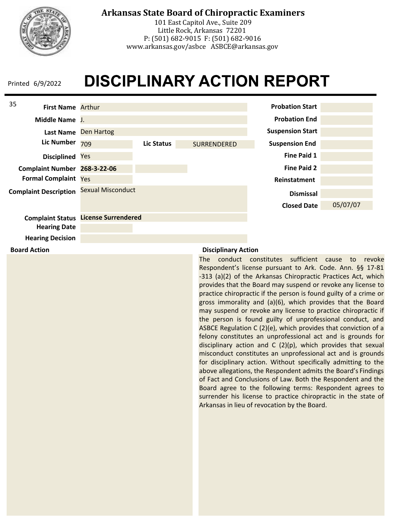

**Board Action**

### **Arkansas State Board of Chiropractic Examiners**

101 East Capitol Ave., Suite 209 Little Rock, Arkansas 72201 P: (501) 682-9015 F: (501) 682-9016 www.arkansas.gov/asbce ASBCE@arkansas.gov

## **DISCIPLINARY ACTION REPORT**



#### **Disciplinary Action**

The conduct constitutes sufficient cause to revoke Respondent's license pursuant to Ark. Code. Ann. §§ 17-81 -313 (a)(2) of the Arkansas Chiropractic Practices Act, which provides that the Board may suspend or revoke any license to practice chiropractic if the person is found guilty of a crime or gross immorality and (a)(6), which provides that the Board may suspend or revoke any license to practice chiropractic if the person is found guilty of unprofessional conduct, and ASBCE Regulation C (2)(e), which provides that conviction of a felony constitutes an unprofessional act and is grounds for disciplinary action and C (2)(p), which provides that sexual misconduct constitutes an unprofessional act and is grounds for disciplinary action. Without specifically admitting to the above allegations, the Respondent admits the Board's Findings of Fact and Conclusions of Law. Both the Respondent and the Board agree to the following terms: Respondent agrees to surrender his license to practice chiropractic in the state of Arkansas in lieu of revocation by the Board.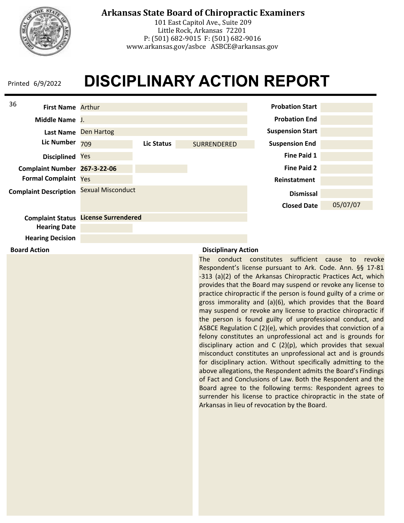

**Board Action**

### **Arkansas State Board of Chiropractic Examiners**

101 East Capitol Ave., Suite 209 Little Rock, Arkansas 72201 P: (501) 682-9015 F: (501) 682-9016 www.arkansas.gov/asbce ASBCE@arkansas.gov

## **DISCIPLINARY ACTION REPORT**



#### **Disciplinary Action**

The conduct constitutes sufficient cause to revoke Respondent's license pursuant to Ark. Code. Ann. §§ 17-81 -313 (a)(2) of the Arkansas Chiropractic Practices Act, which provides that the Board may suspend or revoke any license to practice chiropractic if the person is found guilty of a crime or gross immorality and (a)(6), which provides that the Board may suspend or revoke any license to practice chiropractic if the person is found guilty of unprofessional conduct, and ASBCE Regulation C (2)(e), which provides that conviction of a felony constitutes an unprofessional act and is grounds for disciplinary action and C (2)(p), which provides that sexual misconduct constitutes an unprofessional act and is grounds for disciplinary action. Without specifically admitting to the above allegations, the Respondent admits the Board's Findings of Fact and Conclusions of Law. Both the Respondent and the Board agree to the following terms: Respondent agrees to surrender his license to practice chiropractic in the state of Arkansas in lieu of revocation by the Board.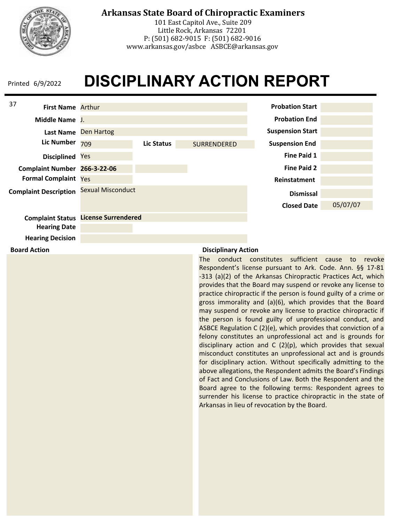

**Board Action**

## **Arkansas State Board of Chiropractic Examiners**

101 East Capitol Ave., Suite 209 Little Rock, Arkansas 72201 P: (501) 682-9015 F: (501) 682-9016 www.arkansas.gov/asbce ASBCE@arkansas.gov

## **DISCIPLINARY ACTION REPORT**



### **Disciplinary Action**

The conduct constitutes sufficient cause to revoke Respondent's license pursuant to Ark. Code. Ann. §§ 17-81 -313 (a)(2) of the Arkansas Chiropractic Practices Act, which provides that the Board may suspend or revoke any license to practice chiropractic if the person is found guilty of a crime or gross immorality and (a)(6), which provides that the Board may suspend or revoke any license to practice chiropractic if the person is found guilty of unprofessional conduct, and ASBCE Regulation C (2)(e), which provides that conviction of a felony constitutes an unprofessional act and is grounds for disciplinary action and C (2)(p), which provides that sexual misconduct constitutes an unprofessional act and is grounds for disciplinary action. Without specifically admitting to the above allegations, the Respondent admits the Board's Findings of Fact and Conclusions of Law. Both the Respondent and the Board agree to the following terms: Respondent agrees to surrender his license to practice chiropractic in the state of Arkansas in lieu of revocation by the Board.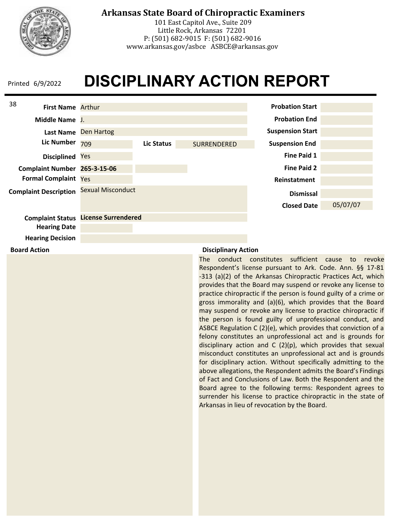

**Board Action**

## **Arkansas State Board of Chiropractic Examiners**

101 East Capitol Ave., Suite 209 Little Rock, Arkansas 72201 P: (501) 682-9015 F: (501) 682-9016 www.arkansas.gov/asbce ASBCE@arkansas.gov

## **DISCIPLINARY ACTION REPORT**



### **Disciplinary Action**

The conduct constitutes sufficient cause to revoke Respondent's license pursuant to Ark. Code. Ann. §§ 17-81 -313 (a)(2) of the Arkansas Chiropractic Practices Act, which provides that the Board may suspend or revoke any license to practice chiropractic if the person is found guilty of a crime or gross immorality and (a)(6), which provides that the Board may suspend or revoke any license to practice chiropractic if the person is found guilty of unprofessional conduct, and ASBCE Regulation C (2)(e), which provides that conviction of a felony constitutes an unprofessional act and is grounds for disciplinary action and C (2)(p), which provides that sexual misconduct constitutes an unprofessional act and is grounds for disciplinary action. Without specifically admitting to the above allegations, the Respondent admits the Board's Findings of Fact and Conclusions of Law. Both the Respondent and the Board agree to the following terms: Respondent agrees to surrender his license to practice chiropractic in the state of Arkansas in lieu of revocation by the Board.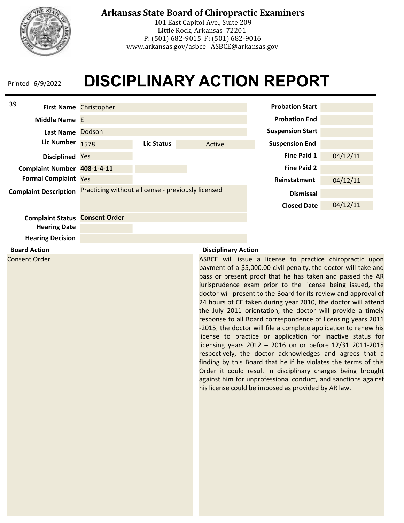

**Board Action** Consent Order

**Hearing Decision**

## **Arkansas State Board of Chiropractic Examiners**

101 East Capitol Ave., Suite 209 Little Rock, Arkansas 72201 P: (501) 682-9015 F: (501) 682-9016 www.arkansas.gov/asbce ASBCE@arkansas.gov

# **DISCIPLINARY ACTION REPORT**



#### **Disciplinary Action**

ASBCE will issue a license to practice chiropractic upon payment of a \$5,000.00 civil penalty, the doctor will take and pass or present proof that he has taken and passed the AR jurisprudence exam prior to the license being issued, the doctor will present to the Board for its review and approval of 24 hours of CE taken during year 2010, the doctor will attend the July 2011 orientation, the doctor will provide a timely response to all Board correspondence of licensing years 2011 -2015, the doctor will file a complete application to renew his license to practice or application for inactive status for licensing years 2012 – 2016 on or before 12/31 2011-2015 respectively, the doctor acknowledges and agrees that a finding by this Board that he if he violates the terms of this Order it could result in disciplinary charges being brought against him for unprofessional conduct, and sanctions against his license could be imposed as provided by AR law.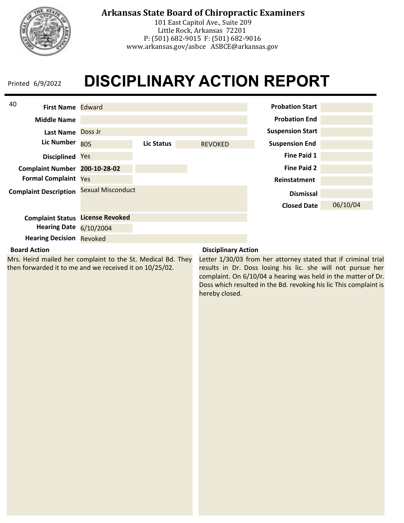

## **Arkansas State Board of Chiropractic Examiners**

101 East Capitol Ave., Suite 209 Little Rock, Arkansas 72201 P: (501) 682-9015 F: (501) 682-9016 www.arkansas.gov/asbce ASBCE@arkansas.gov

# **DISCIPLINARY ACTION REPORT**



### **Board Action**

Mrs. Heird mailed her complaint to the St. Medical Bd. They then forwarded it to me and we received it on 10/25/02.

### **Disciplinary Action**

Letter 1/30/03 from her attorney stated that if criminal trial results in Dr. Doss losing his lic. she will not pursue her complaint. On 6/10/04 a hearing was held in the matter of Dr. Doss which resulted in the Bd. revoking his lic This complaint is hereby closed.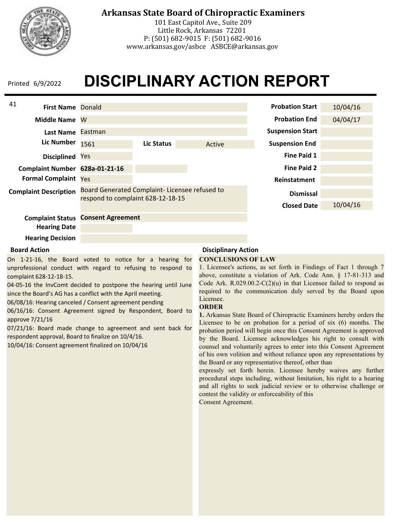

## **Arkansas State Board of Chiropractic Examiners**

101 East Capitol Ave., Suite 209 Little Rock, Arkansas 72201 P: (501) 682-9015 F: (501) 682-9016 www.arkansas.gov/asbce ASBCE@arkansas.gov

# **DISCIPLINARY ACTION REPORT**

| 41                             |                                   |                                               |        |                         |          |
|--------------------------------|-----------------------------------|-----------------------------------------------|--------|-------------------------|----------|
| <b>First Name Donald</b>       |                                   |                                               |        | <b>Probation Start</b>  | 10/04/16 |
| <b>Middle Name</b>             | W                                 |                                               |        | <b>Probation End</b>    | 04/04/17 |
| Last Name Eastman              |                                   |                                               |        | <b>Suspension Start</b> |          |
| Lic Number                     | 1561                              | Lic Status                                    | Active | <b>Suspension End</b>   |          |
| <b>Disciplined</b>             | Yes                               |                                               |        | <b>Fine Paid 1</b>      |          |
| Complaint Number 628a-01-21-16 |                                   |                                               |        | <b>Fine Paid 2</b>      |          |
| <b>Formal Complaint Yes</b>    |                                   |                                               |        | Reinstatment            |          |
| <b>Complaint Description</b>   | respond to complaint 628-12-18-15 | Board Generated Complaint-Licensee refused to |        | <b>Dismissal</b>        |          |
|                                |                                   |                                               |        | <b>Closed Date</b>      | 10/04/16 |
| <b>Complaint Status</b>        | <b>Consent Agreement</b>          |                                               |        |                         |          |
| <b>Hearing Date</b>            |                                   |                                               |        |                         |          |
|                                |                                   |                                               |        |                         |          |

### **Hearing Decision**

#### **Board Action**

On 1-21-16, the Board voted to notice for a hearing for unprofessional conduct with regard to refusing to respond to complaint 628-12-18-15.

04-05-16 the InvComt decided to postpone the hearing until June since the Board's AG has a conflict with the April meeting.

06/08/16: Hearing canceled / Consent agreement pending

06/16/16: Consent Agreement signed by Respondent, Board to approve 7/21/16

07/21/16: Board made change to agreement and sent back for respondent approval, Board to finalize on 10/4/16.

10/04/16: Consent agreement finalized on 10/04/16

## **Disciplinary Action**

#### **CONCLUSIONS OF LAW**

1. Licensee's actions, as set forth in Findings of Fact 1 through 7 above, constitute a violation of Ark. Code Ann. § 17-81-313 and Code Ark.  $R.029.00.2-C(2)(u)$  in that Licensee failed to respond as required to the communication duly served by the Board upon Licensee.

#### **ORDER**

**1.** Arkansas State Board of Chiropractic Examiners hereby orders the Licensee to be on probation for a period of six (6) months. The probation period will begin once this Consent Agreement is approved by the Board. Licensee acknowledges his right to consult with counsel and voluntarily agrees to enter into this Consent Agreement of his own volition and without reliance upon any representations by the Board or any representative thereof, other than

expressly set forth herein. Licensee hereby waives any further procedural steps including, without limitation, his right to a hearing and all rights to seek judicial review or to otherwise challenge or contest the validity or enforceability of this Consent Agreement.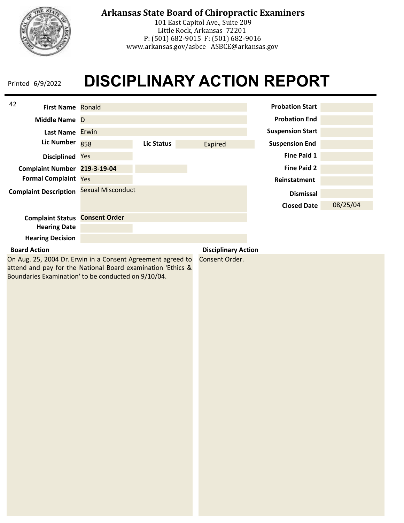

101 East Capitol Ave., Suite 209 Little Rock, Arkansas 72201 P: (501) 682-9015 F: (501) 682-9016 www.arkansas.gov/asbce ASBCE@arkansas.gov

## **DISCIPLINARY ACTION REPORT** Printed 6/9/2022

| 42<br><b>First Name Ronald</b>                                                                                                               |                   |                   |                            | <b>Probation Start</b>  |          |
|----------------------------------------------------------------------------------------------------------------------------------------------|-------------------|-------------------|----------------------------|-------------------------|----------|
| Middle Name D                                                                                                                                |                   |                   |                            | <b>Probation End</b>    |          |
| Last Name Erwin                                                                                                                              |                   |                   |                            | <b>Suspension Start</b> |          |
| Lic Number                                                                                                                                   | 858               | <b>Lic Status</b> | Expired                    | <b>Suspension End</b>   |          |
| <b>Disciplined</b>                                                                                                                           | Yes               |                   |                            | Fine Paid 1             |          |
| Complaint Number 219-3-19-04                                                                                                                 |                   |                   |                            | <b>Fine Paid 2</b>      |          |
| <b>Formal Complaint Yes</b>                                                                                                                  |                   |                   |                            | Reinstatment            |          |
| <b>Complaint Description</b>                                                                                                                 | Sexual Misconduct |                   |                            | <b>Dismissal</b>        |          |
|                                                                                                                                              |                   |                   |                            | <b>Closed Date</b>      | 08/25/04 |
| <b>Complaint Status Consent Order</b>                                                                                                        |                   |                   |                            |                         |          |
| <b>Hearing Date</b>                                                                                                                          |                   |                   |                            |                         |          |
| <b>Hearing Decision</b>                                                                                                                      |                   |                   |                            |                         |          |
| <b>Board Action</b>                                                                                                                          |                   |                   | <b>Disciplinary Action</b> |                         |          |
| On Aug. 25, 2004 Dr. Erwin in a Consent Agreement agreed to<br>Consent Order.<br>attend and pay for the National Board examination 'Ethics & |                   |                   |                            |                         |          |

Boundaries Examination' to be conducted on 9/10/04.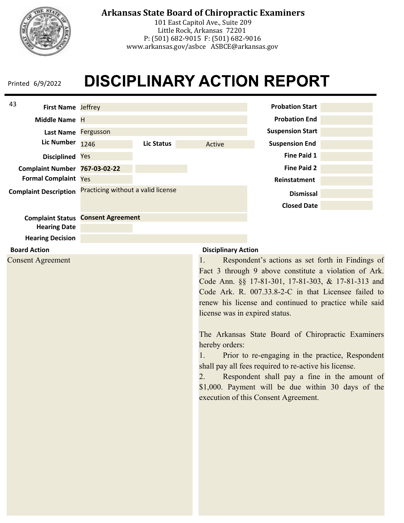

## **Arkansas State Board of Chiropractic Examiners**

101 East Capitol Ave., Suite 209 Little Rock, Arkansas 72201 P: (501) 682-9015 F: (501) 682-9016 www.arkansas.gov/asbce ASBCE@arkansas.gov

# **DISCIPLINARY ACTION REPORT**



### **Board Action**

Consent Agreement

### **Disciplinary Action**

1. Respondent's actions as set forth in Findings of Fact 3 through 9 above constitute a violation of Ark. Code Ann. §§ 17-81-301, 17-81-303, & 17-81-313 and Code Ark. R. 007.33.8-2-C in that Licensee failed to renew his license and continued to practice while said license was in expired status.

The Arkansas State Board of Chiropractic Examiners hereby orders:

1. Prior to re-engaging in the practice, Respondent shall pay all fees required to re-active his license.

2. Respondent shall pay a fine in the amount of \$1,000. Payment will be due within 30 days of the execution of this Consent Agreement.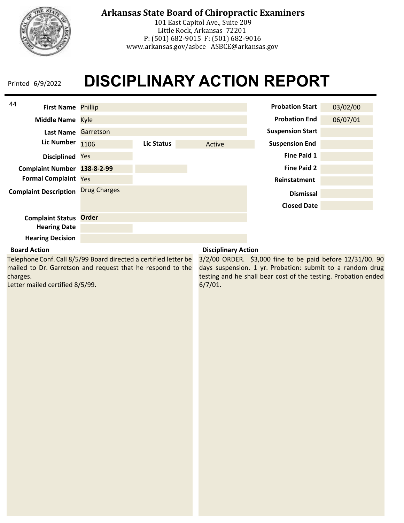

101 East Capitol Ave., Suite 209 Little Rock, Arkansas 72201 P: (501) 682-9015 F: (501) 682-9016 www.arkansas.gov/asbce ASBCE@arkansas.gov

## **DISCIPLINARY ACTION REPORT** Printed 6/9/2022

| 44<br><b>First Name Phillip</b> |                     |            |        | <b>Probation Start</b>  | 03/02/00 |
|---------------------------------|---------------------|------------|--------|-------------------------|----------|
| Middle Name Kyle                |                     |            |        | <b>Probation End</b>    | 06/07/01 |
| <b>Last Name</b>                | Garretson           |            |        | <b>Suspension Start</b> |          |
| <b>Lic Number</b>               | 1106                | Lic Status | Active | <b>Suspension End</b>   |          |
| <b>Disciplined</b>              | Yes                 |            |        | <b>Fine Paid 1</b>      |          |
| Complaint Number 138-8-2-99     |                     |            |        | <b>Fine Paid 2</b>      |          |
| <b>Formal Complaint Yes</b>     |                     |            |        | Reinstatment            |          |
| <b>Complaint Description</b>    | <b>Drug Charges</b> |            |        | <b>Dismissal</b>        |          |
|                                 |                     |            |        | <b>Closed Date</b>      |          |
| <b>Complaint Status</b>         | <b>Order</b>        |            |        |                         |          |
| <b>Hearing Date</b>             |                     |            |        |                         |          |
| <b>Hearing Decision</b>         |                     |            |        |                         |          |

### **Board Action**

Telephone Conf. Call 8/5/99 Board directed a certified letter be mailed to Dr. Garretson and request that he respond to the charges.

Letter mailed certified 8/5/99.

### **Disciplinary Action**

3/2/00 ORDER. \$3,000 fine to be paid before 12/31/00. 90 days suspension. 1 yr. Probation: submit to a random drug testing and he shall bear cost of the testing. Probation ended 6/7/01.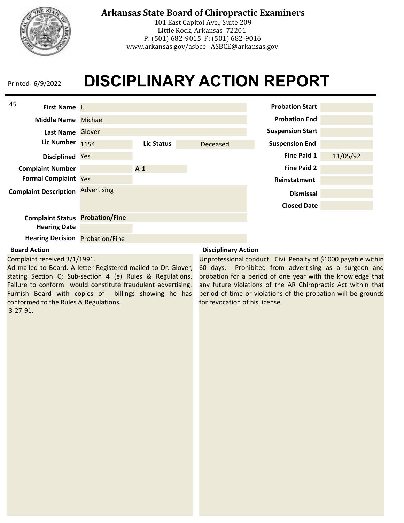

## **Arkansas State Board of Chiropractic Examiners**

101 East Capitol Ave., Suite 209 Little Rock, Arkansas 72201 P: (501) 682-9015 F: (501) 682-9016 www.arkansas.gov/asbce ASBCE@arkansas.gov

# **DISCIPLINARY ACTION REPORT**



### **Board Action**

Complaint received 3/1/1991.

Ad mailed to Board. A letter Registered mailed to Dr. Glover, stating Section C; Sub-section 4 (e) Rules & Regulations. Failure to conform would constitute fraudulent advertising. Furnish Board with copies of billings showing he has conformed to the Rules & Regulations. 3-27-91.

### **Disciplinary Action**

Unprofessional conduct. Civil Penalty of \$1000 payable within 60 days. Prohibited from advertising as a surgeon and probation for a period of one year with the knowledge that any future violations of the AR Chiropractic Act within that period of time or violations of the probation will be grounds for revocation of his license.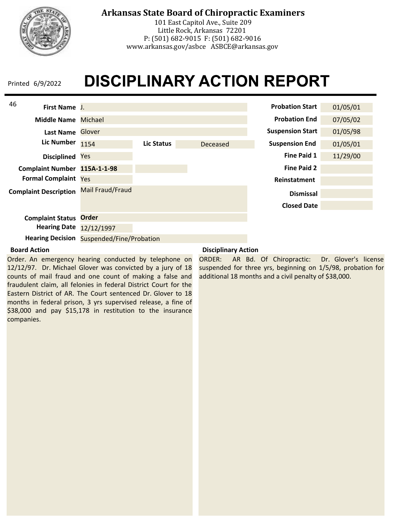

## **Arkansas State Board of Chiropractic Examiners**

101 East Capitol Ave., Suite 209 Little Rock, Arkansas 72201 P: (501) 682-9015 F: (501) 682-9016 www.arkansas.gov/asbce ASBCE@arkansas.gov

# **DISCIPLINARY ACTION REPORT**

| 46<br>First Name J.          |                                                  |            |          | <b>Probation Start</b>  | 01/05/01 |
|------------------------------|--------------------------------------------------|------------|----------|-------------------------|----------|
| <b>Middle Name</b>           | Michael                                          |            |          | <b>Probation End</b>    | 07/05/02 |
| <b>Last Name</b>             | Glover                                           |            |          | <b>Suspension Start</b> | 01/05/98 |
| <b>Lic Number</b>            | 1154                                             | Lic Status | Deceased | <b>Suspension End</b>   | 01/05/01 |
| <b>Disciplined</b>           | Yes                                              |            |          | Fine Paid 1             | 11/29/00 |
| Complaint Number 115A-1-1-98 |                                                  |            |          | <b>Fine Paid 2</b>      |          |
| <b>Formal Complaint Yes</b>  |                                                  |            |          | Reinstatment            |          |
| <b>Complaint Description</b> | Mail Fraud/Fraud                                 |            |          | <b>Dismissal</b>        |          |
|                              |                                                  |            |          | <b>Closed Date</b>      |          |
| <b>Complaint Status</b>      | <b>Order</b>                                     |            |          |                         |          |
| <b>Hearing Date</b>          | 12/12/1997                                       |            |          |                         |          |
|                              | <b>Hearing Decision Suspended/Fine/Probation</b> |            |          |                         |          |

#### **Board Action**

Order. An emergency hearing conducted by telephone on 12/12/97. Dr. Michael Glover was convicted by a jury of 18 counts of mail fraud and one count of making a false and fraudulent claim, all felonies in federal District Court for the Eastern District of AR. The Court sentenced Dr. Glover to 18 months in federal prison, 3 yrs supervised release, a fine of \$38,000 and pay \$15,178 in restitution to the insurance companies.

### **Disciplinary Action**

ORDER: AR Bd. Of Chiropractic: Dr. Glover's license suspended for three yrs, beginning on 1/5/98, probation for additional 18 months and a civil penalty of \$38,000.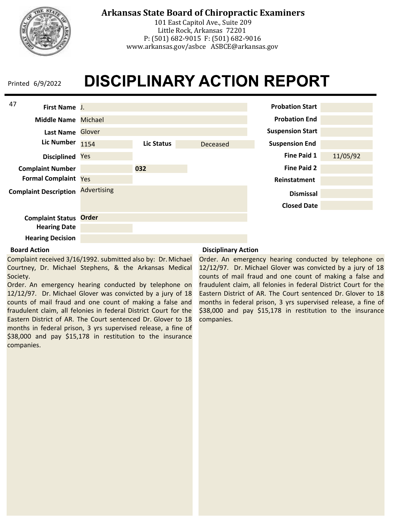

## **Arkansas State Board of Chiropractic Examiners**

101 East Capitol Ave., Suite 209 Little Rock, Arkansas 72201 P: (501) 682-9015 F: (501) 682-9016 www.arkansas.gov/asbce ASBCE@arkansas.gov

# **DISCIPLINARY ACTION REPORT**



### **Board Action**

Complaint received 3/16/1992. submitted also by: Dr. Michael Courtney, Dr. Michael Stephens, & the Arkansas Medical Society.

Order. An emergency hearing conducted by telephone on 12/12/97. Dr. Michael Glover was convicted by a jury of 18 counts of mail fraud and one count of making a false and fraudulent claim, all felonies in federal District Court for the Eastern District of AR. The Court sentenced Dr. Glover to 18 months in federal prison, 3 yrs supervised release, a fine of \$38,000 and pay \$15,178 in restitution to the insurance companies.

### **Disciplinary Action**

Order. An emergency hearing conducted by telephone on 12/12/97. Dr. Michael Glover was convicted by a jury of 18 counts of mail fraud and one count of making a false and fraudulent claim, all felonies in federal District Court for the Eastern District of AR. The Court sentenced Dr. Glover to 18 months in federal prison, 3 yrs supervised release, a fine of \$38,000 and pay \$15,178 in restitution to the insurance companies.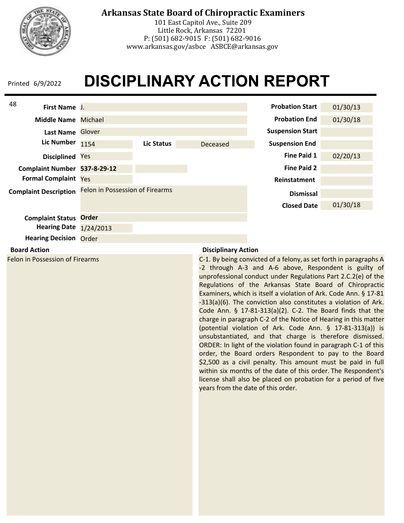

## **Arkansas State Board of Chiropractic Examiners**

101 East Capitol Ave., Suite 209 Little Rock, Arkansas 72201 P: (501) 682-9015 F: (501) 682-9016 www.arkansas.gov/asbce ASBCE@arkansas.gov

# **DISCIPLINARY ACTION REPORT**



#### **Board Action**

Felon in Possession of Firearms

### **Disciplinary Action**

C-1. By being convicted of a felony, as set forth in paragraphs A -2 through A-3 and A-6 above, Respondent is guilty of unprofessional conduct under Regulations Part 2.C.2(e) of the Regulations of the Arkansas State Board of Chiropractic Examiners, which is itself a violation of Ark. Code Ann. § 17-81 -313(a)(6). The conviction also constitutes a violation of Ark. Code Ann. § 17-81-313(a)(2). C-2. The Board finds that the charge in paragraph C-2 of the Notice of Hearing in this matter (potential violation of Ark. Code Ann. § 17-81-313(a)) is unsubstantiated, and that charge is therefore dismissed. ORDER: In light of the violation found in paragraph C-1 of this order, the Board orders Respondent to pay to the Board \$2,500 as a civil penalty. This amount must be paid in full within six months of the date of this order. The Respondent's license shall also be placed on probation for a period of five years from the date of this order.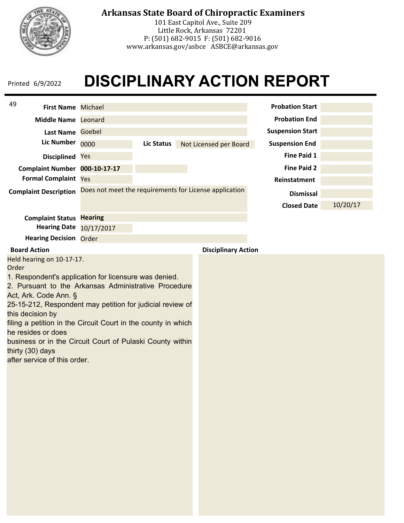

## **Arkansas State Board of Chiropractic Examiners**

101 East Capitol Ave., Suite 209 Little Rock, Arkansas 72201 P: (501) 682-9015 F: (501) 682-9016 www.arkansas.gov/asbce ASBCE@arkansas.gov

# **DISCIPLINARY ACTION REPORT**

| 49<br><b>First Name Michael</b>                                                                                                                                                                                                                                                                                                                                                                                                          |                                                        |                   |                            | <b>Probation Start</b>  |                      |          |
|------------------------------------------------------------------------------------------------------------------------------------------------------------------------------------------------------------------------------------------------------------------------------------------------------------------------------------------------------------------------------------------------------------------------------------------|--------------------------------------------------------|-------------------|----------------------------|-------------------------|----------------------|----------|
| Middle Name Leonard                                                                                                                                                                                                                                                                                                                                                                                                                      |                                                        |                   |                            |                         | <b>Probation End</b> |          |
| Last Name Goebel                                                                                                                                                                                                                                                                                                                                                                                                                         |                                                        |                   |                            | <b>Suspension Start</b> |                      |          |
| <b>Lic Number</b>                                                                                                                                                                                                                                                                                                                                                                                                                        | 0000                                                   | <b>Lic Status</b> | Not Licensed per Board     | <b>Suspension End</b>   |                      |          |
| Disciplined Yes                                                                                                                                                                                                                                                                                                                                                                                                                          |                                                        |                   |                            |                         | <b>Fine Paid 1</b>   |          |
| Complaint Number 000-10-17-17                                                                                                                                                                                                                                                                                                                                                                                                            |                                                        |                   |                            |                         | <b>Fine Paid 2</b>   |          |
| <b>Formal Complaint</b>                                                                                                                                                                                                                                                                                                                                                                                                                  | Yes                                                    |                   |                            |                         | Reinstatment         |          |
| <b>Complaint Description</b>                                                                                                                                                                                                                                                                                                                                                                                                             | Does not meet the requirements for License application |                   |                            |                         | <b>Dismissal</b>     |          |
|                                                                                                                                                                                                                                                                                                                                                                                                                                          |                                                        |                   |                            |                         | <b>Closed Date</b>   | 10/20/17 |
| <b>Complaint Status Hearing</b>                                                                                                                                                                                                                                                                                                                                                                                                          |                                                        |                   |                            |                         |                      |          |
| <b>Hearing Date</b>                                                                                                                                                                                                                                                                                                                                                                                                                      | 10/17/2017                                             |                   |                            |                         |                      |          |
| <b>Hearing Decision Order</b>                                                                                                                                                                                                                                                                                                                                                                                                            |                                                        |                   |                            |                         |                      |          |
| <b>Board Action</b><br>Held hearing on 10-17-17.                                                                                                                                                                                                                                                                                                                                                                                         |                                                        |                   | <b>Disciplinary Action</b> |                         |                      |          |
| Order<br>1. Respondent's application for licensure was denied.<br>2. Pursuant to the Arkansas Administrative Procedure<br>Act, Ark. Code Ann. §<br>25-15-212, Respondent may petition for judicial review of<br>this decision by<br>filing a petition in the Circuit Court in the county in which<br>he resides or does<br>business or in the Circuit Court of Pulaski County within<br>thirty (30) days<br>after service of this order. |                                                        |                   |                            |                         |                      |          |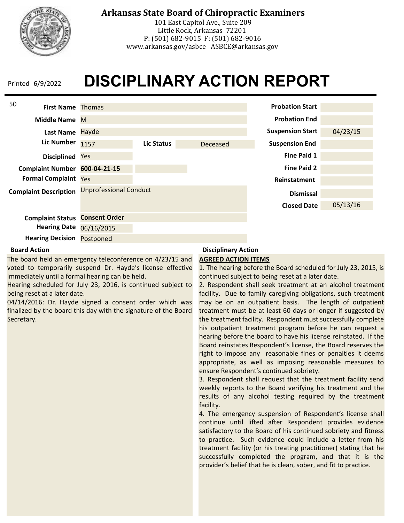

## **Arkansas State Board of Chiropractic Examiners**

101 East Capitol Ave., Suite 209 Little Rock, Arkansas 72201 P: (501) 682-9015 F: (501) 682-9016 www.arkansas.gov/asbce ASBCE@arkansas.gov

# **DISCIPLINARY ACTION REPORT**



### **Board Action**

The board held an emergency teleconference on 4/23/15 and voted to temporarily suspend Dr. Hayde's license effective immediately until a formal hearing can be held.

Hearing scheduled for July 23, 2016, is continued subject to being reset at a later date.

04/14/2016: Dr. Hayde signed a consent order which was finalized by the board this day with the signature of the Board Secretary.

## **Disciplinary Action**

#### **AGREED ACTION ITEMS**

1. The hearing before the Board scheduled for July 23, 2015, is continued subject to being reset at a later date.

2. Respondent shall seek treatment at an alcohol treatment facility. Due to family caregiving obligations, such treatment may be on an outpatient basis. The length of outpatient treatment must be at least 60 days or longer if suggested by the treatment facility. Respondent must successfully complete his outpatient treatment program before he can request a hearing before the board to have his license reinstated. If the Board reinstates Respondent's license, the Board reserves the right to impose any reasonable fines or penalties it deems appropriate, as well as imposing reasonable measures to ensure Respondent's continued sobriety.

3. Respondent shall request that the treatment facility send weekly reports to the Board verifying his treatment and the results of any alcohol testing required by the treatment facility.

4. The emergency suspension of Respondent's license shall continue until lifted after Respondent provides evidence satisfactory to the Board of his continued sobriety and fitness to practice. Such evidence could include a letter from his treatment facility (or his treating practitioner) stating that he successfully completed the program, and that it is the provider's belief that he is clean, sober, and fit to practice.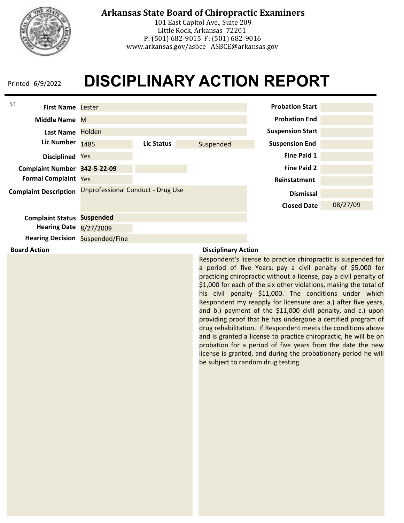

## **Arkansas State Board of Chiropractic Examiners**

101 East Capitol Ave., Suite 209 Little Rock, Arkansas 72201 P: (501) 682-9015 F: (501) 682-9016 www.arkansas.gov/asbce ASBCE@arkansas.gov

# **DISCIPLINARY ACTION REPORT**



### **Disciplinary Action**

Respondent's license to practice chiropractic is suspended for a period of five Years; pay a civil penalty of \$5,000 for practicing chiropractic without a license, pay a civil penalty of \$1,000 for each of the six other violations, making the total of his civil penalty \$11,000. The conditions under which Respondent my reapply for licensure are: a.) after five years, and b.) payment of the \$11,000 civil penalty, and c.) upon providing proof that he has undergone a certified program of drug rehabilitation. If Respondent meets the conditions above and is granted a license to practice chiropractic, he will be on probation for a period of five years from the date the new license is granted, and during the probationary period he will be subject to random drug testing.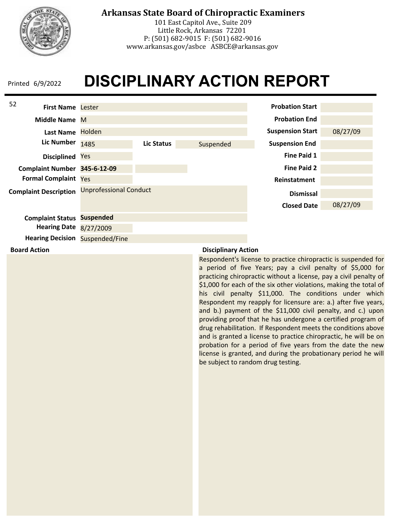

## **Arkansas State Board of Chiropractic Examiners**

101 East Capitol Ave., Suite 209 Little Rock, Arkansas 72201 P: (501) 682-9015 F: (501) 682-9016 www.arkansas.gov/asbce ASBCE@arkansas.gov

# **DISCIPLINARY ACTION REPORT**



**Board Action**

### **Disciplinary Action**

Respondent's license to practice chiropractic is suspended for a period of five Years; pay a civil penalty of \$5,000 for practicing chiropractic without a license, pay a civil penalty of \$1,000 for each of the six other violations, making the total of his civil penalty \$11,000. The conditions under which Respondent my reapply for licensure are: a.) after five years, and b.) payment of the \$11,000 civil penalty, and c.) upon providing proof that he has undergone a certified program of drug rehabilitation. If Respondent meets the conditions above and is granted a license to practice chiropractic, he will be on probation for a period of five years from the date the new license is granted, and during the probationary period he will be subject to random drug testing.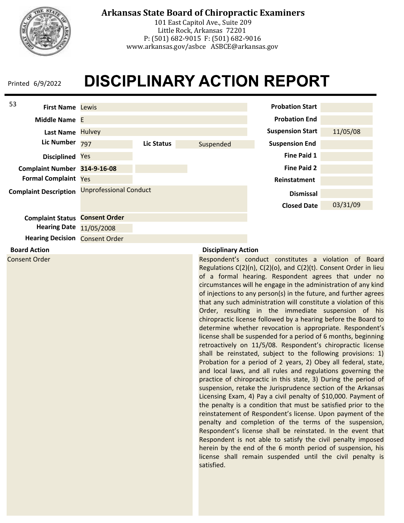

**Board Action** Consent Order

## **Arkansas State Board of Chiropractic Examiners**

101 East Capitol Ave., Suite 209 Little Rock, Arkansas 72201 P: (501) 682-9015 F: (501) 682-9016 www.arkansas.gov/asbce ASBCE@arkansas.gov

# **DISCIPLINARY ACTION REPORT**



**Disciplinary Action**

Respondent's conduct constitutes a violation of Board Regulations C(2)(n), C(2)(o), and C(2)(t). Consent Order in lieu of a formal hearing. Respondent agrees that under no circumstances will he engage in the administration of any kind of injections to any person(s) in the future, and further agrees that any such administration will constitute a violation of this Order, resulting in the immediate suspension of his chiropractic license followed by a hearing before the Board to determine whether revocation is appropriate. Respondent's license shall be suspended for a period of 6 months, beginning retroactively on 11/5/08. Respondent's chiropractic license shall be reinstated, subject to the following provisions: 1) Probation for a period of 2 years, 2) Obey all federal, state, and local laws, and all rules and regulations governing the practice of chiropractic in this state, 3) During the period of suspension, retake the Jurisprudence section of the Arkansas Licensing Exam, 4) Pay a civil penalty of \$10,000. Payment of the penalty is a condition that must be satisfied prior to the reinstatement of Respondent's license. Upon payment of the penalty and completion of the terms of the suspension, Respondent's license shall be reinstated. In the event that Respondent is not able to satisfy the civil penalty imposed herein by the end of the 6 month period of suspension, his license shall remain suspended until the civil penalty is satisfied.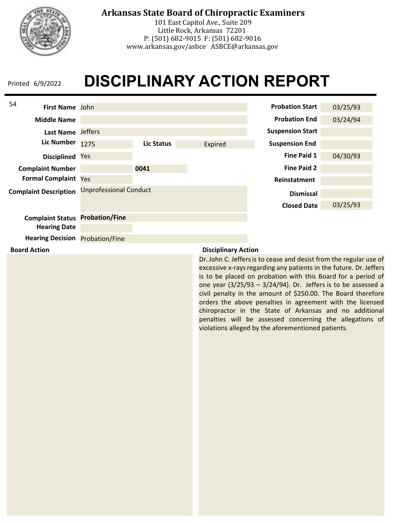

## **Arkansas State Board of Chiropractic Examiners**

101 East Capitol Ave., Suite 209 Little Rock, Arkansas 72201 P: (501) 682-9015 F: (501) 682-9016 www.arkansas.gov/asbce ASBCE@arkansas.gov

# **DISCIPLINARY ACTION REPORT**



### **Board Action**

### **Disciplinary Action**

Dr. John C. Jeffers is to cease and desist from the regular use of excessive x-rays regarding any patients in the future. Dr. Jeffers is to be placed on probation with this Board for a period of one year  $(3/25/93 - 3/24/94)$ . Dr. Jeffers is to be assessed a civil penalty in the amount of \$250.00. The Board therefore orders the above penalties in agreement with the licensed chiropractor in the State of Arkansas and no additional penalties will be assessed concerning the allegations of violations alleged by the aforementioned patients.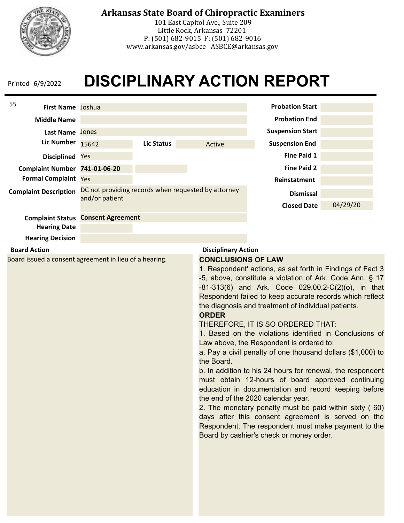

## **Arkansas State Board of Chiropractic Examiners**

101 East Capitol Ave., Suite 209 Little Rock, Arkansas 72201 P: (501) 682-9015 F: (501) 682-9016 www.arkansas.gov/asbce ASBCE@arkansas.gov

# **DISCIPLINARY ACTION REPORT**

| 55<br>First Name Joshua                                |                                                                       |                            |                                                                                                                                                                                                                                                                                                                                                                                                                                                                                                                                                                                                                                                                                                                                                                                                                                                                                                                                                |                            | <b>Probation Start</b>                 |          |
|--------------------------------------------------------|-----------------------------------------------------------------------|----------------------------|------------------------------------------------------------------------------------------------------------------------------------------------------------------------------------------------------------------------------------------------------------------------------------------------------------------------------------------------------------------------------------------------------------------------------------------------------------------------------------------------------------------------------------------------------------------------------------------------------------------------------------------------------------------------------------------------------------------------------------------------------------------------------------------------------------------------------------------------------------------------------------------------------------------------------------------------|----------------------------|----------------------------------------|----------|
| <b>Middle Name</b>                                     |                                                                       |                            |                                                                                                                                                                                                                                                                                                                                                                                                                                                                                                                                                                                                                                                                                                                                                                                                                                                                                                                                                |                            | <b>Probation End</b>                   |          |
| Last Name Jones                                        |                                                                       |                            |                                                                                                                                                                                                                                                                                                                                                                                                                                                                                                                                                                                                                                                                                                                                                                                                                                                                                                                                                |                            | <b>Suspension Start</b>                |          |
| <b>Lic Number</b>                                      | 15642                                                                 | <b>Lic Status</b>          |                                                                                                                                                                                                                                                                                                                                                                                                                                                                                                                                                                                                                                                                                                                                                                                                                                                                                                                                                | Active                     | <b>Suspension End</b>                  |          |
| <b>Disciplined</b>                                     | Yes                                                                   |                            |                                                                                                                                                                                                                                                                                                                                                                                                                                                                                                                                                                                                                                                                                                                                                                                                                                                                                                                                                |                            | <b>Fine Paid 1</b>                     |          |
| Complaint Number 741-01-06-20                          |                                                                       |                            |                                                                                                                                                                                                                                                                                                                                                                                                                                                                                                                                                                                                                                                                                                                                                                                                                                                                                                                                                |                            | <b>Fine Paid 2</b>                     |          |
| <b>Formal Complaint Yes</b>                            |                                                                       |                            |                                                                                                                                                                                                                                                                                                                                                                                                                                                                                                                                                                                                                                                                                                                                                                                                                                                                                                                                                |                            | Reinstatment                           |          |
| <b>Complaint Description</b>                           | DC not providing records when requested by attorney<br>and/or patient |                            |                                                                                                                                                                                                                                                                                                                                                                                                                                                                                                                                                                                                                                                                                                                                                                                                                                                                                                                                                |                            | <b>Dismissal</b><br><b>Closed Date</b> | 04/29/20 |
| <b>Complaint Status Consent Agreement</b>              |                                                                       |                            |                                                                                                                                                                                                                                                                                                                                                                                                                                                                                                                                                                                                                                                                                                                                                                                                                                                                                                                                                |                            |                                        |          |
| <b>Hearing Date</b>                                    |                                                                       |                            |                                                                                                                                                                                                                                                                                                                                                                                                                                                                                                                                                                                                                                                                                                                                                                                                                                                                                                                                                |                            |                                        |          |
| <b>Hearing Decision</b>                                |                                                                       |                            |                                                                                                                                                                                                                                                                                                                                                                                                                                                                                                                                                                                                                                                                                                                                                                                                                                                                                                                                                |                            |                                        |          |
| <b>Board Action</b>                                    |                                                                       |                            |                                                                                                                                                                                                                                                                                                                                                                                                                                                                                                                                                                                                                                                                                                                                                                                                                                                                                                                                                | <b>Disciplinary Action</b> |                                        |          |
| Board issued a consent agreement in lieu of a hearing. |                                                                       | <b>ORDER</b><br>the Board. | 1. Respondent' actions, as set forth in Findings of Fact 3<br>-5, above, constitute a violation of Ark. Code Ann. § 17<br>-81-313(6) and Ark. Code 029.00.2-C(2)(o), in that<br>Respondent failed to keep accurate records which reflect<br>the diagnosis and treatment of individual patients.<br>THEREFORE, IT IS SO ORDERED THAT:<br>1. Based on the violations identified in Conclusions of<br>Law above, the Respondent is ordered to:<br>a. Pay a civil penalty of one thousand dollars (\$1,000) to<br>b. In addition to his 24 hours for renewal, the respondent<br>must obtain 12-hours of board approved continuing<br>education in documentation and record keeping before<br>the end of the 2020 calendar year.<br>2. The monetary penalty must be paid within sixty (60)<br>days after this consent agreement is served on the<br>Respondent. The respondent must make payment to the<br>Board by cashier's check or money order. |                            |                                        |          |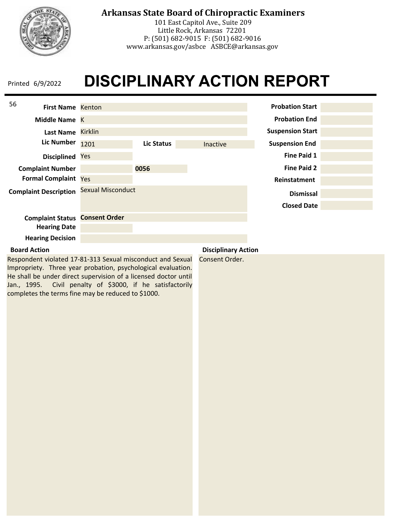

## **Arkansas State Board of Chiropractic Examiners**

101 East Capitol Ave., Suite 209 Little Rock, Arkansas 72201 P: (501) 682-9015 F: (501) 682-9016 www.arkansas.gov/asbce ASBCE@arkansas.gov

# **DISCIPLINARY ACTION REPORT**

| 56<br><b>First Name Kenton</b> |                          |            |                     | <b>Probation Start</b>  |  |
|--------------------------------|--------------------------|------------|---------------------|-------------------------|--|
| Middle Name K                  |                          |            |                     | <b>Probation End</b>    |  |
| <b>Last Name</b>               | <b>Kirklin</b>           |            |                     | <b>Suspension Start</b> |  |
| <b>Lic Number</b>              | 1201                     | Lic Status | Inactive            | <b>Suspension End</b>   |  |
| <b>Disciplined</b>             | Yes                      |            |                     | <b>Fine Paid 1</b>      |  |
| <b>Complaint Number</b>        |                          | 0056       |                     | <b>Fine Paid 2</b>      |  |
| <b>Formal Complaint Yes</b>    |                          |            |                     | Reinstatment            |  |
| <b>Complaint Description</b>   | <b>Sexual Misconduct</b> |            |                     | <b>Dismissal</b>        |  |
|                                |                          |            |                     | <b>Closed Date</b>      |  |
| <b>Complaint Status</b>        | <b>Consent Order</b>     |            |                     |                         |  |
| <b>Hearing Date</b>            |                          |            |                     |                         |  |
| <b>Hearing Decision</b>        |                          |            |                     |                         |  |
| <b>Roord Action</b>            |                          |            | Dicciplinary Action |                         |  |

### **Board Action**

Respondent violated 17-81-313 Sexual misconduct and Sexual Impropriety. Three year probation, psychological evaluation. He shall be under direct supervision of a licensed doctor until Jan., 1995. Civil penalty of \$3000, if he satisfactorily completes the terms fine may be reduced to \$1000.

**Disciplinary Action**

Consent Order.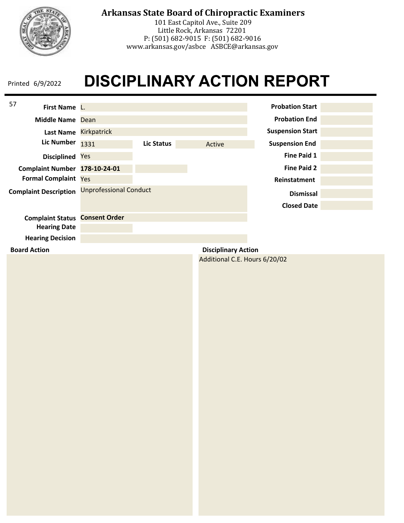

101 East Capitol Ave., Suite 209 Little Rock, Arkansas 72201 P: (501) 682-9015 F: (501) 682-9016 www.arkansas.gov/asbce ASBCE@arkansas.gov

## **DISCIPLINARY ACTION REPORT** Printed 6/9/2022

| 57<br>First Name L.                   |                               |                   |                               | <b>Probation Start</b>  |  |
|---------------------------------------|-------------------------------|-------------------|-------------------------------|-------------------------|--|
| Middle Name Dean                      |                               |                   |                               | <b>Probation End</b>    |  |
|                                       | Last Name Kirkpatrick         |                   |                               | <b>Suspension Start</b> |  |
| <b>Lic Number</b>                     | 1331                          | <b>Lic Status</b> | Active                        | <b>Suspension End</b>   |  |
| Disciplined Yes                       |                               |                   |                               | <b>Fine Paid 1</b>      |  |
| Complaint Number 178-10-24-01         |                               |                   |                               | <b>Fine Paid 2</b>      |  |
| Formal Complaint Yes                  |                               |                   |                               | Reinstatment            |  |
| <b>Complaint Description</b>          | <b>Unprofessional Conduct</b> |                   |                               | <b>Dismissal</b>        |  |
|                                       |                               |                   |                               | <b>Closed Date</b>      |  |
| <b>Complaint Status Consent Order</b> |                               |                   |                               |                         |  |
| <b>Hearing Date</b>                   |                               |                   |                               |                         |  |
| <b>Hearing Decision</b>               |                               |                   |                               |                         |  |
| <b>Board Action</b>                   |                               |                   | <b>Disciplinary Action</b>    |                         |  |
|                                       |                               |                   | Additional C.E. Hours 6/20/02 |                         |  |
|                                       |                               |                   |                               |                         |  |
|                                       |                               |                   |                               |                         |  |
|                                       |                               |                   |                               |                         |  |
|                                       |                               |                   |                               |                         |  |
|                                       |                               |                   |                               |                         |  |
|                                       |                               |                   |                               |                         |  |
|                                       |                               |                   |                               |                         |  |
|                                       |                               |                   |                               |                         |  |
|                                       |                               |                   |                               |                         |  |
|                                       |                               |                   |                               |                         |  |
|                                       |                               |                   |                               |                         |  |
|                                       |                               |                   |                               |                         |  |
|                                       |                               |                   |                               |                         |  |
|                                       |                               |                   |                               |                         |  |
|                                       |                               |                   |                               |                         |  |
|                                       |                               |                   |                               |                         |  |
|                                       |                               |                   |                               |                         |  |
|                                       |                               |                   |                               |                         |  |
|                                       |                               |                   |                               |                         |  |
|                                       |                               |                   |                               |                         |  |
|                                       |                               |                   |                               |                         |  |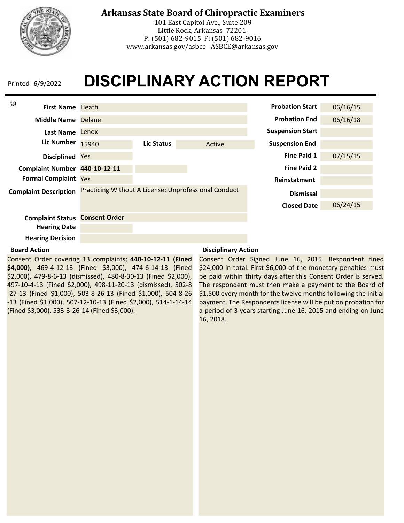

## **Arkansas State Board of Chiropractic Examiners**

101 East Capitol Ave., Suite 209 Little Rock, Arkansas 72201 P: (501) 682-9015 F: (501) 682-9016 www.arkansas.gov/asbce ASBCE@arkansas.gov

# **DISCIPLINARY ACTION REPORT**



### **Board Action**

Consent Order covering 13 complaints; **440-10-12-11 (Fined \$4,000)**, 469-4-12-13 (Fined \$3,000), 474-6-14-13 (Fined \$2,000), 479-8-6-13 (dismissed), 480-8-30-13 (Fined \$2,000), 497-10-4-13 (Fined \$2,000), 498-11-20-13 (dismissed), 502-8 -27-13 (Fined \$1,000), 503-8-26-13 (Fined \$1,000), 504-8-26 -13 (Fined \$1,000), 507-12-10-13 (Fined \$2,000), 514-1-14-14 (Fined \$3,000), 533-3-26-14 (Fined \$3,000).

### **Disciplinary Action**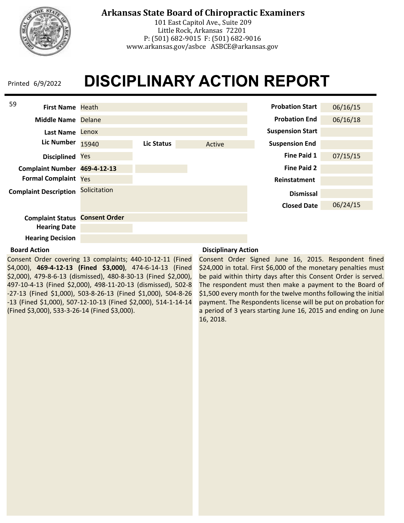

101 East Capitol Ave., Suite 209 Little Rock, Arkansas 72201 P: (501) 682-9015 F: (501) 682-9016 www.arkansas.gov/asbce ASBCE@arkansas.gov

## **DISCIPLINARY ACTION REPORT** Printed 6/9/2022



### **Board Action**

Consent Order covering 13 complaints; 440-10-12-11 (Fined \$4,000), **469-4-12-13 (Fined \$3,000)**, 474-6-14-13 (Fined \$2,000), 479-8-6-13 (dismissed), 480-8-30-13 (Fined \$2,000), 497-10-4-13 (Fined \$2,000), 498-11-20-13 (dismissed), 502-8 -27-13 (Fined \$1,000), 503-8-26-13 (Fined \$1,000), 504-8-26 -13 (Fined \$1,000), 507-12-10-13 (Fined \$2,000), 514-1-14-14 (Fined \$3,000), 533-3-26-14 (Fined \$3,000).

### **Disciplinary Action**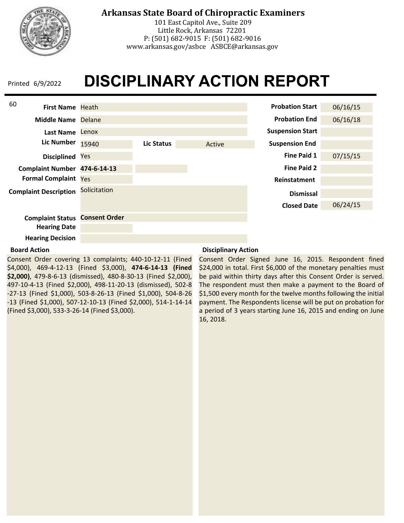

## **Arkansas State Board of Chiropractic Examiners**

101 East Capitol Ave., Suite 209 Little Rock, Arkansas 72201 P: (501) 682-9015 F: (501) 682-9016 www.arkansas.gov/asbce ASBCE@arkansas.gov

# **DISCIPLINARY ACTION REPORT**



### **Board Action**

Consent Order covering 13 complaints; 440-10-12-11 (Fined \$4,000), 469-4-12-13 (Fined \$3,000), **474-6-14-13 (Fined \$2,000)**, 479-8-6-13 (dismissed), 480-8-30-13 (Fined \$2,000), 497-10-4-13 (Fined \$2,000), 498-11-20-13 (dismissed), 502-8 -27-13 (Fined \$1,000), 503-8-26-13 (Fined \$1,000), 504-8-26 -13 (Fined \$1,000), 507-12-10-13 (Fined \$2,000), 514-1-14-14 (Fined \$3,000), 533-3-26-14 (Fined \$3,000).

### **Disciplinary Action**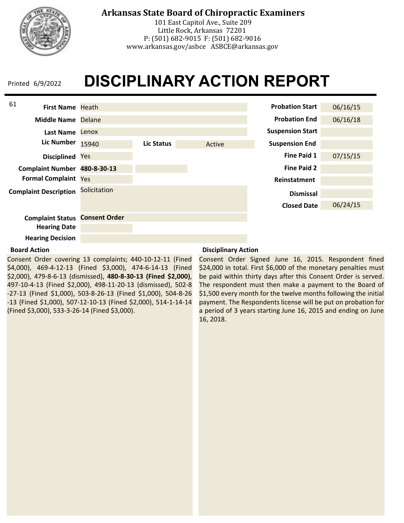

101 East Capitol Ave., Suite 209 Little Rock, Arkansas 72201 P: (501) 682-9015 F: (501) 682-9016 www.arkansas.gov/asbce ASBCE@arkansas.gov

## **DISCIPLINARY ACTION REPORT** Printed 6/9/2022



### **Board Action**

Consent Order covering 13 complaints; 440-10-12-11 (Fined \$4,000), 469-4-12-13 (Fined \$3,000), 474-6-14-13 (Fined \$2,000), 479-8-6-13 (dismissed), **480-8-30-13 (Fined \$2,000)**, 497-10-4-13 (Fined \$2,000), 498-11-20-13 (dismissed), 502-8 -27-13 (Fined \$1,000), 503-8-26-13 (Fined \$1,000), 504-8-26 -13 (Fined \$1,000), 507-12-10-13 (Fined \$2,000), 514-1-14-14 (Fined \$3,000), 533-3-26-14 (Fined \$3,000).

### **Disciplinary Action**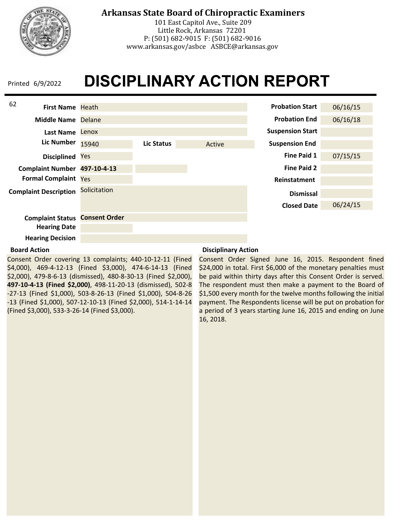

101 East Capitol Ave., Suite 209 Little Rock, Arkansas 72201 P: (501) 682-9015 F: (501) 682-9016 www.arkansas.gov/asbce ASBCE@arkansas.gov

## **DISCIPLINARY ACTION REPORT** Printed 6/9/2022



### **Board Action**

Consent Order covering 13 complaints; 440-10-12-11 (Fined \$4,000), 469-4-12-13 (Fined \$3,000), 474-6-14-13 (Fined \$2,000), 479-8-6-13 (dismissed), 480-8-30-13 (Fined \$2,000), **497-10-4-13 (Fined \$2,000)**, 498-11-20-13 (dismissed), 502-8 -27-13 (Fined \$1,000), 503-8-26-13 (Fined \$1,000), 504-8-26 -13 (Fined \$1,000), 507-12-10-13 (Fined \$2,000), 514-1-14-14 (Fined \$3,000), 533-3-26-14 (Fined \$3,000).

### **Disciplinary Action**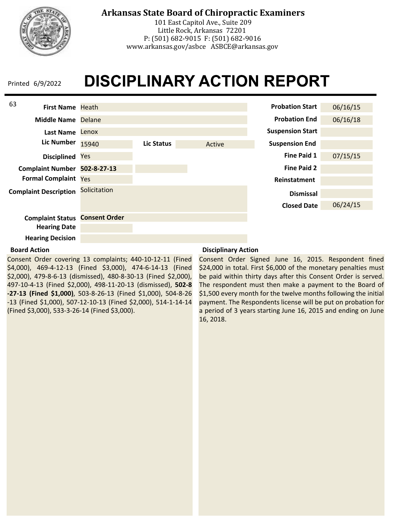

101 East Capitol Ave., Suite 209 Little Rock, Arkansas 72201 P: (501) 682-9015 F: (501) 682-9016 www.arkansas.gov/asbce ASBCE@arkansas.gov

## **DISCIPLINARY ACTION REPORT** Printed 6/9/2022



#### **Board Action**

Consent Order covering 13 complaints; 440-10-12-11 (Fined \$4,000), 469-4-12-13 (Fined \$3,000), 474-6-14-13 (Fined \$2,000), 479-8-6-13 (dismissed), 480-8-30-13 (Fined \$2,000), 497-10-4-13 (Fined \$2,000), 498-11-20-13 (dismissed), **502-8 -27-13 (Fined \$1,000)**, 503-8-26-13 (Fined \$1,000), 504-8-26 -13 (Fined \$1,000), 507-12-10-13 (Fined \$2,000), 514-1-14-14 (Fined \$3,000), 533-3-26-14 (Fined \$3,000).

### **Disciplinary Action**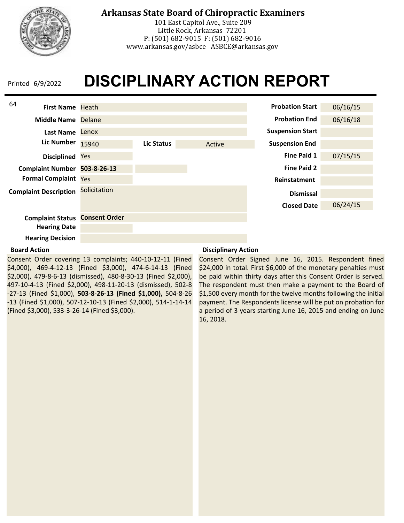

101 East Capitol Ave., Suite 209 Little Rock, Arkansas 72201 P: (501) 682-9015 F: (501) 682-9016 www.arkansas.gov/asbce ASBCE@arkansas.gov

## **DISCIPLINARY ACTION REPORT** Printed 6/9/2022



### **Board Action**

Consent Order covering 13 complaints; 440-10-12-11 (Fined \$4,000), 469-4-12-13 (Fined \$3,000), 474-6-14-13 (Fined \$2,000), 479-8-6-13 (dismissed), 480-8-30-13 (Fined \$2,000), 497-10-4-13 (Fined \$2,000), 498-11-20-13 (dismissed), 502-8 -27-13 (Fined \$1,000), **503-8-26-13 (Fined \$1,000),** 504-8-26 -13 (Fined \$1,000), 507-12-10-13 (Fined \$2,000), 514-1-14-14 (Fined \$3,000), 533-3-26-14 (Fined \$3,000).

### **Disciplinary Action**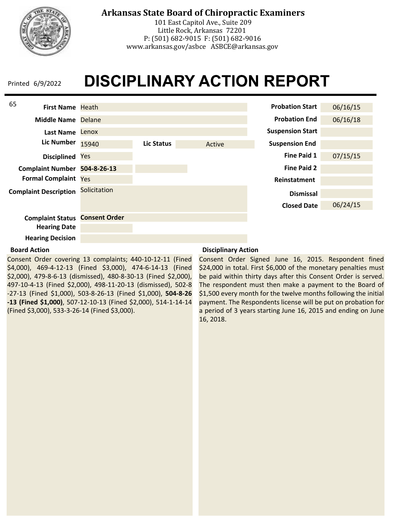

101 East Capitol Ave., Suite 209 Little Rock, Arkansas 72201 P: (501) 682-9015 F: (501) 682-9016 www.arkansas.gov/asbce ASBCE@arkansas.gov

## **DISCIPLINARY ACTION REPORT** Printed 6/9/2022



### **Board Action**

Consent Order covering 13 complaints; 440-10-12-11 (Fined \$4,000), 469-4-12-13 (Fined \$3,000), 474-6-14-13 (Fined \$2,000), 479-8-6-13 (dismissed), 480-8-30-13 (Fined \$2,000), 497-10-4-13 (Fined \$2,000), 498-11-20-13 (dismissed), 502-8 -27-13 (Fined \$1,000), 503-8-26-13 (Fined \$1,000), **504-8-26 -13 (Fined \$1,000)**, 507-12-10-13 (Fined \$2,000), 514-1-14-14 (Fined \$3,000), 533-3-26-14 (Fined \$3,000).

### **Disciplinary Action**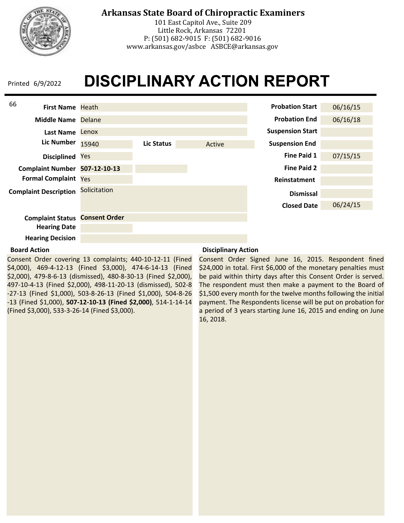

101 East Capitol Ave., Suite 209 Little Rock, Arkansas 72201 P: (501) 682-9015 F: (501) 682-9016 www.arkansas.gov/asbce ASBCE@arkansas.gov

## **DISCIPLINARY ACTION REPORT** Printed 6/9/2022



### **Board Action**

Consent Order covering 13 complaints; 440-10-12-11 (Fined \$4,000), 469-4-12-13 (Fined \$3,000), 474-6-14-13 (Fined \$2,000), 479-8-6-13 (dismissed), 480-8-30-13 (Fined \$2,000), 497-10-4-13 (Fined \$2,000), 498-11-20-13 (dismissed), 502-8 -27-13 (Fined \$1,000), 503-8-26-13 (Fined \$1,000), 504-8-26 -13 (Fined \$1,000), **507-12-10-13 (Fined \$2,000)**, 514-1-14-14 (Fined \$3,000), 533-3-26-14 (Fined \$3,000).

### **Disciplinary Action**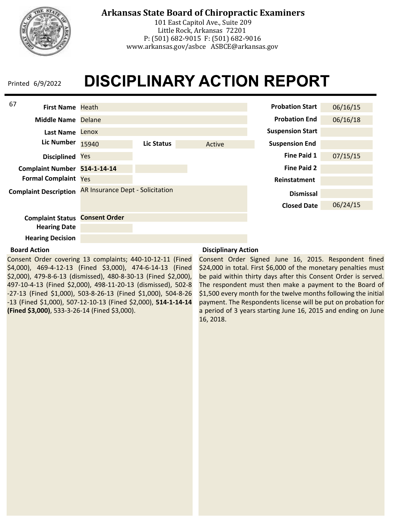

## **Arkansas State Board of Chiropractic Examiners**

101 East Capitol Ave., Suite 209 Little Rock, Arkansas 72201 P: (501) 682-9015 F: (501) 682-9016 www.arkansas.gov/asbce ASBCE@arkansas.gov

# **DISCIPLINARY ACTION REPORT**



### **Board Action**

Consent Order covering 13 complaints; 440-10-12-11 (Fined \$4,000), 469-4-12-13 (Fined \$3,000), 474-6-14-13 (Fined \$2,000), 479-8-6-13 (dismissed), 480-8-30-13 (Fined \$2,000), 497-10-4-13 (Fined \$2,000), 498-11-20-13 (dismissed), 502-8 -27-13 (Fined \$1,000), 503-8-26-13 (Fined \$1,000), 504-8-26 -13 (Fined \$1,000), 507-12-10-13 (Fined \$2,000), **514-1-14-14 (Fined \$3,000)**, 533-3-26-14 (Fined \$3,000).

### **Disciplinary Action**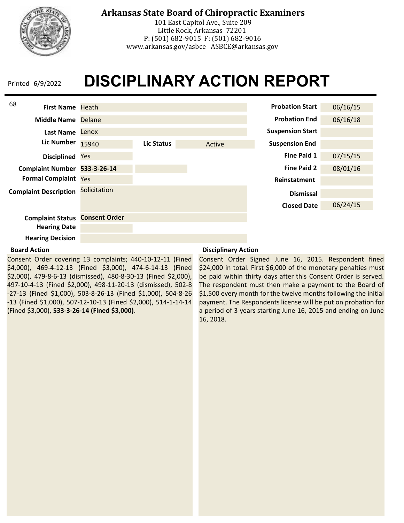

101 East Capitol Ave., Suite 209 Little Rock, Arkansas 72201 P: (501) 682-9015 F: (501) 682-9016 www.arkansas.gov/asbce ASBCE@arkansas.gov

## **DISCIPLINARY ACTION REPORT** Printed 6/9/2022



### **Board Action**

Consent Order covering 13 complaints; 440-10-12-11 (Fined \$4,000), 469-4-12-13 (Fined \$3,000), 474-6-14-13 (Fined \$2,000), 479-8-6-13 (dismissed), 480-8-30-13 (Fined \$2,000), 497-10-4-13 (Fined \$2,000), 498-11-20-13 (dismissed), 502-8 -27-13 (Fined \$1,000), 503-8-26-13 (Fined \$1,000), 504-8-26 -13 (Fined \$1,000), 507-12-10-13 (Fined \$2,000), 514-1-14-14 (Fined \$3,000), **533-3-26-14 (Fined \$3,000)**.

### **Disciplinary Action**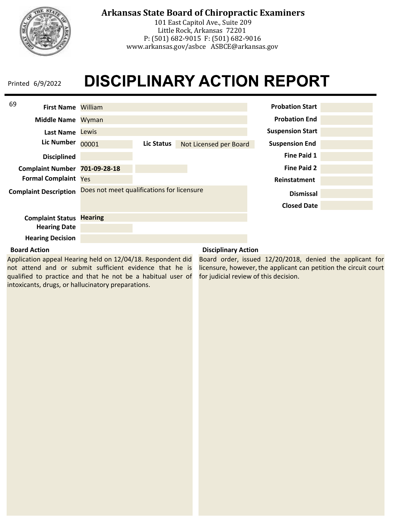

## **Arkansas State Board of Chiropractic Examiners**

101 East Capitol Ave., Suite 209 Little Rock, Arkansas 72201 P: (501) 682-9015 F: (501) 682-9016 www.arkansas.gov/asbce ASBCE@arkansas.gov

# **DISCIPLINARY ACTION REPORT**

| 69<br><b>First Name William</b> |                                            |            |                        | <b>Probation Start</b>  |  |
|---------------------------------|--------------------------------------------|------------|------------------------|-------------------------|--|
| Middle Name Wyman               |                                            |            |                        | <b>Probation End</b>    |  |
| <b>Last Name</b>                | Lewis                                      |            |                        | <b>Suspension Start</b> |  |
| <b>Lic Number</b>               | 00001                                      | Lic Status | Not Licensed per Board | <b>Suspension End</b>   |  |
| <b>Disciplined</b>              |                                            |            |                        | <b>Fine Paid 1</b>      |  |
| <b>Complaint Number</b>         | 701-09-28-18                               |            |                        | <b>Fine Paid 2</b>      |  |
| <b>Formal Complaint Yes</b>     |                                            |            |                        | Reinstatment            |  |
| <b>Complaint Description</b>    | Does not meet qualifications for licensure |            |                        | <b>Dismissal</b>        |  |
|                                 |                                            |            |                        | <b>Closed Date</b>      |  |
| <b>Complaint Status</b>         | <b>Hearing</b>                             |            |                        |                         |  |
| <b>Hearing Date</b>             |                                            |            |                        |                         |  |
| <b>Hearing Decision</b>         |                                            |            |                        |                         |  |

#### **Board Action**

Application appeal Hearing held on 12/04/18. Respondent did not attend and or submit sufficient evidence that he is qualified to practice and that he not be a habitual user of intoxicants, drugs, or hallucinatory preparations.

### **Disciplinary Action**

Board order, issued 12/20/2018, denied the applicant for licensure, however, the applicant can petition the circuit court for judicial review of this decision.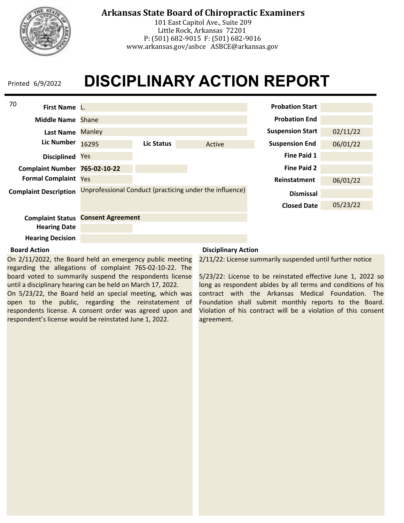

## **Arkansas State Board of Chiropractic Examiners**

101 East Capitol Ave., Suite 209 Little Rock, Arkansas 72201 P: (501) 682-9015 F: (501) 682-9016 www.arkansas.gov/asbce ASBCE@arkansas.gov

# **DISCIPLINARY ACTION REPORT**

| 70<br>First Name L.          |                          |            |                                                         | <b>Probation Start</b>  |          |
|------------------------------|--------------------------|------------|---------------------------------------------------------|-------------------------|----------|
| Middle Name Shane            |                          |            |                                                         | <b>Probation End</b>    |          |
| Last Name                    | <b>Manley</b>            |            |                                                         | <b>Suspension Start</b> | 02/11/22 |
| <b>Lic Number</b>            | 16295                    | Lic Status | Active                                                  | <b>Suspension End</b>   | 06/01/22 |
| <b>Disciplined</b>           | Yes                      |            |                                                         | <b>Fine Paid 1</b>      |          |
| <b>Complaint Number</b>      | 765-02-10-22             |            |                                                         | <b>Fine Paid 2</b>      |          |
| <b>Formal Complaint Yes</b>  |                          |            |                                                         | Reinstatment            | 06/01/22 |
| <b>Complaint Description</b> |                          |            | Unprofessional Conduct (practicing under the influence) | <b>Dismissal</b>        |          |
|                              |                          |            |                                                         | <b>Closed Date</b>      | 05/23/22 |
| <b>Complaint Status</b>      | <b>Consent Agreement</b> |            |                                                         |                         |          |
| <b>Hearing Date</b>          |                          |            |                                                         |                         |          |
| <b>Hearing Decision</b>      |                          |            |                                                         |                         |          |

### **Board Action**

On 2/11/2022, the Board held an emergency public meeting regarding the allegations of complaint 765-02-10-22. The board voted to summarily suspend the respondents license until a disciplinary hearing can be held on March 17, 2022.

On 5/23/22, the Board held an special meeting, which was open to the public, regarding the reinstatement of respondents license. A consent order was agreed upon and respondent's license would be reinstated June 1, 2022.

### **Disciplinary Action**

2/11/22: License summarily suspended until further notice

5/23/22: License to be reinstated effective June 1, 2022 so long as respondent abides by all terms and conditions of his contract with the Arkansas Medical Foundation. The Foundation shall submit monthly reports to the Board. Violation of his contract will be a violation of this consent agreement.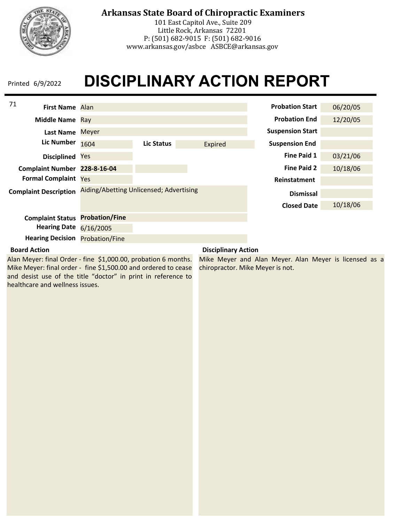

101 East Capitol Ave., Suite 209 Little Rock, Arkansas 72201 P: (501) 682-9015 F: (501) 682-9016 www.arkansas.gov/asbce ASBCE@arkansas.gov

## **DISCIPLINARY ACTION REPORT** Printed 6/9/2022

| 71<br><b>First Name</b> Alan |                                         |            |         | <b>Probation Start</b>  | 06/20/05 |
|------------------------------|-----------------------------------------|------------|---------|-------------------------|----------|
| <b>Middle Name</b>           | Ray                                     |            |         | <b>Probation End</b>    | 12/20/05 |
| <b>Last Name</b>             | <b>Meyer</b>                            |            |         | <b>Suspension Start</b> |          |
| Lic Number                   | 1604                                    | Lic Status | Expired | <b>Suspension End</b>   |          |
| <b>Disciplined</b>           | Yes                                     |            |         | Fine Paid 1             | 03/21/06 |
| <b>Complaint Number</b>      | 228-8-16-04                             |            |         | <b>Fine Paid 2</b>      | 10/18/06 |
| <b>Formal Complaint</b>      | Yes                                     |            |         | Reinstatment            |          |
| <b>Complaint Description</b> | Aiding/Abetting Unlicensed; Advertising |            |         | <b>Dismissal</b>        |          |
|                              |                                         |            |         | <b>Closed Date</b>      | 10/18/06 |
| <b>Complaint Status</b>      | <b>Probation/Fine</b>                   |            |         |                         |          |
| <b>Hearing Date</b>          | 6/16/2005                               |            |         |                         |          |
| <b>Hearing Decision</b>      | <b>Probation/Fine</b>                   |            |         |                         |          |

### **Board Action**

Alan Meyer: final Order - fine \$1,000.00, probation 6 months. Mike Meyer: final order - fine \$1,500.00 and ordered to cease and desist use of the title "doctor" in print in reference to healthcare and wellness issues.

### **Disciplinary Action**

Mike Meyer and Alan Meyer. Alan Meyer is licensed as a chiropractor. Mike Meyer is not.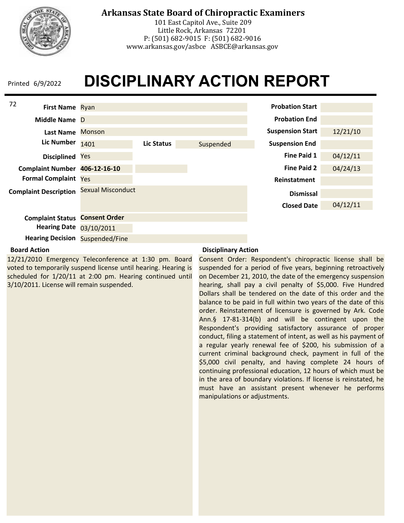

101 East Capitol Ave., Suite 209 Little Rock, Arkansas 72201 P: (501) 682-9015 F: (501) 682-9016 www.arkansas.gov/asbce ASBCE@arkansas.gov

## **DISCIPLINARY ACTION REPORT** Printed 6/9/2022



### **Board Action**

12/21/2010 Emergency Teleconference at 1:30 pm. Board voted to temporarily suspend license until hearing. Hearing is scheduled for 1/20/11 at 2:00 pm. Hearing continued until 3/10/2011. License will remain suspended.

### **Disciplinary Action**

Consent Order: Respondent's chiropractic license shall be suspended for a period of five years, beginning retroactively on December 21, 2010, the date of the emergency suspension hearing, shall pay a civil penalty of \$5,000. Five Hundred Dollars shall be tendered on the date of this order and the balance to be paid in full within two years of the date of this order. Reinstatement of licensure is governed by Ark. Code Ann.§ 17-81-314(b) and will be contingent upon the Respondent's providing satisfactory assurance of proper conduct, filing a statement of intent, as well as his payment of a regular yearly renewal fee of \$200, his submission of a current criminal background check, payment in full of the \$5,000 civil penalty, and having complete 24 hours of continuing professional education, 12 hours of which must be in the area of boundary violations. If license is reinstated, he must have an assistant present whenever he performs manipulations or adjustments.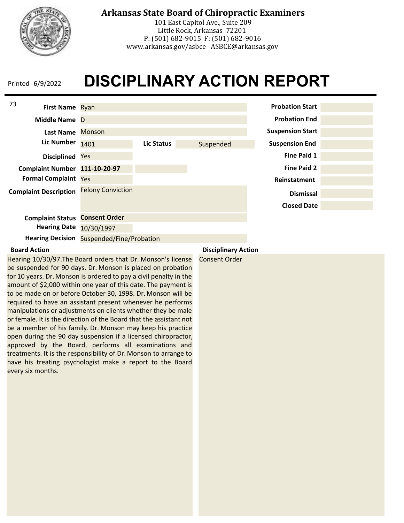

101 East Capitol Ave., Suite 209 Little Rock, Arkansas 72201 P: (501) 682-9015 F: (501) 682-9016 www.arkansas.gov/asbce ASBCE@arkansas.gov

### **DISCIPLINARY ACTION REPORT** Printed 6/9/2022



### **Board Action**

Hearing 10/30/97.The Board orders that Dr. Monson's license be suspended for 90 days. Dr. Monson is placed on probation for 10 years. Dr. Monson is ordered to pay a civil penalty in the amount of \$2,000 within one year of this date. The payment is to be made on or before October 30, 1998. Dr. Monson will be required to have an assistant present whenever he performs manipulations or adjustments on clients whether they be male or female. It is the direction of the Board that the assistant not be a member of his family. Dr. Monson may keep his practice open during the 90 day suspension if a licensed chiropractor, approved by the Board, performs all examinations and treatments. It is the responsibility of Dr. Monson to arrange to have his treating psychologist make a report to the Board every six months.

**Disciplinary Action**

Consent Order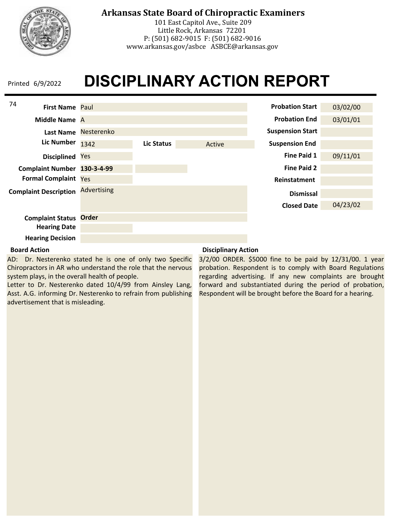

101 East Capitol Ave., Suite 209 Little Rock, Arkansas 72201 P: (501) 682-9015 F: (501) 682-9016 www.arkansas.gov/asbce ASBCE@arkansas.gov

# **DISCIPLINARY ACTION REPORT** Printed 6/9/2022

| 74                           |                    |            |        |                         |          |
|------------------------------|--------------------|------------|--------|-------------------------|----------|
| <b>First Name Paul</b>       |                    |            |        | <b>Probation Start</b>  | 03/02/00 |
| Middle Name A                |                    |            |        | <b>Probation End</b>    | 03/01/01 |
| Last Name                    | Nesterenko         |            |        | <b>Suspension Start</b> |          |
| <b>Lic Number</b>            | 1342               | Lic Status | Active | <b>Suspension End</b>   |          |
| <b>Disciplined</b>           | Yes                |            |        | Fine Paid 1             | 09/11/01 |
| Complaint Number 130-3-4-99  |                    |            |        | <b>Fine Paid 2</b>      |          |
| <b>Formal Complaint Yes</b>  |                    |            |        | Reinstatment            |          |
| <b>Complaint Description</b> | <b>Advertising</b> |            |        | <b>Dismissal</b>        |          |
|                              |                    |            |        | <b>Closed Date</b>      | 04/23/02 |
| <b>Complaint Status</b>      | <b>Order</b>       |            |        |                         |          |
| <b>Hearing Date</b>          |                    |            |        |                         |          |
| <b>Hearing Decision</b>      |                    |            |        |                         |          |

### **Board Action**

AD: Dr. Nesterenko stated he is one of only two Specific Chiropractors in AR who understand the role that the nervous system plays, in the overall health of people.

Letter to Dr. Nesterenko dated 10/4/99 from Ainsley Lang, Asst. A.G. informing Dr. Nesterenko to refrain from publishing advertisement that is misleading.

### **Disciplinary Action**

3/2/00 ORDER. \$5000 fine to be paid by 12/31/00. 1 year probation. Respondent is to comply with Board Regulations regarding advertising. If any new complaints are brought forward and substantiated during the period of probation, Respondent will be brought before the Board for a hearing.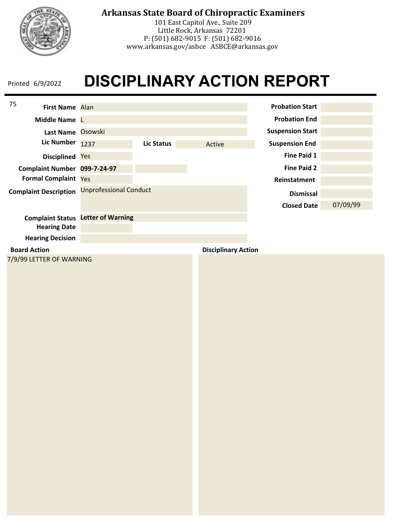

101 East Capitol Ave., Suite 209 Little Rock, Arkansas 72201 P: (501) 682-9015 F: (501) 682-9016 www.arkansas.gov/asbce ASBCE@arkansas.gov

| 75                  | First Name Alan              |                                           |                   |                            | <b>Probation Start</b>  |          |
|---------------------|------------------------------|-------------------------------------------|-------------------|----------------------------|-------------------------|----------|
|                     | Middle Name                  |                                           |                   |                            | <b>Probation End</b>    |          |
|                     | Last Name Osowski            |                                           |                   |                            | <b>Suspension Start</b> |          |
|                     | <b>Lic Number</b>            | 1237                                      | <b>Lic Status</b> | Active                     | <b>Suspension End</b>   |          |
|                     | Disciplined Yes              |                                           |                   |                            | <b>Fine Paid 1</b>      |          |
|                     | Complaint Number 099-7-24-97 |                                           |                   |                            | <b>Fine Paid 2</b>      |          |
|                     | Formal Complaint Yes         |                                           |                   |                            | Reinstatment            |          |
|                     | <b>Complaint Description</b> | <b>Unprofessional Conduct</b>             |                   |                            | <b>Dismissal</b>        |          |
|                     |                              |                                           |                   |                            | <b>Closed Date</b>      | 07/09/99 |
|                     |                              | <b>Complaint Status</b> Letter of Warning |                   |                            |                         |          |
|                     | <b>Hearing Date</b>          |                                           |                   |                            |                         |          |
|                     | <b>Hearing Decision</b>      |                                           |                   |                            |                         |          |
| <b>Board Action</b> |                              |                                           |                   | <b>Disciplinary Action</b> |                         |          |
|                     | 7/9/99 LETTER OF WARNING     |                                           |                   |                            |                         |          |
|                     |                              |                                           |                   |                            |                         |          |
|                     |                              |                                           |                   |                            |                         |          |
|                     |                              |                                           |                   |                            |                         |          |
|                     |                              |                                           |                   |                            |                         |          |
|                     |                              |                                           |                   |                            |                         |          |
|                     |                              |                                           |                   |                            |                         |          |
|                     |                              |                                           |                   |                            |                         |          |
|                     |                              |                                           |                   |                            |                         |          |
|                     |                              |                                           |                   |                            |                         |          |
|                     |                              |                                           |                   |                            |                         |          |
|                     |                              |                                           |                   |                            |                         |          |
|                     |                              |                                           |                   |                            |                         |          |
|                     |                              |                                           |                   |                            |                         |          |
|                     |                              |                                           |                   |                            |                         |          |
|                     |                              |                                           |                   |                            |                         |          |
|                     |                              |                                           |                   |                            |                         |          |
|                     |                              |                                           |                   |                            |                         |          |
|                     |                              |                                           |                   |                            |                         |          |
|                     |                              |                                           |                   |                            |                         |          |
|                     |                              |                                           |                   |                            |                         |          |
|                     |                              |                                           |                   |                            |                         |          |
|                     |                              |                                           |                   |                            |                         |          |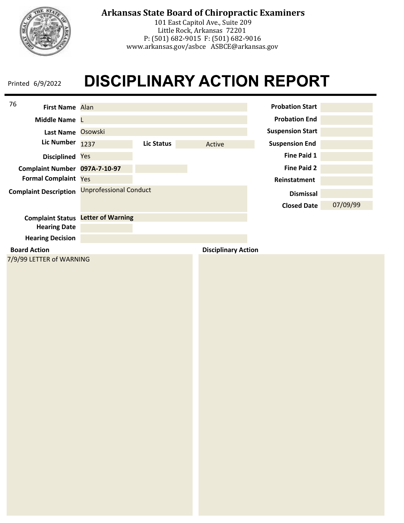

101 East Capitol Ave., Suite 209 Little Rock, Arkansas 72201 P: (501) 682-9015 F: (501) 682-9016 www.arkansas.gov/asbce ASBCE@arkansas.gov

| 76<br>First Name Alan                           |                                           |                   |                            | <b>Probation Start</b>  |          |
|-------------------------------------------------|-------------------------------------------|-------------------|----------------------------|-------------------------|----------|
| Middle Name                                     |                                           |                   |                            | <b>Probation End</b>    |          |
| Last Name Osowski                               |                                           |                   |                            | <b>Suspension Start</b> |          |
| <b>Lic Number</b>                               | 1237                                      | <b>Lic Status</b> | Active                     | <b>Suspension End</b>   |          |
| Disciplined Yes                                 |                                           |                   |                            | <b>Fine Paid 1</b>      |          |
| Complaint Number 097A-7-10-97                   |                                           |                   |                            | <b>Fine Paid 2</b>      |          |
| Formal Complaint Yes                            |                                           |                   |                            | Reinstatment            |          |
| <b>Complaint Description</b>                    | <b>Unprofessional Conduct</b>             |                   |                            | <b>Dismissal</b>        |          |
|                                                 |                                           |                   |                            | <b>Closed Date</b>      | 07/09/99 |
|                                                 | <b>Complaint Status</b> Letter of Warning |                   |                            |                         |          |
| <b>Hearing Date</b>                             |                                           |                   |                            |                         |          |
| <b>Hearing Decision</b>                         |                                           |                   |                            |                         |          |
| <b>Board Action</b><br>7/9/99 LETTER of WARNING |                                           |                   | <b>Disciplinary Action</b> |                         |          |
|                                                 |                                           |                   |                            |                         |          |
|                                                 |                                           |                   |                            |                         |          |
|                                                 |                                           |                   |                            |                         |          |
|                                                 |                                           |                   |                            |                         |          |
|                                                 |                                           |                   |                            |                         |          |
|                                                 |                                           |                   |                            |                         |          |
|                                                 |                                           |                   |                            |                         |          |
|                                                 |                                           |                   |                            |                         |          |
|                                                 |                                           |                   |                            |                         |          |
|                                                 |                                           |                   |                            |                         |          |
|                                                 |                                           |                   |                            |                         |          |
|                                                 |                                           |                   |                            |                         |          |
|                                                 |                                           |                   |                            |                         |          |
|                                                 |                                           |                   |                            |                         |          |
|                                                 |                                           |                   |                            |                         |          |
|                                                 |                                           |                   |                            |                         |          |
|                                                 |                                           |                   |                            |                         |          |
|                                                 |                                           |                   |                            |                         |          |
|                                                 |                                           |                   |                            |                         |          |
|                                                 |                                           |                   |                            |                         |          |
|                                                 |                                           |                   |                            |                         |          |
|                                                 |                                           |                   |                            |                         |          |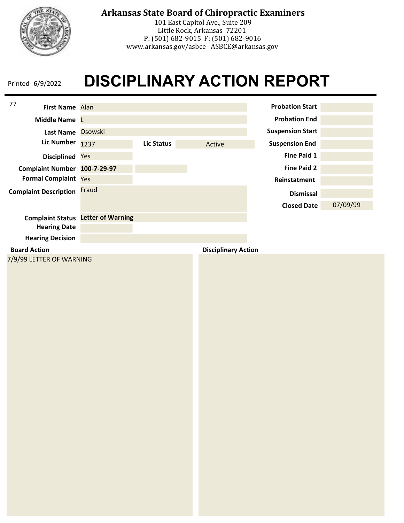

101 East Capitol Ave., Suite 209 Little Rock, Arkansas 72201 P: (501) 682-9015 F: (501) 682-9016 www.arkansas.gov/asbce ASBCE@arkansas.gov

| 77<br>First Name Alan              |                                           |                   |                            | <b>Probation Start</b>  |          |
|------------------------------------|-------------------------------------------|-------------------|----------------------------|-------------------------|----------|
| Middle Name L                      |                                           |                   |                            | <b>Probation End</b>    |          |
| Last Name Osowski                  |                                           |                   |                            | <b>Suspension Start</b> |          |
| <b>Lic Number</b>                  | 1237                                      | <b>Lic Status</b> | Active                     | <b>Suspension End</b>   |          |
| Disciplined Yes                    |                                           |                   |                            | <b>Fine Paid 1</b>      |          |
| Complaint Number 100-7-29-97       |                                           |                   |                            | <b>Fine Paid 2</b>      |          |
| Formal Complaint Yes               |                                           |                   |                            | Reinstatment            |          |
| <b>Complaint Description Fraud</b> |                                           |                   |                            | <b>Dismissal</b>        |          |
|                                    |                                           |                   |                            | <b>Closed Date</b>      | 07/09/99 |
|                                    | <b>Complaint Status</b> Letter of Warning |                   |                            |                         |          |
| <b>Hearing Date</b>                |                                           |                   |                            |                         |          |
| <b>Hearing Decision</b>            |                                           |                   |                            |                         |          |
| <b>Board Action</b>                |                                           |                   | <b>Disciplinary Action</b> |                         |          |
| 7/9/99 LETTER OF WARNING           |                                           |                   |                            |                         |          |
|                                    |                                           |                   |                            |                         |          |
|                                    |                                           |                   |                            |                         |          |
|                                    |                                           |                   |                            |                         |          |
|                                    |                                           |                   |                            |                         |          |
|                                    |                                           |                   |                            |                         |          |
|                                    |                                           |                   |                            |                         |          |
|                                    |                                           |                   |                            |                         |          |
|                                    |                                           |                   |                            |                         |          |
|                                    |                                           |                   |                            |                         |          |
|                                    |                                           |                   |                            |                         |          |
|                                    |                                           |                   |                            |                         |          |
|                                    |                                           |                   |                            |                         |          |
|                                    |                                           |                   |                            |                         |          |
|                                    |                                           |                   |                            |                         |          |
|                                    |                                           |                   |                            |                         |          |
|                                    |                                           |                   |                            |                         |          |
|                                    |                                           |                   |                            |                         |          |
|                                    |                                           |                   |                            |                         |          |
|                                    |                                           |                   |                            |                         |          |
|                                    |                                           |                   |                            |                         |          |
|                                    |                                           |                   |                            |                         |          |
|                                    |                                           |                   |                            |                         |          |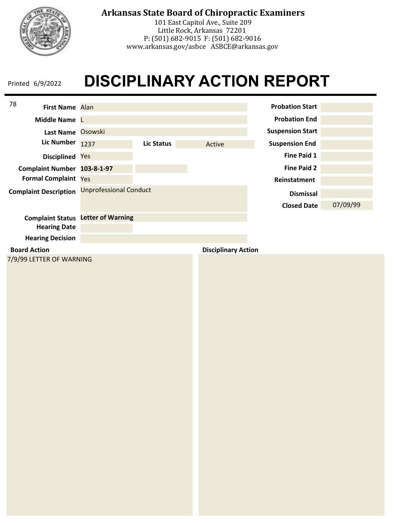

101 East Capitol Ave., Suite 209 Little Rock, Arkansas 72201 P: (501) 682-9015 F: (501) 682-9016 www.arkansas.gov/asbce ASBCE@arkansas.gov

| 78<br>First Name Alan        |                                           |                   |                            | <b>Probation Start</b>  |          |
|------------------------------|-------------------------------------------|-------------------|----------------------------|-------------------------|----------|
| Middle Name                  |                                           |                   |                            | <b>Probation End</b>    |          |
| Last Name Osowski            |                                           |                   |                            | <b>Suspension Start</b> |          |
| <b>Lic Number</b>            | 1237                                      | <b>Lic Status</b> | Active                     | <b>Suspension End</b>   |          |
| Disciplined Yes              |                                           |                   |                            | <b>Fine Paid 1</b>      |          |
| Complaint Number 103-8-1-97  |                                           |                   |                            | <b>Fine Paid 2</b>      |          |
| Formal Complaint Yes         |                                           |                   |                            | Reinstatment            |          |
| <b>Complaint Description</b> | <b>Unprofessional Conduct</b>             |                   |                            | <b>Dismissal</b>        |          |
|                              |                                           |                   |                            | <b>Closed Date</b>      | 07/09/99 |
| <b>Hearing Date</b>          | <b>Complaint Status</b> Letter of Warning |                   |                            |                         |          |
| <b>Hearing Decision</b>      |                                           |                   |                            |                         |          |
| <b>Board Action</b>          |                                           |                   | <b>Disciplinary Action</b> |                         |          |
| 7/9/99 LETTER OF WARNING     |                                           |                   |                            |                         |          |
|                              |                                           |                   |                            |                         |          |
|                              |                                           |                   |                            |                         |          |
|                              |                                           |                   |                            |                         |          |
|                              |                                           |                   |                            |                         |          |
|                              |                                           |                   |                            |                         |          |
|                              |                                           |                   |                            |                         |          |
|                              |                                           |                   |                            |                         |          |
|                              |                                           |                   |                            |                         |          |
|                              |                                           |                   |                            |                         |          |
|                              |                                           |                   |                            |                         |          |
|                              |                                           |                   |                            |                         |          |
|                              |                                           |                   |                            |                         |          |
|                              |                                           |                   |                            |                         |          |
|                              |                                           |                   |                            |                         |          |
|                              |                                           |                   |                            |                         |          |
|                              |                                           |                   |                            |                         |          |
|                              |                                           |                   |                            |                         |          |
|                              |                                           |                   |                            |                         |          |
|                              |                                           |                   |                            |                         |          |
|                              |                                           |                   |                            |                         |          |
|                              |                                           |                   |                            |                         |          |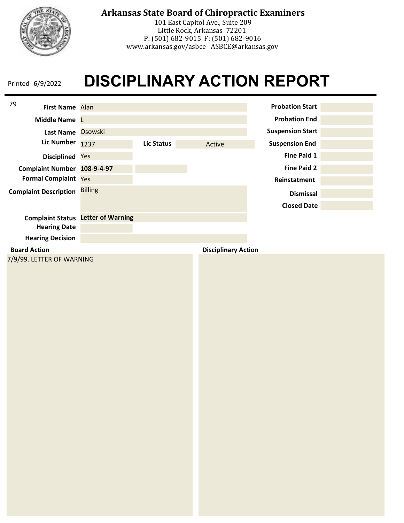

101 East Capitol Ave., Suite 209 Little Rock, Arkansas 72201 P: (501) 682-9015 F: (501) 682-9016 www.arkansas.gov/asbce ASBCE@arkansas.gov

| 79<br>First Name Alan        |                                           |                   |                            | <b>Probation Start</b>  |  |
|------------------------------|-------------------------------------------|-------------------|----------------------------|-------------------------|--|
| Middle Name L                |                                           |                   |                            | <b>Probation End</b>    |  |
| Last Name Osowski            |                                           |                   |                            | <b>Suspension Start</b> |  |
| <b>Lic Number</b>            | 1237                                      | <b>Lic Status</b> | Active                     | <b>Suspension End</b>   |  |
| Disciplined Yes              |                                           |                   |                            | <b>Fine Paid 1</b>      |  |
| Complaint Number 108-9-4-97  |                                           |                   |                            | <b>Fine Paid 2</b>      |  |
| Formal Complaint Yes         |                                           |                   |                            | Reinstatment            |  |
| <b>Complaint Description</b> | <b>Billing</b>                            |                   |                            | <b>Dismissal</b>        |  |
|                              |                                           |                   |                            | <b>Closed Date</b>      |  |
|                              | <b>Complaint Status</b> Letter of Warning |                   |                            |                         |  |
| <b>Hearing Date</b>          |                                           |                   |                            |                         |  |
| <b>Hearing Decision</b>      |                                           |                   |                            |                         |  |
| <b>Board Action</b>          |                                           |                   | <b>Disciplinary Action</b> |                         |  |
| 7/9/99. LETTER OF WARNING    |                                           |                   |                            |                         |  |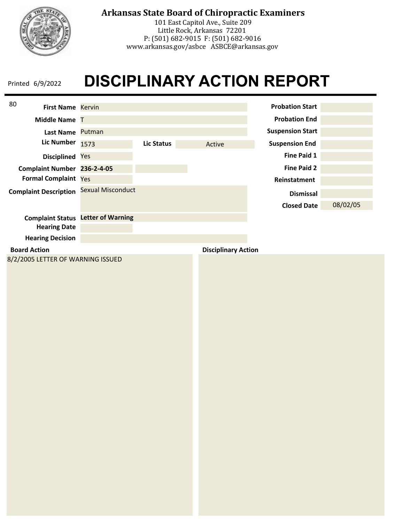

101 East Capitol Ave., Suite 209 Little Rock, Arkansas 72201 P: (501) 682-9015 F: (501) 682-9016 www.arkansas.gov/asbce ASBCE@arkansas.gov

| 80<br><b>First Name Kervin</b>    |                          |            |                            | <b>Probation Start</b>  |          |
|-----------------------------------|--------------------------|------------|----------------------------|-------------------------|----------|
| <b>Middle Name T</b>              |                          |            |                            | <b>Probation End</b>    |          |
| Last Name Putman                  |                          |            |                            | <b>Suspension Start</b> |          |
| <b>Lic Number</b>                 | 1573                     | Lic Status | Active                     | <b>Suspension End</b>   |          |
| <b>Disciplined</b>                | Yes                      |            |                            | <b>Fine Paid 1</b>      |          |
| Complaint Number 236-2-4-05       |                          |            |                            | <b>Fine Paid 2</b>      |          |
| <b>Formal Complaint Yes</b>       |                          |            |                            | Reinstatment            |          |
| <b>Complaint Description</b>      | Sexual Misconduct        |            |                            | <b>Dismissal</b>        |          |
|                                   |                          |            |                            | <b>Closed Date</b>      | 08/02/05 |
| <b>Complaint Status</b>           | <b>Letter of Warning</b> |            |                            |                         |          |
| <b>Hearing Date</b>               |                          |            |                            |                         |          |
| <b>Hearing Decision</b>           |                          |            |                            |                         |          |
| <b>Board Action</b>               |                          |            | <b>Disciplinary Action</b> |                         |          |
| 8/2/2005 LETTER OF WARNING ISSUED |                          |            |                            |                         |          |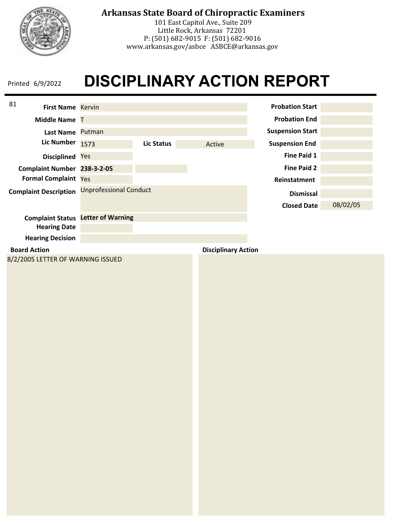

101 East Capitol Ave., Suite 209 Little Rock, Arkansas 72201 P: (501) 682-9015 F: (501) 682-9016 www.arkansas.gov/asbce ASBCE@arkansas.gov

| 81<br><b>First Name Kervin</b>    |                               |            |                            | <b>Probation Start</b>  |          |
|-----------------------------------|-------------------------------|------------|----------------------------|-------------------------|----------|
| Middle Name T                     |                               |            |                            | <b>Probation End</b>    |          |
| Last Name Putman                  |                               |            |                            | <b>Suspension Start</b> |          |
| <b>Lic Number</b>                 | 1573                          | Lic Status | Active                     | <b>Suspension End</b>   |          |
| Disciplined Yes                   |                               |            |                            | <b>Fine Paid 1</b>      |          |
| Complaint Number 238-3-2-05       |                               |            |                            | <b>Fine Paid 2</b>      |          |
| <b>Formal Complaint Yes</b>       |                               |            |                            | Reinstatment            |          |
| <b>Complaint Description</b>      | <b>Unprofessional Conduct</b> |            |                            | <b>Dismissal</b>        |          |
|                                   |                               |            |                            | <b>Closed Date</b>      | 08/02/05 |
| <b>Complaint Status</b>           | <b>Letter of Warning</b>      |            |                            |                         |          |
| <b>Hearing Date</b>               |                               |            |                            |                         |          |
| <b>Hearing Decision</b>           |                               |            |                            |                         |          |
| <b>Board Action</b>               |                               |            | <b>Disciplinary Action</b> |                         |          |
| 8/2/2005 LETTER OF WARNING ISSUED |                               |            |                            |                         |          |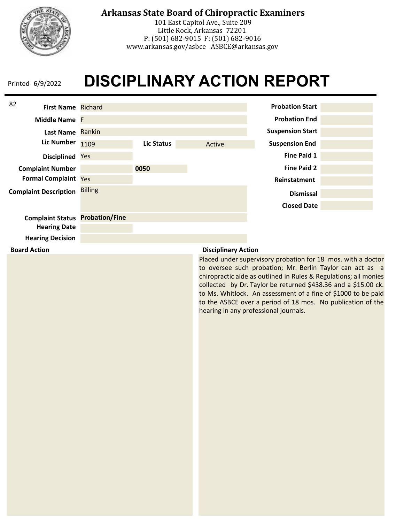

**Board Action**

# **Arkansas State Board of Chiropractic Examiners**

101 East Capitol Ave., Suite 209 Little Rock, Arkansas 72201 P: (501) 682-9015 F: (501) 682-9016 www.arkansas.gov/asbce ASBCE@arkansas.gov

# **DISCIPLINARY ACTION REPORT**



### **Disciplinary Action**

Placed under supervisory probation for 18 mos. with a doctor to oversee such probation; Mr. Berlin Taylor can act as a chiropractic aide as outlined in Rules & Regulations; all monies collected by Dr. Taylor be returned \$438.36 and a \$15.00 ck. to Ms. Whitlock. An assessment of a fine of \$1000 to be paid to the ASBCE over a period of 18 mos. No publication of the hearing in any professional journals.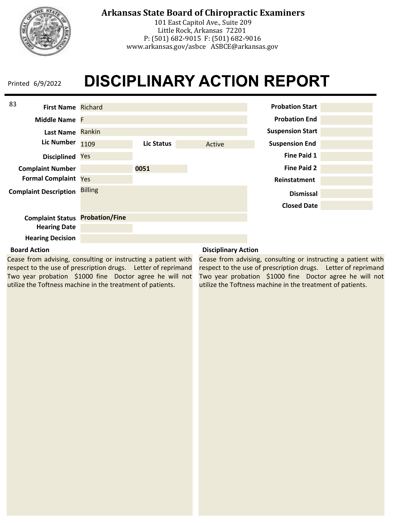

# **Arkansas State Board of Chiropractic Examiners**

101 East Capitol Ave., Suite 209 Little Rock, Arkansas 72201 P: (501) 682-9015 F: (501) 682-9016 www.arkansas.gov/asbce ASBCE@arkansas.gov

# **DISCIPLINARY ACTION REPORT**



### **Board Action**

Cease from advising, consulting or instructing a patient with respect to the use of prescription drugs. Letter of reprimand Two year probation \$1000 fine Doctor agree he will not utilize the Toftness machine in the treatment of patients.

### **Disciplinary Action**

Cease from advising, consulting or instructing a patient with respect to the use of prescription drugs. Letter of reprimand Two year probation \$1000 fine Doctor agree he will not utilize the Toftness machine in the treatment of patients.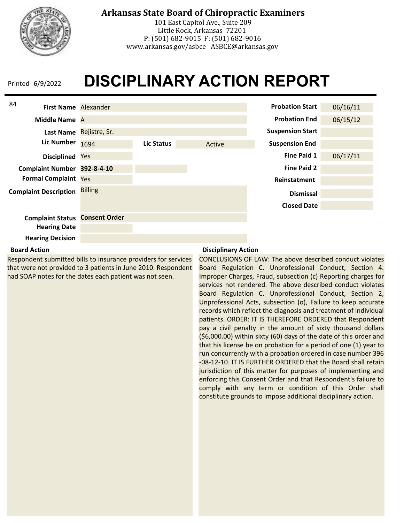

# **Arkansas State Board of Chiropractic Examiners**

101 East Capitol Ave., Suite 209 Little Rock, Arkansas 72201 P: (501) 682-9015 F: (501) 682-9016 www.arkansas.gov/asbce ASBCE@arkansas.gov

# **DISCIPLINARY ACTION REPORT**



### **Board Action**

Respondent submitted bills to insurance providers for services that were not provided to 3 patients in June 2010. Respondent had SOAP notes for the dates each patient was not seen.

### **Disciplinary Action**

CONCLUSIONS OF LAW: The above described conduct violates Board Regulation C. Unprofessional Conduct, Section 4. Improper Charges, Fraud, subsection (c) Reporting charges for services not rendered. The above described conduct violates Board Regulation C. Unprofessional Conduct, Section 2, Unprofessional Acts, subsection (o), Failure to keep accurate records which reflect the diagnosis and treatment of individual patients. ORDER: IT IS THEREFORE ORDERED that Respondent pay a civil penalty in the amount of sixty thousand dollars (\$6,000.00) within sixty (60) days of the date of this order and that his license be on probation for a period of one (1) year to run concurrently with a probation ordered in case number 396 -08-12-10. IT IS FURTHER ORDERED that the Board shall retain jurisdiction of this matter for purposes of implementing and enforcing this Consent Order and that Respondent's failure to comply with any term or condition of this Order shall constitute grounds to impose additional disciplinary action.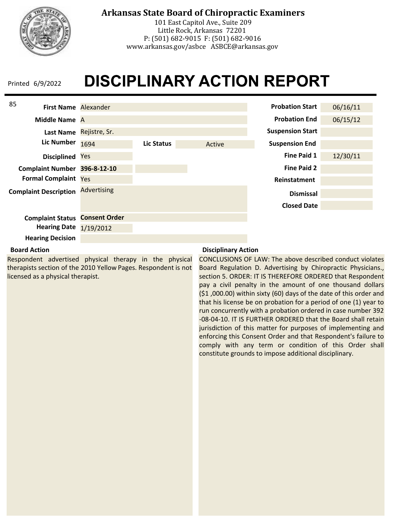

# **Arkansas State Board of Chiropractic Examiners**

101 East Capitol Ave., Suite 209 Little Rock, Arkansas 72201 P: (501) 682-9015 F: (501) 682-9016 www.arkansas.gov/asbce ASBCE@arkansas.gov

# **DISCIPLINARY ACTION REPORT**



### **Board Action**

Respondent advertised physical therapy in the physical therapists section of the 2010 Yellow Pages. Respondent is not licensed as a physical therapist.

### **Disciplinary Action**

CONCLUSIONS OF LAW: The above described conduct violates Board Regulation D. Advertising by Chiropractic Physicians., section 5. ORDER: IT IS THEREFORE ORDERED that Respondent pay a civil penalty in the amount of one thousand dollars (\$1 ,000.00) within sixty (60) days of the date of this order and that his license be on probation for a period of one (1) year to run concurrently with a probation ordered in case number 392 -08-04-10. IT IS FURTHER ORDERED that the Board shall retain jurisdiction of this matter for purposes of implementing and enforcing this Consent Order and that Respondent's failure to comply with any term or condition of this Order shall constitute grounds to impose additional disciplinary.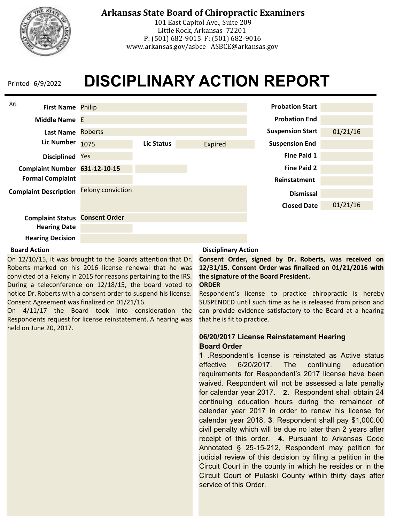

101 East Capitol Ave., Suite 209 Little Rock, Arkansas 72201 P: (501) 682-9015 F: (501) 682-9016 www.arkansas.gov/asbce ASBCE@arkansas.gov

### **DISCIPLINARY ACTION REPORT** Printed 6/9/2022



### **Hearing Decision**

### **Board Action**

On 12/10/15, it was brought to the Boards attention that Dr. Roberts marked on his 2016 license renewal that he was convicted of a Felony in 2015 for reasons pertaining to the IRS. During a teleconference on 12/18/15, the board voted to notice Dr. Roberts with a consent order to suspend his license. Consent Agreement was finalized on 01/21/16.

On 4/11/17 the Board took into consideration the Respondents request for license reinstatement. A hearing was held on June 20, 2017.

#### **Disciplinary Action**

**Consent Order, signed by Dr. Roberts, was received on 12/31/15. Consent Order was finalized on 01/21/2016 with the signature of the Board President. ORDER**

Respondent's license to practice chiropractic is hereby SUSPENDED until such time as he is released from prison and can provide evidence satisfactory to the Board at a hearing that he is fit to practice.

### **06/20/2017 License Reinstatement Hearing Board Order**

**1** .Respondent's license is reinstated as Active status effective 6/20/2017. The continuing education requirements for Respondent's 2017 license have been waived. Respondent will not be assessed a late penalty for calendar year 2017. **2.** Respondent shall obtain 24 continuing education hours during the remainder of calendar year 2017 in order to renew his license for calendar year 2018. **3**. Respondent shall pay \$1,000.00 civil penalty which will be due no later than 2 years after receipt of this order. **4.** Pursuant to Arkansas Code Annotated § 25-15-212, Respondent may petition for judicial review of this decision by filing a petition in the Circuit Court in the county in which he resides or in the Circuit Court of Pulaski County within thirty days after service of this Order.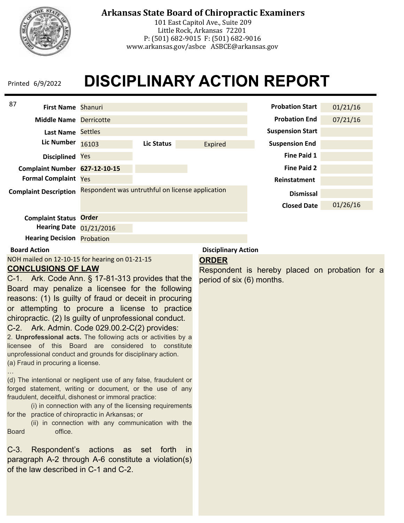

# **Arkansas State Board of Chiropractic Examiners**

101 East Capitol Ave., Suite 209 Little Rock, Arkansas 72201 P: (501) 682-9015 F: (501) 682-9016 www.arkansas.gov/asbce ASBCE@arkansas.gov

# **DISCIPLINARY ACTION REPORT**

| 87<br><b>First Name Shanuri</b>   |                                                  |            |         | <b>Probation Start</b>  | 01/21/16 |
|-----------------------------------|--------------------------------------------------|------------|---------|-------------------------|----------|
| <b>Middle Name</b>                | <b>Derricotte</b>                                |            |         | <b>Probation End</b>    | 07/21/16 |
| <b>Last Name</b>                  | <b>Settles</b>                                   |            |         | <b>Suspension Start</b> |          |
| <b>Lic Number</b>                 | 16103                                            | Lic Status | Expired | <b>Suspension End</b>   |          |
| <b>Disciplined</b>                | Yes                                              |            |         | <b>Fine Paid 1</b>      |          |
| Complaint Number 627-12-10-15     |                                                  |            |         | <b>Fine Paid 2</b>      |          |
| <b>Formal Complaint Yes</b>       |                                                  |            |         | Reinstatment            |          |
| <b>Complaint Description</b>      | Respondent was untruthful on license application |            |         | <b>Dismissal</b>        |          |
|                                   |                                                  |            |         | <b>Closed Date</b>      | 01/26/16 |
| <b>Complaint Status</b>           | Order                                            |            |         |                         |          |
| <b>Hearing Date</b>               | 01/21/2016                                       |            |         |                         |          |
| <b>Hearing Decision Probation</b> |                                                  |            |         |                         |          |

### **Board Action**

NOH mailed on 12-10-15 for hearing on 01-21-15 **CONCLUSIONS OF LAW**

### **ORDER**

**Disciplinary Action**

Respondent is hereby placed on probation for a period of six (6) months.

C-1. Ark. Code Ann. § 17-81-313 provides that the Board may penalize a licensee for the following reasons: (1) Is guilty of fraud or deceit in procuring or attempting to procure a license to practice chiropractic. (2) Is guilty of unprofessional conduct. C-2. Ark. Admin. Code 029.00.2-C(2) provides:

2. **Unprofessional acts.** The following acts or activities by a

licensee of this Board are considered to constitute unprofessional conduct and grounds for disciplinary action. (a) Fraud in procuring a license.

…

(d) The intentional or negligent use of any false, fraudulent or forged statement, writing or document, or the use of any fraudulent, deceitful, dishonest or immoral practice:

(i) in connection with any of the licensing requirements for the practice of chiropractic in Arkansas; or

(ii) in connection with any communication with the Board office.

C-3. Respondent's actions as set forth in paragraph A-2 through A-6 constitute a violation(s) of the law described in C-1 and C-2.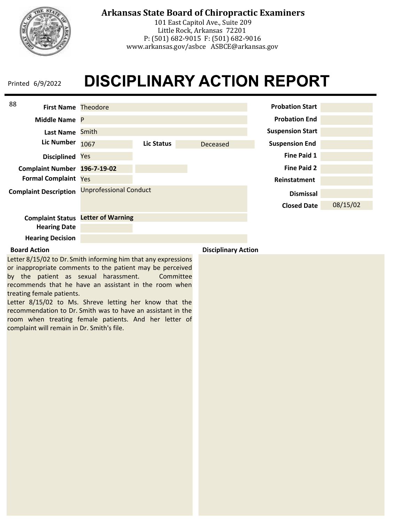

101 East Capitol Ave., Suite 209 Little Rock, Arkansas 72201 P: (501) 682-9015 F: (501) 682-9016 www.arkansas.gov/asbce ASBCE@arkansas.gov

# **DISCIPLINARY ACTION REPORT** Printed 6/9/2022

| 88<br><b>First Name Theodore</b> |                               |            |          | <b>Probation Start</b>  |          |
|----------------------------------|-------------------------------|------------|----------|-------------------------|----------|
| Middle Name P                    |                               |            |          | <b>Probation End</b>    |          |
| <b>Last Name</b>                 | Smith                         |            |          | <b>Suspension Start</b> |          |
| <b>Lic Number</b>                | 1067                          | Lic Status | Deceased | <b>Suspension End</b>   |          |
| <b>Disciplined</b>               | Yes                           |            |          | Fine Paid 1             |          |
| <b>Complaint Number</b>          | 196-7-19-02                   |            |          | <b>Fine Paid 2</b>      |          |
| <b>Formal Complaint Yes</b>      |                               |            |          | Reinstatment            |          |
| <b>Complaint Description</b>     | <b>Unprofessional Conduct</b> |            |          | <b>Dismissal</b>        |          |
|                                  |                               |            |          | <b>Closed Date</b>      | 08/15/02 |
| <b>Complaint Status</b>          | <b>Letter of Warning</b>      |            |          |                         |          |
| <b>Hearing Date</b>              |                               |            |          |                         |          |
| <b>Hearing Decision</b>          |                               |            |          |                         |          |

Letter 8/15/02 to Dr. Smith informing him that any expressions or inappropriate comments to the patient may be perceived by the patient as sexual harassment. Committee recommends that he have an assistant in the room when treating female patients.

Letter 8/15/02 to Ms. Shreve letting her know that the recommendation to Dr. Smith was to have an assistant in the room when treating female patients. And her letter of complaint will remain in Dr. Smith's file.

**Board Action Disciplinary Action**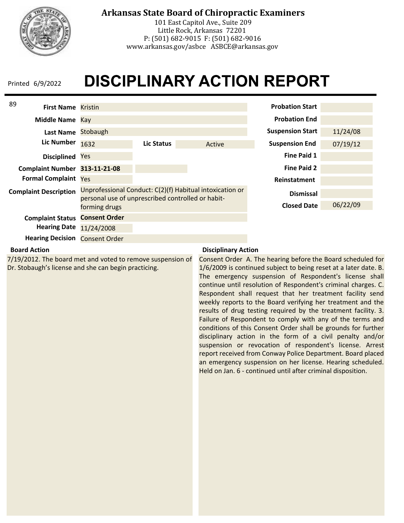

# **Arkansas State Board of Chiropractic Examiners**

101 East Capitol Ave., Suite 209 Little Rock, Arkansas 72201 P: (501) 682-9015 F: (501) 682-9016 www.arkansas.gov/asbce ASBCE@arkansas.gov

# **DISCIPLINARY ACTION REPORT**

| 89<br><b>First Name</b> Kristin |                                                   |            |                                                          | <b>Probation Start</b>  |          |
|---------------------------------|---------------------------------------------------|------------|----------------------------------------------------------|-------------------------|----------|
| Middle Name Kay                 |                                                   |            |                                                          | <b>Probation End</b>    |          |
| Last Name                       | Stobaugh                                          |            |                                                          | <b>Suspension Start</b> | 11/24/08 |
| <b>Lic Number</b>               | 1632                                              | Lic Status | Active                                                   | <b>Suspension End</b>   | 07/19/12 |
| <b>Disciplined</b>              | Yes                                               |            |                                                          | Fine Paid 1             |          |
| <b>Complaint Number</b>         | 313-11-21-08                                      |            |                                                          | <b>Fine Paid 2</b>      |          |
| <b>Formal Complaint Yes</b>     |                                                   |            |                                                          | <b>Reinstatment</b>     |          |
| <b>Complaint Description</b>    | personal use of unprescribed controlled or habit- |            | Unprofessional Conduct: C(2)(f) Habitual intoxication or | <b>Dismissal</b>        |          |
|                                 | forming drugs                                     |            |                                                          | <b>Closed Date</b>      | 06/22/09 |
| <b>Complaint Status</b>         | <b>Consent Order</b>                              |            |                                                          |                         |          |
| <b>Hearing Date</b>             | 11/24/2008                                        |            |                                                          |                         |          |
| <b>Hearing Decision</b>         | <b>Consent Order</b>                              |            |                                                          |                         |          |

### **Board Action**

7/19/2012. The board met and voted to remove suspension of Dr. Stobaugh's license and she can begin practicing.

### **Disciplinary Action**

Consent Order A. The hearing before the Board scheduled for 1/6/2009 is continued subject to being reset at a later date. B. The emergency suspension of Respondent's license shall continue until resolution of Respondent's criminal charges. C. Respondent shall request that her treatment facility send weekly reports to the Board verifying her treatment and the results of drug testing required by the treatment facility. 3. Failure of Respondent to comply with any of the terms and conditions of this Consent Order shall be grounds for further disciplinary action in the form of a civil penalty and/or suspension or revocation of respondent's license. Arrest report received from Conway Police Department. Board placed an emergency suspension on her license. Hearing scheduled. Held on Jan. 6 - continued until after criminal disposition.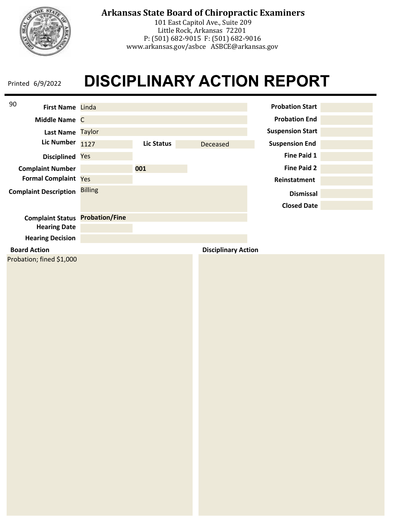

# **Arkansas State Board of Chiropractic Examiners**

101 East Capitol Ave., Suite 209 Little Rock, Arkansas 72201 P: (501) 682-9015 F: (501) 682-9016 www.arkansas.gov/asbce ASBCE@arkansas.gov

# **DISCIPLINARY ACTION REPORT**

| 90<br>First Name Linda       |                       |                   |                            | <b>Probation Start</b>  |  |
|------------------------------|-----------------------|-------------------|----------------------------|-------------------------|--|
| Middle Name C                |                       |                   |                            | <b>Probation End</b>    |  |
| Last Name Taylor             |                       |                   |                            | <b>Suspension Start</b> |  |
| <b>Lic Number</b>            | 1127                  | <b>Lic Status</b> | Deceased                   | <b>Suspension End</b>   |  |
| Disciplined Yes              |                       |                   |                            | <b>Fine Paid 1</b>      |  |
| <b>Complaint Number</b>      |                       | 001               |                            | <b>Fine Paid 2</b>      |  |
| Formal Complaint Yes         |                       |                   |                            | Reinstatment            |  |
| <b>Complaint Description</b> | <b>Billing</b>        |                   |                            | <b>Dismissal</b>        |  |
|                              |                       |                   |                            | <b>Closed Date</b>      |  |
| <b>Complaint Status</b>      | <b>Probation/Fine</b> |                   |                            |                         |  |
| <b>Hearing Date</b>          |                       |                   |                            |                         |  |
| <b>Hearing Decision</b>      |                       |                   |                            |                         |  |
| <b>Board Action</b>          |                       |                   | <b>Disciplinary Action</b> |                         |  |
| Probation; fined \$1,000     |                       |                   |                            |                         |  |
|                              |                       |                   |                            |                         |  |
|                              |                       |                   |                            |                         |  |
|                              |                       |                   |                            |                         |  |
|                              |                       |                   |                            |                         |  |
|                              |                       |                   |                            |                         |  |
|                              |                       |                   |                            |                         |  |
|                              |                       |                   |                            |                         |  |
|                              |                       |                   |                            |                         |  |
|                              |                       |                   |                            |                         |  |
|                              |                       |                   |                            |                         |  |
|                              |                       |                   |                            |                         |  |
|                              |                       |                   |                            |                         |  |
|                              |                       |                   |                            |                         |  |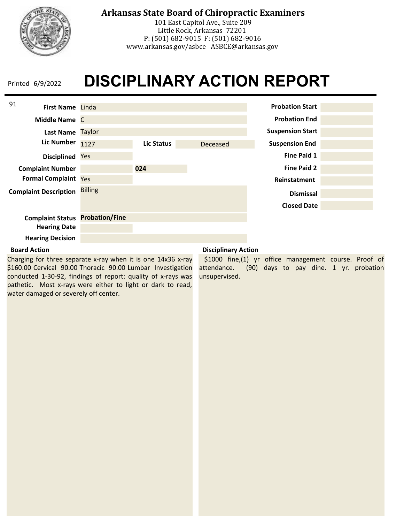

101 East Capitol Ave., Suite 209 Little Rock, Arkansas 72201 P: (501) 682-9015 F: (501) 682-9016 www.arkansas.gov/asbce ASBCE@arkansas.gov

### **DISCIPLINARY ACTION REPORT** Printed 6/9/2022



### **Board Action**

Charging for three separate x-ray when it is one 14x36 x-ray \$160.00 Cervical 90.00 Thoracic 90.00 Lumbar Investigation conducted 1-30-92, findings of report: quality of x-rays was pathetic. Most x-rays were either to light or dark to read, water damaged or severely off center.

### **Disciplinary Action**

\$1000 fine,(1) yr office management course. Proof of attendance. (90) days to pay dine. 1 yr. probation unsupervised.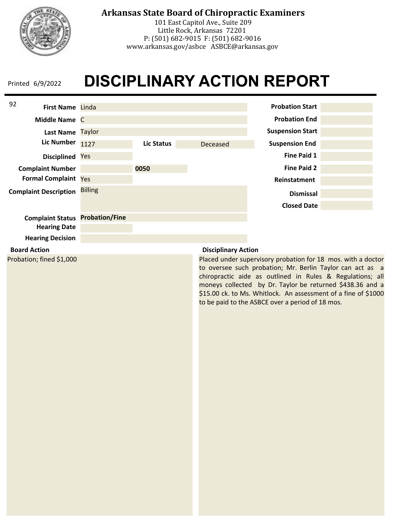

# **Arkansas State Board of Chiropractic Examiners**

101 East Capitol Ave., Suite 209 Little Rock, Arkansas 72201 P: (501) 682-9015 F: (501) 682-9016 www.arkansas.gov/asbce ASBCE@arkansas.gov

# **DISCIPLINARY ACTION REPORT**



#### **Board Action**

Probation; fined \$1,000

### **Disciplinary Action**

Placed under supervisory probation for 18 mos. with a doctor to oversee such probation; Mr. Berlin Taylor can act as a chiropractic aide as outlined in Rules & Regulations; all moneys collected by Dr. Taylor be returned \$438.36 and a \$15.00 ck. to Ms. Whitlock. An assessment of a fine of \$1000 to be paid to the ASBCE over a period of 18 mos.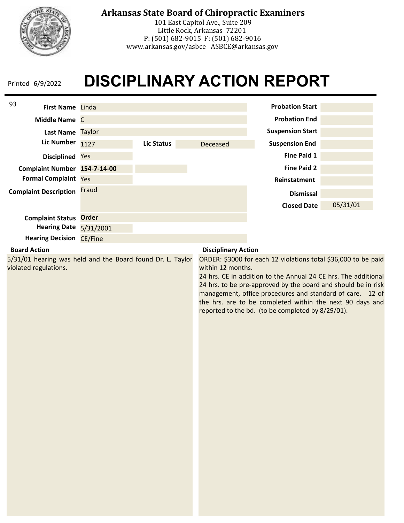

101 East Capitol Ave., Suite 209 Little Rock, Arkansas 72201 P: (501) 682-9015 F: (501) 682-9016 www.arkansas.gov/asbce ASBCE@arkansas.gov

| 93<br>First Name Linda                                                              |           |                   |                            | <b>Probation Start</b>                                                                                                                                                                                                                                                                                                                                                          |          |
|-------------------------------------------------------------------------------------|-----------|-------------------|----------------------------|---------------------------------------------------------------------------------------------------------------------------------------------------------------------------------------------------------------------------------------------------------------------------------------------------------------------------------------------------------------------------------|----------|
|                                                                                     |           |                   |                            |                                                                                                                                                                                                                                                                                                                                                                                 |          |
| Middle Name C                                                                       |           |                   |                            | <b>Probation End</b>                                                                                                                                                                                                                                                                                                                                                            |          |
| Last Name Taylor                                                                    |           |                   |                            | <b>Suspension Start</b>                                                                                                                                                                                                                                                                                                                                                         |          |
| <b>Lic Number</b>                                                                   | 1127      | <b>Lic Status</b> | Deceased                   | <b>Suspension End</b>                                                                                                                                                                                                                                                                                                                                                           |          |
| Disciplined Yes                                                                     |           |                   |                            | <b>Fine Paid 1</b>                                                                                                                                                                                                                                                                                                                                                              |          |
| Complaint Number 154-7-14-00                                                        |           |                   |                            | <b>Fine Paid 2</b>                                                                                                                                                                                                                                                                                                                                                              |          |
| <b>Formal Complaint Yes</b>                                                         |           |                   |                            | Reinstatment                                                                                                                                                                                                                                                                                                                                                                    |          |
| <b>Complaint Description</b>                                                        | Fraud     |                   |                            | <b>Dismissal</b>                                                                                                                                                                                                                                                                                                                                                                |          |
|                                                                                     |           |                   |                            | <b>Closed Date</b>                                                                                                                                                                                                                                                                                                                                                              | 05/31/01 |
| <b>Complaint Status Order</b>                                                       |           |                   |                            |                                                                                                                                                                                                                                                                                                                                                                                 |          |
| <b>Hearing Date</b>                                                                 | 5/31/2001 |                   |                            |                                                                                                                                                                                                                                                                                                                                                                                 |          |
| <b>Hearing Decision CE/Fine</b>                                                     |           |                   |                            |                                                                                                                                                                                                                                                                                                                                                                                 |          |
| <b>Board Action</b>                                                                 |           |                   | <b>Disciplinary Action</b> |                                                                                                                                                                                                                                                                                                                                                                                 |          |
| 5/31/01 hearing was held and the Board found Dr. L. Taylor<br>violated regulations. |           |                   | within 12 months.          | ORDER: \$3000 for each 12 violations total \$36,000 to be paid<br>24 hrs. CE in addition to the Annual 24 CE hrs. The additional<br>24 hrs. to be pre-approved by the board and should be in risk<br>management, office procedures and standard of care. 12 of<br>the hrs. are to be completed within the next 90 days and<br>reported to the bd. (to be completed by 8/29/01). |          |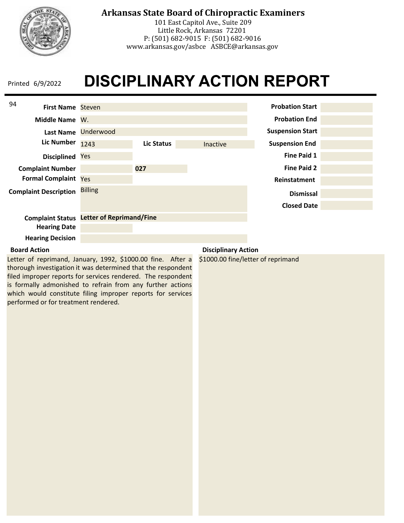

# **Arkansas State Board of Chiropractic Examiners**

101 East Capitol Ave., Suite 209 Little Rock, Arkansas 72201 P: (501) 682-9015 F: (501) 682-9016 www.arkansas.gov/asbce ASBCE@arkansas.gov

# **DISCIPLINARY ACTION REPORT**

| 94                                             |                                 |            |                        |                         |  |
|------------------------------------------------|---------------------------------|------------|------------------------|-------------------------|--|
| <b>First Name Steven</b>                       |                                 |            | <b>Probation Start</b> |                         |  |
| Middle Name W.                                 |                                 |            | <b>Probation End</b>   |                         |  |
| <b>Lic Number</b>                              | Last Name Underwood             |            |                        | <b>Suspension Start</b> |  |
|                                                | 1243                            | Lic Status | <b>Inactive</b>        | <b>Suspension End</b>   |  |
| <b>Disciplined Yes</b>                         |                                 |            |                        | <b>Fine Paid 1</b>      |  |
| <b>Complaint Number</b>                        |                                 | 027        |                        | <b>Fine Paid 2</b>      |  |
| <b>Formal Complaint Yes</b>                    |                                 |            |                        | Reinstatment            |  |
| <b>Complaint Description</b>                   | <b>Billing</b>                  |            |                        | <b>Dismissal</b>        |  |
|                                                |                                 |            |                        | <b>Closed Date</b>      |  |
| <b>Complaint Status</b><br><b>Hearing Date</b> | <b>Letter of Reprimand/Fine</b> |            |                        |                         |  |
|                                                |                                 |            |                        |                         |  |
| <b>Hearing Decision</b>                        |                                 |            |                        |                         |  |

### **Board Action**

Letter of reprimand, January, 1992, \$1000.00 fine. After a thorough investigation it was determined that the respondent filed improper reports for services rendered. The respondent is formally admonished to refrain from any further actions which would constitute filing improper reports for services performed or for treatment rendered.

### **Disciplinary Action**

\$1000.00 fine/letter of reprimand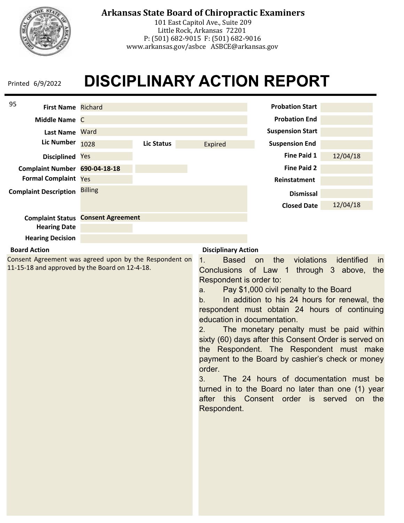

# **Arkansas State Board of Chiropractic Examiners**

101 East Capitol Ave., Suite 209 Little Rock, Arkansas 72201 P: (501) 682-9015 F: (501) 682-9016 www.arkansas.gov/asbce ASBCE@arkansas.gov

# **DISCIPLINARY ACTION REPORT**

| 95<br><b>First Name Richard</b> |                          |            | <b>Probation Start</b> |                         |          |
|---------------------------------|--------------------------|------------|------------------------|-------------------------|----------|
| Middle Name C                   |                          |            |                        | <b>Probation End</b>    |          |
| Last Name Ward                  |                          |            |                        | <b>Suspension Start</b> |          |
| <b>Lic Number</b>               | 1028                     | Lic Status | Expired                | <b>Suspension End</b>   |          |
| <b>Disciplined</b>              | Yes                      |            |                        | Fine Paid 1             | 12/04/18 |
| Complaint Number 690-04-18-18   |                          |            |                        | <b>Fine Paid 2</b>      |          |
| <b>Formal Complaint Yes</b>     |                          |            |                        | Reinstatment            |          |
| <b>Complaint Description</b>    | <b>Billing</b>           |            |                        | <b>Dismissal</b>        |          |
|                                 |                          |            |                        | <b>Closed Date</b>      | 12/04/18 |
| <b>Complaint Status</b>         | <b>Consent Agreement</b> |            |                        |                         |          |
| <b>Hearing Date</b>             |                          |            |                        |                         |          |
| <b>Hearing Decision</b>         |                          |            |                        |                         |          |
| Roard Action                    |                          |            | Dicciplinary Action    |                         |          |

### **Board Action**

Consent Agreement was agreed upon by the Respondent on 11-15-18 and approved by the Board on 12-4-18.

### **Disciplinary Action**

1. Based on the violations identified in Conclusions of Law 1 through 3 above, the Respondent is order to:

a. Pay \$1,000 civil penalty to the Board

b. In addition to his 24 hours for renewal, the respondent must obtain 24 hours of continuing education in documentation.

2. The monetary penalty must be paid within sixty (60) days after this Consent Order is served on the Respondent. The Respondent must make payment to the Board by cashier's check or money order.

3. The 24 hours of documentation must be turned in to the Board no later than one (1) year after this Consent order is served on the Respondent.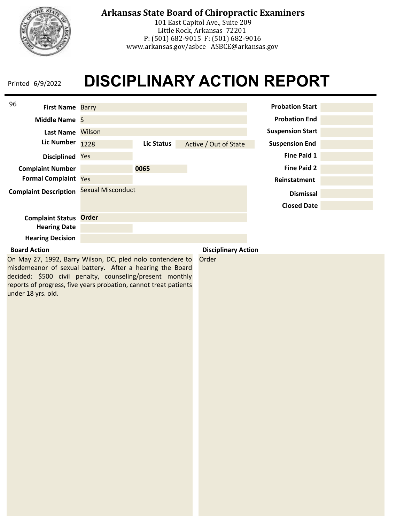

# **Arkansas State Board of Chiropractic Examiners**

101 East Capitol Ave., Suite 209 Little Rock, Arkansas 72201 P: (501) 682-9015 F: (501) 682-9016 www.arkansas.gov/asbce ASBCE@arkansas.gov

# **DISCIPLINARY ACTION REPORT**

| 96<br><b>First Name Barry</b> |                            |            | <b>Probation Start</b> |                         |  |
|-------------------------------|----------------------------|------------|------------------------|-------------------------|--|
| Middle Name S                 |                            |            |                        | <b>Probation End</b>    |  |
| <b>Last Name</b>              | Wilson                     |            |                        | <b>Suspension Start</b> |  |
| <b>Lic Number</b>             | 1228                       | Lic Status | Active / Out of State  | <b>Suspension End</b>   |  |
| <b>Disciplined</b>            | Yes                        |            |                        | <b>Fine Paid 1</b>      |  |
| <b>Complaint Number</b>       |                            | 0065       |                        | <b>Fine Paid 2</b>      |  |
| <b>Formal Complaint Yes</b>   |                            |            |                        | Reinstatment            |  |
| <b>Complaint Description</b>  | <b>Sexual Misconduct</b>   |            |                        | <b>Dismissal</b>        |  |
|                               |                            |            |                        | <b>Closed Date</b>      |  |
| <b>Complaint Status</b>       | <b>Order</b>               |            |                        |                         |  |
| <b>Hearing Date</b>           |                            |            |                        |                         |  |
| <b>Hearing Decision</b>       |                            |            |                        |                         |  |
| <b>Board Action</b>           | <b>Disciplinary Action</b> |            |                        |                         |  |

On May 27, 1992, Barry Wilson, DC, pled nolo contendere to misdemeanor of sexual battery. After a hearing the Board decided: \$500 civil penalty, counseling/present monthly reports of progress, five years probation, cannot treat patients under 18 yrs. old.

Order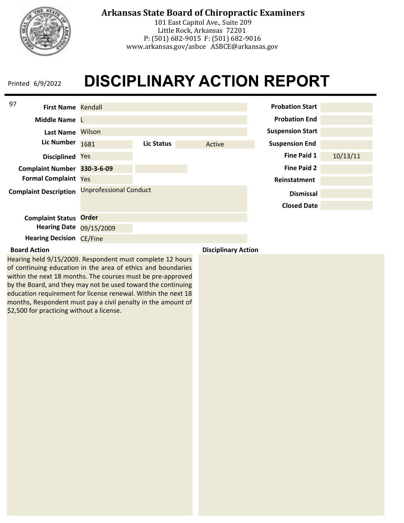

101 East Capitol Ave., Suite 209 Little Rock, Arkansas 72201 P: (501) 682-9015 F: (501) 682-9016 www.arkansas.gov/asbce ASBCE@arkansas.gov

# **DISCIPLINARY ACTION REPORT** Printed 6/9/2022

| 97<br><b>First Name Kendall</b> |                               |            |        | <b>Probation Start</b>  |          |
|---------------------------------|-------------------------------|------------|--------|-------------------------|----------|
| Middle Name L                   |                               |            |        | <b>Probation End</b>    |          |
| <b>Last Name</b>                | Wilson                        |            |        | <b>Suspension Start</b> |          |
| <b>Lic Number</b>               | 1681                          | Lic Status | Active | <b>Suspension End</b>   |          |
| <b>Disciplined</b>              | Yes                           |            |        | <b>Fine Paid 1</b>      | 10/13/11 |
| Complaint Number 330-3-6-09     |                               |            |        | <b>Fine Paid 2</b>      |          |
| <b>Formal Complaint Yes</b>     |                               |            |        | Reinstatment            |          |
| <b>Complaint Description</b>    | <b>Unprofessional Conduct</b> |            |        | <b>Dismissal</b>        |          |
|                                 |                               |            |        | <b>Closed Date</b>      |          |
| <b>Complaint Status</b>         | <b>Order</b>                  |            |        |                         |          |
| <b>Hearing Date</b>             | 09/15/2009                    |            |        |                         |          |
| <b>Hearing Decision CE/Fine</b> |                               |            |        |                         |          |

Hearing held 9/15/2009. Respondent must complete 12 hours of continuing education in the area of ethics and boundaries within the next 18 months. The courses must be pre-approved by the Board, and they may not be used toward the continuing education requirement for license renewal. Within the next 18 months, Respondent must pay a civil penalty in the amount of \$2,500 for practicing without a license.

**Board Action Disciplinary Action**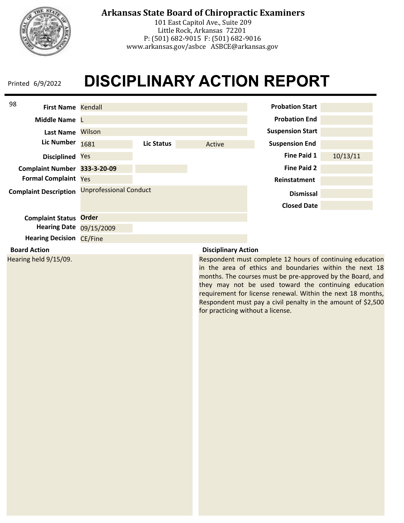

# **Arkansas State Board of Chiropractic Examiners**

101 East Capitol Ave., Suite 209 Little Rock, Arkansas 72201 P: (501) 682-9015 F: (501) 682-9016 www.arkansas.gov/asbce ASBCE@arkansas.gov

# **DISCIPLINARY ACTION REPORT**



Hearing held 9/15/09.

Respondent must complete 12 hours of continuing education in the area of ethics and boundaries within the next 18 months. The courses must be pre-approved by the Board, and they may not be used toward the continuing education requirement for license renewal. Within the next 18 months, Respondent must pay a civil penalty in the amount of \$2,500 for practicing without a license.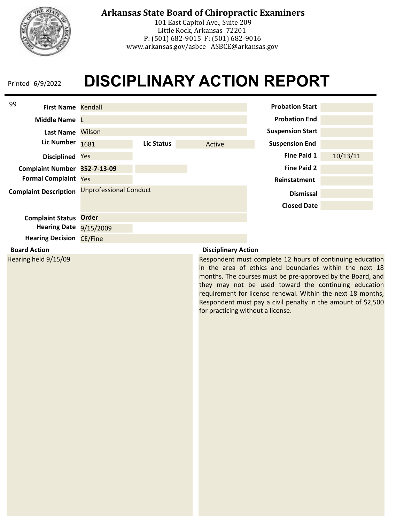

# **Arkansas State Board of Chiropractic Examiners**

101 East Capitol Ave., Suite 209 Little Rock, Arkansas 72201 P: (501) 682-9015 F: (501) 682-9016 www.arkansas.gov/asbce ASBCE@arkansas.gov

# **DISCIPLINARY ACTION REPORT**



Hearing held 9/15/09

Respondent must complete 12 hours of continuing education in the area of ethics and boundaries within the next 18 months. The courses must be pre-approved by the Board, and they may not be used toward the continuing education requirement for license renewal. Within the next 18 months, Respondent must pay a civil penalty in the amount of \$2,500 for practicing without a license.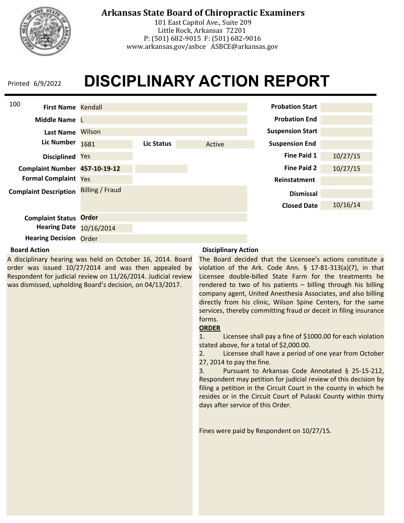

# **Arkansas State Board of Chiropractic Examiners**

101 East Capitol Ave., Suite 209 Little Rock, Arkansas 72201 P: (501) 682-9015 F: (501) 682-9016 www.arkansas.gov/asbce ASBCE@arkansas.gov

# **DISCIPLINARY ACTION REPORT**



### **Board Action**

A disciplinary hearing was held on October 16, 2014. Board order was issued 10/27/2014 and was then appealed by Respondent for judicial review on 11/26/2014. Judicial review was dismissed, upholding Board's decision, on 04/13/2017.

### **Disciplinary Action**

The Board decided that the Licensee's actions constitute a violation of the Ark. Code Ann. § 17-81-313(a)(7), in that Licensee double-billed State Farm for the treatments he rendered to two of his patients – billing through his billing company agent, United Anesthesia Associates, and also billing directly from his clinic, Wilson Spine Centers, for the same services, thereby committing fraud or deceit in filing insurance forms.

### **ORDER**

1. Licensee shall pay a fine of \$1000.00 for each violation stated above, for a total of \$2,000.00.

2. Licensee shall have a period of one year from October 27, 2014 to pay the fine.

3. Pursuant to Arkansas Code Annotated § 25-15-212, Respondent may petition for judicial review of this decision by filing a petition in the Circuit Court in the county in which he resides or in the Circuit Court of Pulaski County within thirty days after service of this Order.

Fines were paid by Respondent on 10/27/15.